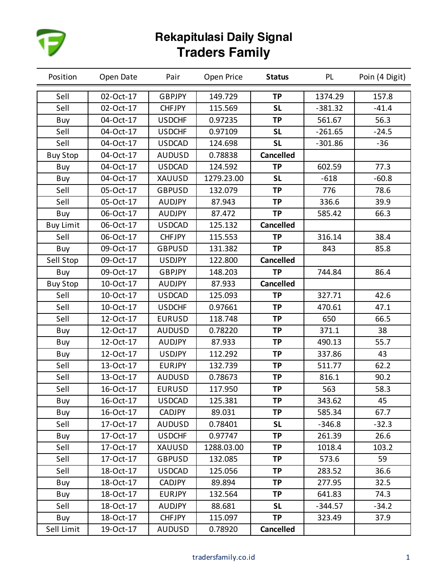

| Position         | Open Date | Pair          | Open Price | <b>Status</b>    | <b>PL</b> | Poin (4 Digit) |
|------------------|-----------|---------------|------------|------------------|-----------|----------------|
| Sell             | 02-Oct-17 | <b>GBPJPY</b> | 149.729    | <b>TP</b>        | 1374.29   | 157.8          |
| Sell             | 02-Oct-17 | <b>CHFJPY</b> | 115.569    | <b>SL</b>        | $-381.32$ | $-41.4$        |
| Buy              | 04-Oct-17 | <b>USDCHF</b> | 0.97235    | <b>TP</b>        | 561.67    | 56.3           |
| Sell             | 04-Oct-17 | <b>USDCHF</b> | 0.97109    | <b>SL</b>        | $-261.65$ | $-24.5$        |
| Sell             | 04-Oct-17 | <b>USDCAD</b> | 124.698    | <b>SL</b>        | $-301.86$ | $-36$          |
| <b>Buy Stop</b>  | 04-Oct-17 | <b>AUDUSD</b> | 0.78838    | <b>Cancelled</b> |           |                |
| Buy              | 04-Oct-17 | <b>USDCAD</b> | 124.592    | <b>TP</b>        | 602.59    | 77.3           |
| Buy              | 04-Oct-17 | XAUUSD        | 1279.23.00 | <b>SL</b>        | $-618$    | $-60.8$        |
| Sell             | 05-Oct-17 | <b>GBPUSD</b> | 132.079    | <b>TP</b>        | 776       | 78.6           |
| Sell             | 05-Oct-17 | <b>AUDJPY</b> | 87.943     | <b>TP</b>        | 336.6     | 39.9           |
| Buy              | 06-Oct-17 | <b>AUDJPY</b> | 87.472     | <b>TP</b>        | 585.42    | 66.3           |
| <b>Buy Limit</b> | 06-Oct-17 | <b>USDCAD</b> | 125.132    | <b>Cancelled</b> |           |                |
| Sell             | 06-Oct-17 | <b>CHFJPY</b> | 115.553    | <b>TP</b>        | 316.14    | 38.4           |
| Buy              | 09-Oct-17 | <b>GBPUSD</b> | 131.382    | <b>TP</b>        | 843       | 85.8           |
| Sell Stop        | 09-Oct-17 | <b>USDJPY</b> | 122.800    | <b>Cancelled</b> |           |                |
| Buy              | 09-Oct-17 | <b>GBPJPY</b> | 148.203    | <b>TP</b>        | 744.84    | 86.4           |
| <b>Buy Stop</b>  | 10-Oct-17 | <b>AUDJPY</b> | 87.933     | <b>Cancelled</b> |           |                |
| Sell             | 10-Oct-17 | <b>USDCAD</b> | 125.093    | <b>TP</b>        | 327.71    | 42.6           |
| Sell             | 10-Oct-17 | <b>USDCHF</b> | 0.97661    | <b>TP</b>        | 470.61    | 47.1           |
| Sell             | 12-Oct-17 | <b>EURUSD</b> | 118.748    | <b>TP</b>        | 650       | 66.5           |
| Buy              | 12-Oct-17 | <b>AUDUSD</b> | 0.78220    | <b>TP</b>        | 371.1     | 38             |
| Buy              | 12-Oct-17 | <b>AUDJPY</b> | 87.933     | <b>TP</b>        | 490.13    | 55.7           |
| Buy              | 12-Oct-17 | <b>USDJPY</b> | 112.292    | <b>TP</b>        | 337.86    | 43             |
| Sell             | 13-Oct-17 | <b>EURJPY</b> | 132.739    | <b>TP</b>        | 511.77    | 62.2           |
| Sell             | 13-Oct-17 | <b>AUDUSD</b> | 0.78673    | <b>TP</b>        | 816.1     | 90.2           |
| Sell             | 16-Oct-17 | <b>EURUSD</b> | 117.950    | <b>TP</b>        | 563       | 58.3           |
| Buy              | 16-Oct-17 | <b>USDCAD</b> | 125.381    | <b>TP</b>        | 343.62    | 45             |
| Buy              | 16-Oct-17 | <b>CADJPY</b> | 89.031     | <b>TP</b>        | 585.34    | 67.7           |
| Sell             | 17-Oct-17 | <b>AUDUSD</b> | 0.78401    | <b>SL</b>        | $-346.8$  | $-32.3$        |
| Buy              | 17-Oct-17 | <b>USDCHF</b> | 0.97747    | <b>TP</b>        | 261.39    | 26.6           |
| Sell             | 17-Oct-17 | XAUUSD        | 1288.03.00 | <b>TP</b>        | 1018.4    | 103.2          |
| Sell             | 17-Oct-17 | <b>GBPUSD</b> | 132.085    | <b>TP</b>        | 573.6     | 59             |
| Sell             | 18-Oct-17 | <b>USDCAD</b> | 125.056    | <b>TP</b>        | 283.52    | 36.6           |
| Buy              | 18-Oct-17 | <b>CADJPY</b> | 89.894     | <b>TP</b>        | 277.95    | 32.5           |
| Buy              | 18-Oct-17 | <b>EURJPY</b> | 132.564    | <b>TP</b>        | 641.83    | 74.3           |
| Sell             | 18-Oct-17 | <b>AUDJPY</b> | 88.681     | <b>SL</b>        | $-344.57$ | $-34.2$        |
| Buy              | 18-Oct-17 | <b>CHFJPY</b> | 115.097    | <b>TP</b>        | 323.49    | 37.9           |
| Sell Limit       | 19-Oct-17 | <b>AUDUSD</b> | 0.78920    | <b>Cancelled</b> |           |                |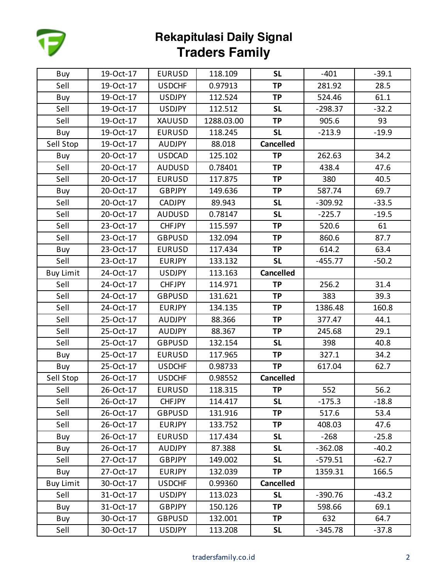

| Buy              | 19-Oct-17 | <b>EURUSD</b> | 118.109    | <b>SL</b>        | $-401$    | $-39.1$ |
|------------------|-----------|---------------|------------|------------------|-----------|---------|
| Sell             | 19-Oct-17 | <b>USDCHF</b> | 0.97913    | <b>TP</b>        | 281.92    | 28.5    |
| Buy              | 19-Oct-17 | <b>USDJPY</b> | 112.524    | <b>TP</b>        | 524.46    | 61.1    |
| Sell             | 19-Oct-17 | <b>USDJPY</b> | 112.512    | <b>SL</b>        | $-298.37$ | $-32.2$ |
| Sell             | 19-Oct-17 | XAUUSD        | 1288.03.00 | <b>TP</b>        | 905.6     | 93      |
| Buy              | 19-Oct-17 | <b>EURUSD</b> | 118.245    | <b>SL</b>        | $-213.9$  | $-19.9$ |
| Sell Stop        | 19-Oct-17 | <b>AUDJPY</b> | 88.018     | <b>Cancelled</b> |           |         |
| Buy              | 20-Oct-17 | <b>USDCAD</b> | 125.102    | <b>TP</b>        | 262.63    | 34.2    |
| Sell             | 20-Oct-17 | <b>AUDUSD</b> | 0.78401    | <b>TP</b>        | 438.4     | 47.6    |
| Sell             | 20-Oct-17 | <b>EURUSD</b> | 117.875    | <b>TP</b>        | 380       | 40.5    |
| Buy              | 20-Oct-17 | <b>GBPJPY</b> | 149.636    | <b>TP</b>        | 587.74    | 69.7    |
| Sell             | 20-Oct-17 | <b>CADJPY</b> | 89.943     | <b>SL</b>        | $-309.92$ | $-33.5$ |
| Sell             | 20-Oct-17 | <b>AUDUSD</b> | 0.78147    | <b>SL</b>        | $-225.7$  | $-19.5$ |
| Sell             | 23-Oct-17 | <b>CHFJPY</b> | 115.597    | <b>TP</b>        | 520.6     | 61      |
| Sell             | 23-Oct-17 | <b>GBPUSD</b> | 132.094    | <b>TP</b>        | 860.6     | 87.7    |
| Buy              | 23-Oct-17 | <b>EURUSD</b> | 117.434    | <b>TP</b>        | 614.2     | 63.4    |
| Sell             | 23-Oct-17 | <b>EURJPY</b> | 133.132    | <b>SL</b>        | $-455.77$ | $-50.2$ |
| <b>Buy Limit</b> | 24-Oct-17 | <b>USDJPY</b> | 113.163    | <b>Cancelled</b> |           |         |
| Sell             | 24-Oct-17 | <b>CHFJPY</b> | 114.971    | TP               | 256.2     | 31.4    |
| Sell             | 24-Oct-17 | <b>GBPUSD</b> | 131.621    | <b>TP</b>        | 383       | 39.3    |
| Sell             | 24-Oct-17 | <b>EURJPY</b> | 134.135    | <b>TP</b>        | 1386.48   | 160.8   |
| Sell             | 25-Oct-17 | <b>AUDJPY</b> | 88.366     | <b>TP</b>        | 377.47    | 44.1    |
| Sell             | 25-Oct-17 | <b>AUDJPY</b> | 88.367     | <b>TP</b>        | 245.68    | 29.1    |
| Sell             | 25-Oct-17 | <b>GBPUSD</b> | 132.154    | <b>SL</b>        | 398       | 40.8    |
| Buy              | 25-Oct-17 | <b>EURUSD</b> | 117.965    | TP               | 327.1     | 34.2    |
| Buy              | 25-Oct-17 | <b>USDCHF</b> | 0.98733    | <b>TP</b>        | 617.04    | 62.7    |
| Sell Stop        | 26-Oct-17 | <b>USDCHF</b> | 0.98552    | <b>Cancelled</b> |           |         |
| Sell             | 26-Oct-17 | <b>EURUSD</b> | 118.315    | <b>TP</b>        | 552       | 56.2    |
| Sell             | 26-Oct-17 | <b>CHFJPY</b> | 114.417    | <b>SL</b>        | $-175.3$  | $-18.8$ |
| Sell             | 26-Oct-17 | <b>GBPUSD</b> | 131.916    | <b>TP</b>        | 517.6     | 53.4    |
| Sell             | 26-Oct-17 | <b>EURJPY</b> | 133.752    | TP               | 408.03    | 47.6    |
| Buy              | 26-Oct-17 | <b>EURUSD</b> | 117.434    | <b>SL</b>        | $-268$    | $-25.8$ |
| Buy              | 26-Oct-17 | <b>AUDJPY</b> | 87.388     | <b>SL</b>        | $-362.08$ | $-40.2$ |
| Sell             | 27-Oct-17 | <b>GBPJPY</b> | 149.002    | <b>SL</b>        | $-579.51$ | $-62.7$ |
| Buy              | 27-Oct-17 | <b>EURJPY</b> | 132.039    | <b>TP</b>        | 1359.31   | 166.5   |
| <b>Buy Limit</b> | 30-Oct-17 | <b>USDCHF</b> | 0.99360    | <b>Cancelled</b> |           |         |
| Sell             | 31-Oct-17 | <b>USDJPY</b> | 113.023    | <b>SL</b>        | $-390.76$ | $-43.2$ |
| Buy              | 31-Oct-17 | <b>GBPJPY</b> | 150.126    | <b>TP</b>        | 598.66    | 69.1    |
| Buy              | 30-Oct-17 | <b>GBPUSD</b> | 132.001    | <b>TP</b>        | 632       | 64.7    |
| Sell             | 30-Oct-17 | <b>USDJPY</b> | 113.208    | <b>SL</b>        | $-345.78$ | $-37.8$ |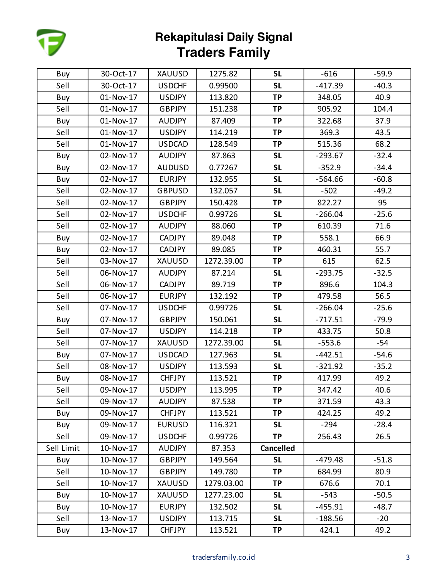

| Buy        | 30-Oct-17 | XAUUSD        | 1275.82    | <b>SL</b>        | $-616$    | $-59.9$ |
|------------|-----------|---------------|------------|------------------|-----------|---------|
| Sell       | 30-Oct-17 | <b>USDCHF</b> | 0.99500    | <b>SL</b>        | $-417.39$ | $-40.3$ |
| Buy        | 01-Nov-17 | <b>USDJPY</b> | 113.820    | <b>TP</b>        | 348.05    | 40.9    |
| Sell       | 01-Nov-17 | GBPJPY        | 151.238    | <b>TP</b>        | 905.92    | 104.4   |
| Buy        | 01-Nov-17 | <b>AUDJPY</b> | 87.409     | <b>TP</b>        | 322.68    | 37.9    |
| Sell       | 01-Nov-17 | <b>USDJPY</b> | 114.219    | <b>TP</b>        | 369.3     | 43.5    |
| Sell       | 01-Nov-17 | <b>USDCAD</b> | 128.549    | <b>TP</b>        | 515.36    | 68.2    |
| Buy        | 02-Nov-17 | <b>AUDJPY</b> | 87.863     | <b>SL</b>        | $-293.67$ | $-32.4$ |
| Buy        | 02-Nov-17 | <b>AUDUSD</b> | 0.77267    | <b>SL</b>        | $-352.9$  | $-34.4$ |
| Buy        | 02-Nov-17 | <b>EURJPY</b> | 132.955    | <b>SL</b>        | $-564.66$ | $-60.8$ |
| Sell       | 02-Nov-17 | <b>GBPUSD</b> | 132.057    | <b>SL</b>        | $-502$    | $-49.2$ |
| Sell       | 02-Nov-17 | <b>GBPJPY</b> | 150.428    | <b>TP</b>        | 822.27    | 95      |
| Sell       | 02-Nov-17 | <b>USDCHF</b> | 0.99726    | <b>SL</b>        | $-266.04$ | $-25.6$ |
| Sell       | 02-Nov-17 | <b>AUDJPY</b> | 88.060     | <b>TP</b>        | 610.39    | 71.6    |
| Buy        | 02-Nov-17 | <b>CADJPY</b> | 89.048     | <b>TP</b>        | 558.1     | 66.9    |
| Buy        | 02-Nov-17 | CADJPY        | 89.085     | <b>TP</b>        | 460.31    | 55.7    |
| Sell       | 03-Nov-17 | XAUUSD        | 1272.39.00 | <b>TP</b>        | 615       | 62.5    |
| Sell       | 06-Nov-17 | <b>AUDJPY</b> | 87.214     | <b>SL</b>        | $-293.75$ | $-32.5$ |
| Sell       | 06-Nov-17 | CADJPY        | 89.719     | <b>TP</b>        | 896.6     | 104.3   |
| Sell       | 06-Nov-17 | <b>EURJPY</b> | 132.192    | <b>TP</b>        | 479.58    | 56.5    |
| Sell       | 07-Nov-17 | <b>USDCHF</b> | 0.99726    | <b>SL</b>        | $-266.04$ | $-25.6$ |
| Buy        | 07-Nov-17 | <b>GBPJPY</b> | 150.061    | <b>SL</b>        | $-717.51$ | $-79.9$ |
| Sell       | 07-Nov-17 | <b>USDJPY</b> | 114.218    | <b>TP</b>        | 433.75    | 50.8    |
| Sell       | 07-Nov-17 | XAUUSD        | 1272.39.00 | <b>SL</b>        | $-553.6$  | $-54$   |
| Buy        | 07-Nov-17 | <b>USDCAD</b> | 127.963    | <b>SL</b>        | $-442.51$ | $-54.6$ |
| Sell       | 08-Nov-17 | <b>USDJPY</b> | 113.593    | <b>SL</b>        | $-321.92$ | $-35.2$ |
| Buy        | 08-Nov-17 | <b>CHFJPY</b> | 113.521    | <b>TP</b>        | 417.99    | 49.2    |
| Sell       | 09-Nov-17 | <b>USDJPY</b> | 113.995    | <b>TP</b>        | 347.42    | 40.6    |
| Sell       | 09-Nov-17 | <b>AUDJPY</b> | 87.538     | <b>TP</b>        | 371.59    | 43.3    |
| Buy        | 09-Nov-17 | <b>CHFJPY</b> | 113.521    | <b>TP</b>        | 424.25    | 49.2    |
| Buy        | 09-Nov-17 | <b>EURUSD</b> | 116.321    | <b>SL</b>        | $-294$    | $-28.4$ |
| Sell       | 09-Nov-17 | <b>USDCHF</b> | 0.99726    | <b>TP</b>        | 256.43    | 26.5    |
| Sell Limit | 10-Nov-17 | <b>AUDJPY</b> | 87.353     | <b>Cancelled</b> |           |         |
| Buy        | 10-Nov-17 | <b>GBPJPY</b> | 149.564    | <b>SL</b>        | $-479.48$ | $-51.8$ |
| Sell       | 10-Nov-17 | <b>GBPJPY</b> | 149.780    | <b>TP</b>        | 684.99    | 80.9    |
| Sell       | 10-Nov-17 | XAUUSD        | 1279.03.00 | <b>TP</b>        | 676.6     | 70.1    |
| Buy        | 10-Nov-17 | <b>XAUUSD</b> | 1277.23.00 | <b>SL</b>        | $-543$    | $-50.5$ |
| Buy        | 10-Nov-17 | <b>EURJPY</b> | 132.502    | <b>SL</b>        | $-455.91$ | $-48.7$ |
| Sell       | 13-Nov-17 | <b>USDJPY</b> | 113.715    | <b>SL</b>        | $-188.56$ | $-20$   |
| Buy        | 13-Nov-17 | <b>CHFJPY</b> | 113.521    | <b>TP</b>        | 424.1     | 49.2    |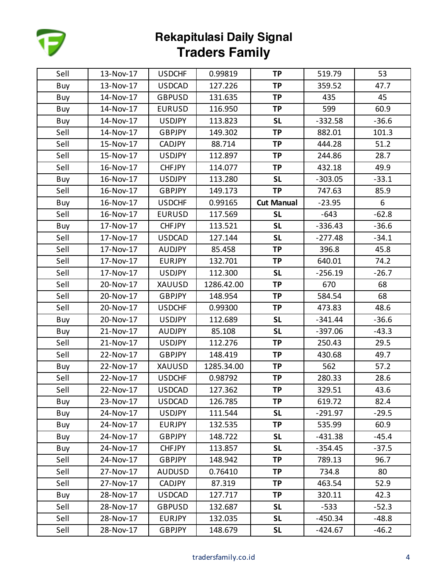

| Sell | 13-Nov-17 | <b>USDCHF</b> | 0.99819    | <b>TP</b>         | 519.79    | 53      |
|------|-----------|---------------|------------|-------------------|-----------|---------|
| Buy  | 13-Nov-17 | <b>USDCAD</b> | 127.226    | <b>TP</b>         | 359.52    | 47.7    |
| Buy  | 14-Nov-17 | <b>GBPUSD</b> | 131.635    | <b>TP</b>         | 435       | 45      |
| Buy  | 14-Nov-17 | <b>EURUSD</b> | 116.950    | <b>TP</b>         | 599       | 60.9    |
| Buy  | 14-Nov-17 | <b>USDJPY</b> | 113.823    | <b>SL</b>         | $-332.58$ | $-36.6$ |
| Sell | 14-Nov-17 | <b>GBPJPY</b> | 149.302    | <b>TP</b>         | 882.01    | 101.3   |
| Sell | 15-Nov-17 | CADJPY        | 88.714     | <b>TP</b>         | 444.28    | 51.2    |
| Sell | 15-Nov-17 | <b>USDJPY</b> | 112.897    | <b>TP</b>         | 244.86    | 28.7    |
| Sell | 16-Nov-17 | <b>CHFJPY</b> | 114.077    | <b>TP</b>         | 432.18    | 49.9    |
| Buy  | 16-Nov-17 | <b>USDJPY</b> | 113.280    | <b>SL</b>         | $-303.05$ | $-33.1$ |
| Sell | 16-Nov-17 | <b>GBPJPY</b> | 149.173    | <b>TP</b>         | 747.63    | 85.9    |
| Buy  | 16-Nov-17 | <b>USDCHF</b> | 0.99165    | <b>Cut Manual</b> | $-23.95$  | 6       |
| Sell | 16-Nov-17 | <b>EURUSD</b> | 117.569    | <b>SL</b>         | $-643$    | $-62.8$ |
| Buy  | 17-Nov-17 | <b>CHFJPY</b> | 113.521    | <b>SL</b>         | $-336.43$ | $-36.6$ |
| Sell | 17-Nov-17 | <b>USDCAD</b> | 127.144    | <b>SL</b>         | $-277.48$ | $-34.1$ |
| Sell | 17-Nov-17 | AUDJPY        | 85.458     | <b>TP</b>         | 396.8     | 45.8    |
| Sell | 17-Nov-17 | <b>EURJPY</b> | 132.701    | <b>TP</b>         | 640.01    | 74.2    |
| Sell | 17-Nov-17 | <b>USDJPY</b> | 112.300    | <b>SL</b>         | $-256.19$ | $-26.7$ |
| Sell | 20-Nov-17 | XAUUSD        | 1286.42.00 | <b>TP</b>         | 670       | 68      |
| Sell | 20-Nov-17 | <b>GBPJPY</b> | 148.954    | <b>TP</b>         | 584.54    | 68      |
| Sell | 20-Nov-17 | <b>USDCHF</b> | 0.99300    | <b>TP</b>         | 473.83    | 48.6    |
| Buy  | 20-Nov-17 | <b>USDJPY</b> | 112.689    | <b>SL</b>         | $-341.44$ | $-36.6$ |
| Buy  | 21-Nov-17 | <b>AUDJPY</b> | 85.108     | <b>SL</b>         | $-397.06$ | $-43.3$ |
| Sell | 21-Nov-17 | <b>USDJPY</b> | 112.276    | <b>TP</b>         | 250.43    | 29.5    |
| Sell | 22-Nov-17 | <b>GBPJPY</b> | 148.419    | <b>TP</b>         | 430.68    | 49.7    |
| Buy  | 22-Nov-17 | XAUUSD        | 1285.34.00 | <b>TP</b>         | 562       | 57.2    |
| Sell | 22-Nov-17 | <b>USDCHF</b> | 0.98792    | <b>TP</b>         | 280.33    | 28.6    |
| Sell | 22-Nov-17 | <b>USDCAD</b> | 127.362    | <b>TP</b>         | 329.51    | 43.6    |
| Buy  | 23-Nov-17 | <b>USDCAD</b> | 126.785    | TP                | 619.72    | 82.4    |
| Buy  | 24-Nov-17 | <b>USDJPY</b> | 111.544    | <b>SL</b>         | $-291.97$ | $-29.5$ |
| Buy  | 24-Nov-17 | <b>EURJPY</b> | 132.535    | TP                | 535.99    | 60.9    |
| Buy  | 24-Nov-17 | <b>GBPJPY</b> | 148.722    | <b>SL</b>         | $-431.38$ | $-45.4$ |
| Buy  | 24-Nov-17 | <b>CHFJPY</b> | 113.857    | <b>SL</b>         | $-354.45$ | $-37.5$ |
| Sell | 24-Nov-17 | <b>GBPJPY</b> | 148.942    | TP                | 789.13    | 96.7    |
| Sell | 27-Nov-17 | <b>AUDUSD</b> | 0.76410    | TP                | 734.8     | 80      |
| Sell | 27-Nov-17 | CADJPY        | 87.319     | <b>TP</b>         | 463.54    | 52.9    |
| Buy  | 28-Nov-17 | <b>USDCAD</b> | 127.717    | ТP                | 320.11    | 42.3    |
| Sell | 28-Nov-17 | <b>GBPUSD</b> | 132.687    | <b>SL</b>         | $-533$    | $-52.3$ |
| Sell | 28-Nov-17 | <b>EURJPY</b> | 132.035    | <b>SL</b>         | $-450.34$ | $-48.8$ |
| Sell | 28-Nov-17 | <b>GBPJPY</b> | 148.679    | <b>SL</b>         | -424.67   | $-46.2$ |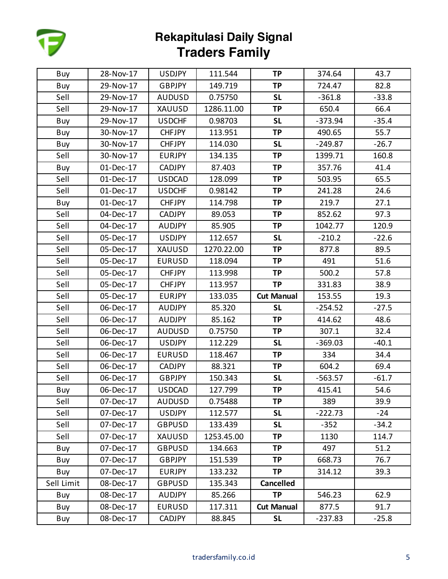

| Buy        | 28-Nov-17 | <b>USDJPY</b> | 111.544    | <b>TP</b>         | 374.64    | 43.7    |
|------------|-----------|---------------|------------|-------------------|-----------|---------|
| Buy        | 29-Nov-17 | <b>GBPJPY</b> | 149.719    | <b>TP</b>         | 724.47    | 82.8    |
| Sell       | 29-Nov-17 | <b>AUDUSD</b> | 0.75750    | <b>SL</b>         | $-361.8$  | $-33.8$ |
| Sell       | 29-Nov-17 | XAUUSD        | 1286.11.00 | <b>TP</b>         | 650.4     | 66.4    |
| Buy        | 29-Nov-17 | <b>USDCHF</b> | 0.98703    | <b>SL</b>         | $-373.94$ | $-35.4$ |
| Buy        | 30-Nov-17 | <b>CHFJPY</b> | 113.951    | <b>TP</b>         | 490.65    | 55.7    |
| Buy        | 30-Nov-17 | <b>CHFJPY</b> | 114.030    | <b>SL</b>         | $-249.87$ | $-26.7$ |
| Sell       | 30-Nov-17 | <b>EURJPY</b> | 134.135    | <b>TP</b>         | 1399.71   | 160.8   |
| Buy        | 01-Dec-17 | CADJPY        | 87.403     | <b>TP</b>         | 357.76    | 41.4    |
| Sell       | 01-Dec-17 | <b>USDCAD</b> | 128.099    | <b>TP</b>         | 503.95    | 65.5    |
| Sell       | 01-Dec-17 | <b>USDCHF</b> | 0.98142    | <b>TP</b>         | 241.28    | 24.6    |
| Buy        | 01-Dec-17 | <b>CHFJPY</b> | 114.798    | <b>TP</b>         | 219.7     | 27.1    |
| Sell       | 04-Dec-17 | CADJPY        | 89.053     | <b>TP</b>         | 852.62    | 97.3    |
| Sell       | 04-Dec-17 | <b>AUDJPY</b> | 85.905     | <b>TP</b>         | 1042.77   | 120.9   |
| Sell       | 05-Dec-17 | <b>USDJPY</b> | 112.657    | <b>SL</b>         | $-210.2$  | $-22.6$ |
| Sell       | 05-Dec-17 | XAUUSD        | 1270.22.00 | <b>TP</b>         | 877.8     | 89.5    |
| Sell       | 05-Dec-17 | <b>EURUSD</b> | 118.094    | <b>TP</b>         | 491       | 51.6    |
| Sell       | 05-Dec-17 | <b>CHFJPY</b> | 113.998    | <b>TP</b>         | 500.2     | 57.8    |
| Sell       | 05-Dec-17 | <b>CHFJPY</b> | 113.957    | <b>TP</b>         | 331.83    | 38.9    |
| Sell       | 05-Dec-17 | <b>EURJPY</b> | 133.035    | <b>Cut Manual</b> | 153.55    | 19.3    |
| Sell       | 06-Dec-17 | <b>AUDJPY</b> | 85.320     | <b>SL</b>         | $-254.52$ | $-27.5$ |
| Sell       | 06-Dec-17 | <b>AUDJPY</b> | 85.162     | <b>TP</b>         | 414.62    | 48.6    |
| Sell       | 06-Dec-17 | <b>AUDUSD</b> | 0.75750    | <b>TP</b>         | 307.1     | 32.4    |
| Sell       | 06-Dec-17 | <b>USDJPY</b> | 112.229    | <b>SL</b>         | $-369.03$ | $-40.1$ |
| Sell       | 06-Dec-17 | <b>EURUSD</b> | 118.467    | <b>TP</b>         | 334       | 34.4    |
| Sell       | 06-Dec-17 | <b>CADJPY</b> | 88.321     | <b>TP</b>         | 604.2     | 69.4    |
| Sell       | 06-Dec-17 | <b>GBPJPY</b> | 150.343    | <b>SL</b>         | $-563.57$ | $-61.7$ |
| Buy        | 06-Dec-17 | <b>USDCAD</b> | 127.799    | <b>TP</b>         | 415.41    | 54.6    |
| Sell       | 07-Dec-17 | <b>AUDUSD</b> | 0.75488    | ТP                | 389       | 39.9    |
| Sell       | 07-Dec-17 | <b>USDJPY</b> | 112.577    | <b>SL</b>         | $-222.73$ | $-24$   |
| Sell       | 07-Dec-17 | <b>GBPUSD</b> | 133.439    | <b>SL</b>         | $-352$    | $-34.2$ |
| Sell       | 07-Dec-17 | XAUUSD        | 1253.45.00 | <b>TP</b>         | 1130      | 114.7   |
| Buy        | 07-Dec-17 | <b>GBPUSD</b> | 134.663    | <b>TP</b>         | 497       | 51.2    |
| Buy        | 07-Dec-17 | <b>GBPJPY</b> | 151.539    | <b>TP</b>         | 668.73    | 76.7    |
| Buy        | 07-Dec-17 | <b>EURJPY</b> | 133.232    | <b>TP</b>         | 314.12    | 39.3    |
| Sell Limit | 08-Dec-17 | <b>GBPUSD</b> | 135.343    | <b>Cancelled</b>  |           |         |
| Buy        | 08-Dec-17 | <b>AUDJPY</b> | 85.266     | <b>TP</b>         | 546.23    | 62.9    |
| Buy        | 08-Dec-17 | <b>EURUSD</b> | 117.311    | <b>Cut Manual</b> | 877.5     | 91.7    |
| Buy        | 08-Dec-17 | <b>CADJPY</b> | 88.845     | <b>SL</b>         | $-237.83$ | $-25.8$ |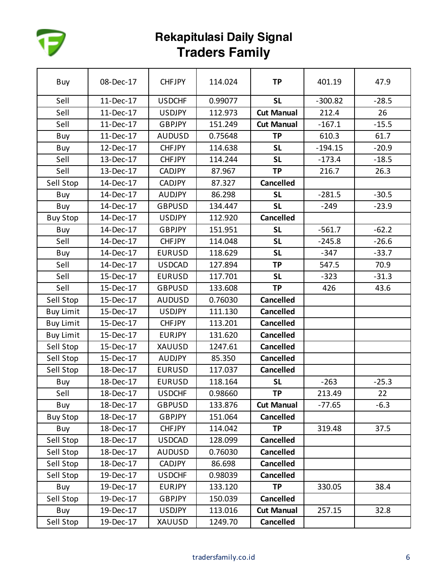

| Buy              | 08-Dec-17 | <b>CHFJPY</b> | 114.024 | <b>TP</b>         | 401.19    | 47.9    |
|------------------|-----------|---------------|---------|-------------------|-----------|---------|
| Sell             | 11-Dec-17 | <b>USDCHF</b> | 0.99077 | <b>SL</b>         | $-300.82$ | $-28.5$ |
| Sell             | 11-Dec-17 | <b>USDJPY</b> | 112.973 | <b>Cut Manual</b> | 212.4     | 26      |
| Sell             | 11-Dec-17 | <b>GBPJPY</b> | 151.249 | <b>Cut Manual</b> | $-167.1$  | $-15.5$ |
| Buy              | 11-Dec-17 | <b>AUDUSD</b> | 0.75648 | <b>TP</b>         | 610.3     | 61.7    |
| Buy              | 12-Dec-17 | <b>CHFJPY</b> | 114.638 | <b>SL</b>         | $-194.15$ | $-20.9$ |
| Sell             | 13-Dec-17 | <b>CHFJPY</b> | 114.244 | <b>SL</b>         | $-173.4$  | $-18.5$ |
| Sell             | 13-Dec-17 | <b>CADJPY</b> | 87.967  | <b>TP</b>         | 216.7     | 26.3    |
| Sell Stop        | 14-Dec-17 | <b>CADJPY</b> | 87.327  | <b>Cancelled</b>  |           |         |
| Buy              | 14-Dec-17 | <b>AUDJPY</b> | 86.298  | <b>SL</b>         | $-281.5$  | $-30.5$ |
| Buy              | 14-Dec-17 | <b>GBPUSD</b> | 134.447 | <b>SL</b>         | $-249$    | $-23.9$ |
| <b>Buy Stop</b>  | 14-Dec-17 | <b>USDJPY</b> | 112.920 | <b>Cancelled</b>  |           |         |
| Buy              | 14-Dec-17 | <b>GBPJPY</b> | 151.951 | <b>SL</b>         | $-561.7$  | $-62.2$ |
| Sell             | 14-Dec-17 | <b>CHFJPY</b> | 114.048 | <b>SL</b>         | $-245.8$  | $-26.6$ |
| Buy              | 14-Dec-17 | <b>EURUSD</b> | 118.629 | <b>SL</b>         | $-347$    | $-33.7$ |
| Sell             | 14-Dec-17 | <b>USDCAD</b> | 127.894 | <b>TP</b>         | 547.5     | 70.9    |
| Sell             | 15-Dec-17 | <b>EURUSD</b> | 117.701 | <b>SL</b>         | $-323$    | $-31.3$ |
| Sell             | 15-Dec-17 | <b>GBPUSD</b> | 133.608 | <b>TP</b>         | 426       | 43.6    |
| Sell Stop        | 15-Dec-17 | <b>AUDUSD</b> | 0.76030 | <b>Cancelled</b>  |           |         |
| <b>Buy Limit</b> | 15-Dec-17 | <b>USDJPY</b> | 111.130 | <b>Cancelled</b>  |           |         |
| <b>Buy Limit</b> | 15-Dec-17 | <b>CHFJPY</b> | 113.201 | <b>Cancelled</b>  |           |         |
| <b>Buy Limit</b> | 15-Dec-17 | <b>EURJPY</b> | 131.620 | <b>Cancelled</b>  |           |         |
| Sell Stop        | 15-Dec-17 | XAUUSD        | 1247.61 | <b>Cancelled</b>  |           |         |
| Sell Stop        | 15-Dec-17 | <b>AUDJPY</b> | 85.350  | <b>Cancelled</b>  |           |         |
| Sell Stop        | 18-Dec-17 | <b>EURUSD</b> | 117.037 | <b>Cancelled</b>  |           |         |
| Buy              | 18-Dec-17 | <b>EURUSD</b> | 118.164 | <b>SL</b>         | $-263$    | $-25.3$ |
| Sell             | 18-Dec-17 | <b>USDCHF</b> | 0.98660 | <b>TP</b>         | 213.49    | 22      |
| Buy              | 18-Dec-17 | <b>GBPUSD</b> | 133.876 | <b>Cut Manual</b> | $-77.65$  | $-6.3$  |
| <b>Buy Stop</b>  | 18-Dec-17 | <b>GBPJPY</b> | 151.064 | <b>Cancelled</b>  |           |         |
| Buy              | 18-Dec-17 | <b>CHFJPY</b> | 114.042 | <b>TP</b>         | 319.48    | 37.5    |
| Sell Stop        | 18-Dec-17 | <b>USDCAD</b> | 128.099 | <b>Cancelled</b>  |           |         |
| Sell Stop        | 18-Dec-17 | <b>AUDUSD</b> | 0.76030 | <b>Cancelled</b>  |           |         |
| Sell Stop        | 18-Dec-17 | <b>CADJPY</b> | 86.698  | <b>Cancelled</b>  |           |         |
| Sell Stop        | 19-Dec-17 | <b>USDCHF</b> | 0.98039 | <b>Cancelled</b>  |           |         |
| Buy              | 19-Dec-17 | <b>EURJPY</b> | 133.120 | <b>TP</b>         | 330.05    | 38.4    |
| Sell Stop        | 19-Dec-17 | <b>GBPJPY</b> | 150.039 | <b>Cancelled</b>  |           |         |
| Buy              | 19-Dec-17 | <b>USDJPY</b> | 113.016 | <b>Cut Manual</b> | 257.15    | 32.8    |
| Sell Stop        | 19-Dec-17 | XAUUSD        | 1249.70 | <b>Cancelled</b>  |           |         |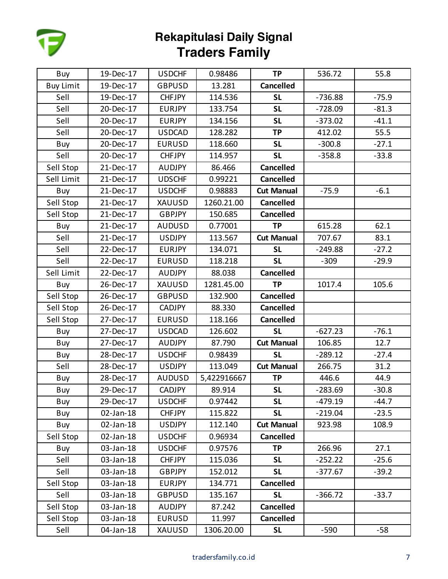

| Buy              | 19-Dec-17 | <b>USDCHF</b> | 0.98486     | <b>TP</b>         | 536.72    | 55.8    |
|------------------|-----------|---------------|-------------|-------------------|-----------|---------|
| <b>Buy Limit</b> | 19-Dec-17 | <b>GBPUSD</b> | 13.281      | <b>Cancelled</b>  |           |         |
| Sell             | 19-Dec-17 | <b>CHFJPY</b> | 114.536     | <b>SL</b>         | $-736.88$ | $-75.9$ |
| Sell             | 20-Dec-17 | <b>EURJPY</b> | 133.754     | <b>SL</b>         | $-728.09$ | $-81.3$ |
| Sell             | 20-Dec-17 | <b>EURJPY</b> | 134.156     | <b>SL</b>         | $-373.02$ | $-41.1$ |
| Sell             | 20-Dec-17 | <b>USDCAD</b> | 128.282     | <b>TP</b>         | 412.02    | 55.5    |
| Buy              | 20-Dec-17 | <b>EURUSD</b> | 118.660     | <b>SL</b>         | $-300.8$  | $-27.1$ |
| Sell             | 20-Dec-17 | <b>CHFJPY</b> | 114.957     | <b>SL</b>         | $-358.8$  | $-33.8$ |
| Sell Stop        | 21-Dec-17 | <b>AUDJPY</b> | 86.466      | <b>Cancelled</b>  |           |         |
| Sell Limit       | 21-Dec-17 | <b>UDSCHF</b> | 0.99221     | <b>Cancelled</b>  |           |         |
| Buy              | 21-Dec-17 | <b>USDCHF</b> | 0.98883     | <b>Cut Manual</b> | $-75.9$   | $-6.1$  |
| Sell Stop        | 21-Dec-17 | XAUUSD        | 1260.21.00  | <b>Cancelled</b>  |           |         |
| Sell Stop        | 21-Dec-17 | <b>GBPJPY</b> | 150.685     | <b>Cancelled</b>  |           |         |
| Buy              | 21-Dec-17 | <b>AUDUSD</b> | 0.77001     | <b>TP</b>         | 615.28    | 62.1    |
| Sell             | 21-Dec-17 | <b>USDJPY</b> | 113.567     | <b>Cut Manual</b> | 707.67    | 83.1    |
| Sell             | 22-Dec-17 | <b>EURJPY</b> | 134.071     | <b>SL</b>         | $-249.88$ | $-27.2$ |
| Sell             | 22-Dec-17 | <b>EURUSD</b> | 118.218     | <b>SL</b>         | $-309$    | $-29.9$ |
| Sell Limit       | 22-Dec-17 | <b>AUDJPY</b> | 88.038      | <b>Cancelled</b>  |           |         |
| Buy              | 26-Dec-17 | XAUUSD        | 1281.45.00  | <b>TP</b>         | 1017.4    | 105.6   |
| Sell Stop        | 26-Dec-17 | <b>GBPUSD</b> | 132.900     | <b>Cancelled</b>  |           |         |
| Sell Stop        | 26-Dec-17 | <b>CADJPY</b> | 88.330      | <b>Cancelled</b>  |           |         |
| Sell Stop        | 27-Dec-17 | <b>EURUSD</b> | 118.166     | <b>Cancelled</b>  |           |         |
| Buy              | 27-Dec-17 | <b>USDCAD</b> | 126.602     | <b>SL</b>         | $-627.23$ | $-76.1$ |
| Buy              | 27-Dec-17 | <b>AUDJPY</b> | 87.790      | <b>Cut Manual</b> | 106.85    | 12.7    |
| Buy              | 28-Dec-17 | <b>USDCHF</b> | 0.98439     | <b>SL</b>         | $-289.12$ | $-27.4$ |
| Sell             | 28-Dec-17 | <b>USDJPY</b> | 113.049     | <b>Cut Manual</b> | 266.75    | 31.2    |
| Buy              | 28-Dec-17 | <b>AUDUSD</b> | 5,422916667 | <b>TP</b>         | 446.6     | 44.9    |
| Buy              | 29-Dec-17 | <b>CADJPY</b> | 89.914      | <b>SL</b>         | $-283.69$ | $-30.8$ |
| Buy              | 29-Dec-17 | <b>USDCHF</b> | 0.97442     | <b>SL</b>         | $-479.19$ | $-44.7$ |
| Buy              | 02-Jan-18 | <b>CHFJPY</b> | 115.822     | <b>SL</b>         | $-219.04$ | $-23.5$ |
| Buy              | 02-Jan-18 | <b>USDJPY</b> | 112.140     | <b>Cut Manual</b> | 923.98    | 108.9   |
| Sell Stop        | 02-Jan-18 | <b>USDCHF</b> | 0.96934     | <b>Cancelled</b>  |           |         |
| Buy              | 03-Jan-18 | <b>USDCHF</b> | 0.97576     | <b>TP</b>         | 266.96    | 27.1    |
| Sell             | 03-Jan-18 | <b>CHFJPY</b> | 115.036     | <b>SL</b>         | $-252.22$ | $-25.6$ |
| Sell             | 03-Jan-18 | <b>GBPJPY</b> | 152.012     | <b>SL</b>         | $-377.67$ | $-39.2$ |
| Sell Stop        | 03-Jan-18 | <b>EURJPY</b> | 134.771     | <b>Cancelled</b>  |           |         |
| Sell             | 03-Jan-18 | <b>GBPUSD</b> | 135.167     | <b>SL</b>         | $-366.72$ | $-33.7$ |
| Sell Stop        | 03-Jan-18 | <b>AUDJPY</b> | 87.242      | <b>Cancelled</b>  |           |         |
| Sell Stop        | 03-Jan-18 | <b>EURUSD</b> | 11.997      | <b>Cancelled</b>  |           |         |
| Sell             | 04-Jan-18 | XAUUSD        | 1306.20.00  | <b>SL</b>         | $-590$    | $-58$   |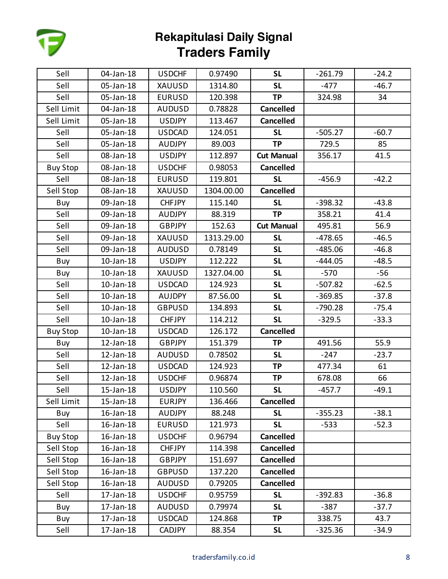

| Sell            | 04-Jan-18 | <b>USDCHF</b> | 0.97490    | <b>SL</b>         | $-261.79$ | $-24.2$ |
|-----------------|-----------|---------------|------------|-------------------|-----------|---------|
| Sell            | 05-Jan-18 | XAUUSD        | 1314.80    | <b>SL</b>         | $-477$    | $-46.7$ |
| Sell            | 05-Jan-18 | <b>EURUSD</b> | 120.398    | <b>TP</b>         | 324.98    | 34      |
| Sell Limit      | 04-Jan-18 | <b>AUDUSD</b> | 0.78828    | <b>Cancelled</b>  |           |         |
| Sell Limit      | 05-Jan-18 | <b>USDJPY</b> | 113.467    | <b>Cancelled</b>  |           |         |
| Sell            | 05-Jan-18 | <b>USDCAD</b> | 124.051    | <b>SL</b>         | $-505.27$ | $-60.7$ |
| Sell            | 05-Jan-18 | <b>AUDJPY</b> | 89.003     | <b>TP</b>         | 729.5     | 85      |
| Sell            | 08-Jan-18 | <b>USDJPY</b> | 112.897    | <b>Cut Manual</b> | 356.17    | 41.5    |
| <b>Buy Stop</b> | 08-Jan-18 | <b>USDCHF</b> | 0.98053    | <b>Cancelled</b>  |           |         |
| Sell            | 08-Jan-18 | <b>EURUSD</b> | 119.801    | <b>SL</b>         | $-456.9$  | $-42.2$ |
| Sell Stop       | 08-Jan-18 | XAUUSD        | 1304.00.00 | <b>Cancelled</b>  |           |         |
| Buy             | 09-Jan-18 | <b>CHFJPY</b> | 115.140    | <b>SL</b>         | $-398.32$ | $-43.8$ |
| Sell            | 09-Jan-18 | <b>AUDJPY</b> | 88.319     | <b>TP</b>         | 358.21    | 41.4    |
| Sell            | 09-Jan-18 | <b>GBPJPY</b> | 152.63     | <b>Cut Manual</b> | 495.81    | 56.9    |
| Sell            | 09-Jan-18 | <b>XAUUSD</b> | 1313.29.00 | <b>SL</b>         | $-478.65$ | $-46.5$ |
| Sell            | 09-Jan-18 | <b>AUDUSD</b> | 0.78149    | <b>SL</b>         | $-485.06$ | $-46.8$ |
| Buy             | 10-Jan-18 | <b>USDJPY</b> | 112.222    | <b>SL</b>         | $-444.05$ | $-48.5$ |
| Buy             | 10-Jan-18 | <b>XAUUSD</b> | 1327.04.00 | <b>SL</b>         | $-570$    | $-56$   |
| Sell            | 10-Jan-18 | <b>USDCAD</b> | 124.923    | <b>SL</b>         | $-507.82$ | $-62.5$ |
| Sell            | 10-Jan-18 | <b>AUJDPY</b> | 87.56.00   | <b>SL</b>         | $-369.85$ | $-37.8$ |
| Sell            | 10-Jan-18 | <b>GBPUSD</b> | 134.893    | <b>SL</b>         | $-790.28$ | $-75.4$ |
| Sell            | 10-Jan-18 | <b>CHFJPY</b> | 114.212    | <b>SL</b>         | $-329.5$  | $-33.3$ |
| <b>Buy Stop</b> | 10-Jan-18 | <b>USDCAD</b> | 126.172    | <b>Cancelled</b>  |           |         |
| Buy             | 12-Jan-18 | <b>GBPJPY</b> | 151.379    | <b>TP</b>         | 491.56    | 55.9    |
| Sell            | 12-Jan-18 | <b>AUDUSD</b> | 0.78502    | <b>SL</b>         | $-247$    | $-23.7$ |
| Sell            | 12-Jan-18 | <b>USDCAD</b> | 124.923    | <b>TP</b>         | 477.34    | 61      |
| Sell            | 12-Jan-18 | <b>USDCHF</b> | 0.96874    | <b>TP</b>         | 678.08    | 66      |
| Sell            | 15-Jan-18 | <b>USDJPY</b> | 110.560    | <b>SL</b>         | $-457.7$  | $-49.1$ |
| Sell Limit      | 15-Jan-18 | <b>EURJPY</b> | 136.466    | <b>Cancelled</b>  |           |         |
| Buy             | 16-Jan-18 | <b>AUDJPY</b> | 88.248     | <b>SL</b>         | $-355.23$ | $-38.1$ |
| Sell            | 16-Jan-18 | <b>EURUSD</b> | 121.973    | <b>SL</b>         | $-533$    | $-52.3$ |
| <b>Buy Stop</b> | 16-Jan-18 | <b>USDCHF</b> | 0.96794    | <b>Cancelled</b>  |           |         |
| Sell Stop       | 16-Jan-18 | <b>CHFJPY</b> | 114.398    | <b>Cancelled</b>  |           |         |
| Sell Stop       | 16-Jan-18 | <b>GBPJPY</b> | 151.697    | <b>Cancelled</b>  |           |         |
| Sell Stop       | 16-Jan-18 | <b>GBPUSD</b> | 137.220    | <b>Cancelled</b>  |           |         |
| Sell Stop       | 16-Jan-18 | <b>AUDUSD</b> | 0.79205    | <b>Cancelled</b>  |           |         |
| Sell            | 17-Jan-18 | <b>USDCHF</b> | 0.95759    | <b>SL</b>         | $-392.83$ | $-36.8$ |
| Buy             | 17-Jan-18 | <b>AUDUSD</b> | 0.79974    | <b>SL</b>         | $-387$    | $-37.7$ |
| Buy             | 17-Jan-18 | <b>USDCAD</b> | 124.868    | <b>TP</b>         | 338.75    | 43.7    |
| Sell            | 17-Jan-18 | <b>CADJPY</b> | 88.354     | <b>SL</b>         | $-325.36$ | $-34.9$ |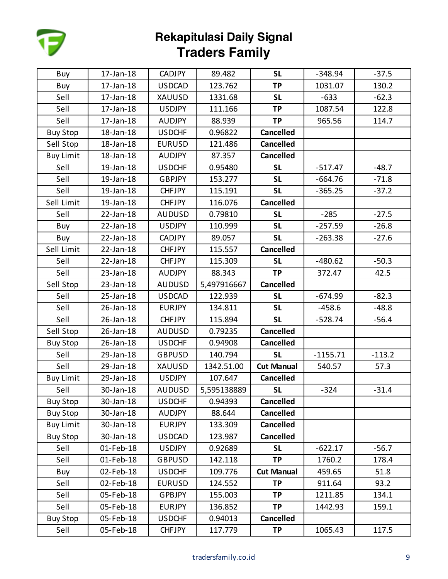

| Buy              | 17-Jan-18 | <b>CADJPY</b> | 89.482      | <b>SL</b>         | $-348.94$  | $-37.5$  |
|------------------|-----------|---------------|-------------|-------------------|------------|----------|
| Buy              | 17-Jan-18 | <b>USDCAD</b> | 123.762     | <b>TP</b>         | 1031.07    | 130.2    |
| Sell             | 17-Jan-18 | <b>XAUUSD</b> | 1331.68     | <b>SL</b>         | $-633$     | $-62.3$  |
| Sell             | 17-Jan-18 | <b>USDJPY</b> | 111.166     | <b>TP</b>         | 1087.54    | 122.8    |
| Sell             | 17-Jan-18 | <b>AUDJPY</b> | 88.939      | <b>TP</b>         | 965.56     | 114.7    |
| <b>Buy Stop</b>  | 18-Jan-18 | <b>USDCHF</b> | 0.96822     | <b>Cancelled</b>  |            |          |
| Sell Stop        | 18-Jan-18 | <b>EURUSD</b> | 121.486     | <b>Cancelled</b>  |            |          |
| <b>Buy Limit</b> | 18-Jan-18 | <b>AUDJPY</b> | 87.357      | <b>Cancelled</b>  |            |          |
| Sell             | 19-Jan-18 | <b>USDCHF</b> | 0.95480     | <b>SL</b>         | $-517.47$  | $-48.7$  |
| Sell             | 19-Jan-18 | <b>GBPJPY</b> | 153.277     | <b>SL</b>         | $-664.76$  | $-71.8$  |
| Sell             | 19-Jan-18 | <b>CHFJPY</b> | 115.191     | <b>SL</b>         | $-365.25$  | $-37.2$  |
| Sell Limit       | 19-Jan-18 | <b>CHFJPY</b> | 116.076     | <b>Cancelled</b>  |            |          |
| Sell             | 22-Jan-18 | <b>AUDUSD</b> | 0.79810     | <b>SL</b>         | $-285$     | $-27.5$  |
| Buy              | 22-Jan-18 | <b>USDJPY</b> | 110.999     | <b>SL</b>         | $-257.59$  | $-26.8$  |
| Buy              | 22-Jan-18 | <b>CADJPY</b> | 89.057      | <b>SL</b>         | $-263.38$  | $-27.6$  |
| Sell Limit       | 22-Jan-18 | <b>CHFJPY</b> | 115.557     | <b>Cancelled</b>  |            |          |
| Sell             | 22-Jan-18 | <b>CHFJPY</b> | 115.309     | <b>SL</b>         | $-480.62$  | $-50.3$  |
| Sell             | 23-Jan-18 | <b>AUDJPY</b> | 88.343      | <b>TP</b>         | 372.47     | 42.5     |
| Sell Stop        | 23-Jan-18 | <b>AUDUSD</b> | 5,497916667 | <b>Cancelled</b>  |            |          |
| Sell             | 25-Jan-18 | <b>USDCAD</b> | 122.939     | <b>SL</b>         | $-674.99$  | $-82.3$  |
| Sell             | 26-Jan-18 | <b>EURJPY</b> | 134.811     | <b>SL</b>         | $-458.6$   | $-48.8$  |
| Sell             | 26-Jan-18 | <b>CHFJPY</b> | 115.894     | <b>SL</b>         | $-528.74$  | $-56.4$  |
| Sell Stop        | 26-Jan-18 | <b>AUDUSD</b> | 0.79235     | <b>Cancelled</b>  |            |          |
| <b>Buy Stop</b>  | 26-Jan-18 | <b>USDCHF</b> | 0.94908     | <b>Cancelled</b>  |            |          |
| Sell             | 29-Jan-18 | <b>GBPUSD</b> | 140.794     | <b>SL</b>         | $-1155.71$ | $-113.2$ |
| Sell             | 29-Jan-18 | XAUUSD        | 1342.51.00  | <b>Cut Manual</b> | 540.57     | 57.3     |
| <b>Buy Limit</b> | 29-Jan-18 | <b>USDJPY</b> | 107.647     | <b>Cancelled</b>  |            |          |
| Sell             | 30-Jan-18 | <b>AUDUSD</b> | 5,595138889 | <b>SL</b>         | $-324$     | $-31.4$  |
| <b>Buy Stop</b>  | 30-Jan-18 | <b>USDCHF</b> | 0.94393     | <b>Cancelled</b>  |            |          |
| <b>Buy Stop</b>  | 30-Jan-18 | <b>AUDJPY</b> | 88.644      | <b>Cancelled</b>  |            |          |
| <b>Buy Limit</b> | 30-Jan-18 | <b>EURJPY</b> | 133.309     | <b>Cancelled</b>  |            |          |
| <b>Buy Stop</b>  | 30-Jan-18 | <b>USDCAD</b> | 123.987     | <b>Cancelled</b>  |            |          |
| Sell             | 01-Feb-18 | <b>USDJPY</b> | 0.92689     | <b>SL</b>         | $-622.17$  | $-56.7$  |
| Sell             | 01-Feb-18 | <b>GBPUSD</b> | 142.118     | <b>TP</b>         | 1760.2     | 178.4    |
| Buy              | 02-Feb-18 | <b>USDCHF</b> | 109.776     | <b>Cut Manual</b> | 459.65     | 51.8     |
| Sell             | 02-Feb-18 | <b>EURUSD</b> | 124.552     | <b>TP</b>         | 911.64     | 93.2     |
| Sell             | 05-Feb-18 | <b>GPBJPY</b> | 155.003     | <b>TP</b>         | 1211.85    | 134.1    |
| Sell             | 05-Feb-18 | <b>EURJPY</b> | 136.852     | <b>TP</b>         | 1442.93    | 159.1    |
| <b>Buy Stop</b>  | 05-Feb-18 | <b>USDCHF</b> | 0.94013     | <b>Cancelled</b>  |            |          |
| Sell             | 05-Feb-18 | <b>CHFJPY</b> | 117.779     | <b>TP</b>         | 1065.43    | 117.5    |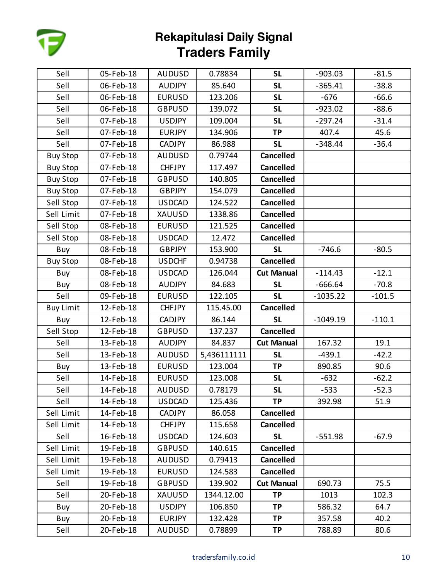

| Sell             | 05-Feb-18 | <b>AUDUSD</b> | 0.78834     | <b>SL</b>         | $-903.03$  | $-81.5$  |
|------------------|-----------|---------------|-------------|-------------------|------------|----------|
| Sell             | 06-Feb-18 | <b>AUDJPY</b> | 85.640      | <b>SL</b>         | $-365.41$  | $-38.8$  |
| Sell             | 06-Feb-18 | <b>EURUSD</b> | 123.206     | <b>SL</b>         | $-676$     | $-66.6$  |
| Sell             | 06-Feb-18 | <b>GBPUSD</b> | 139.072     | <b>SL</b>         | $-923.02$  | $-88.6$  |
| Sell             | 07-Feb-18 | <b>USDJPY</b> | 109.004     | <b>SL</b>         | $-297.24$  | $-31.4$  |
| Sell             | 07-Feb-18 | <b>EURJPY</b> | 134.906     | <b>TP</b>         | 407.4      | 45.6     |
| Sell             | 07-Feb-18 | <b>CADJPY</b> | 86.988      | <b>SL</b>         | $-348.44$  | $-36.4$  |
| <b>Buy Stop</b>  | 07-Feb-18 | <b>AUDUSD</b> | 0.79744     | <b>Cancelled</b>  |            |          |
| <b>Buy Stop</b>  | 07-Feb-18 | <b>CHFJPY</b> | 117.497     | <b>Cancelled</b>  |            |          |
| <b>Buy Stop</b>  | 07-Feb-18 | <b>GBPUSD</b> | 140.805     | <b>Cancelled</b>  |            |          |
| <b>Buy Stop</b>  | 07-Feb-18 | <b>GBPJPY</b> | 154.079     | <b>Cancelled</b>  |            |          |
| Sell Stop        | 07-Feb-18 | <b>USDCAD</b> | 124.522     | <b>Cancelled</b>  |            |          |
| Sell Limit       | 07-Feb-18 | <b>XAUUSD</b> | 1338.86     | <b>Cancelled</b>  |            |          |
| Sell Stop        | 08-Feb-18 | <b>EURUSD</b> | 121.525     | <b>Cancelled</b>  |            |          |
| Sell Stop        | 08-Feb-18 | <b>USDCAD</b> | 12.472      | <b>Cancelled</b>  |            |          |
| Buy              | 08-Feb-18 | <b>GBPJPY</b> | 153.900     | <b>SL</b>         | $-746.6$   | $-80.5$  |
| <b>Buy Stop</b>  | 08-Feb-18 | <b>USDCHF</b> | 0.94738     | <b>Cancelled</b>  |            |          |
| Buy              | 08-Feb-18 | <b>USDCAD</b> | 126.044     | <b>Cut Manual</b> | $-114.43$  | $-12.1$  |
| Buy              | 08-Feb-18 | <b>AUDJPY</b> | 84.683      | <b>SL</b>         | $-666.64$  | $-70.8$  |
| Sell             | 09-Feb-18 | <b>EURUSD</b> | 122.105     | <b>SL</b>         | $-1035.22$ | $-101.5$ |
| <b>Buy Limit</b> | 12-Feb-18 | <b>CHFJPY</b> | 115.45.00   | <b>Cancelled</b>  |            |          |
| Buy              | 12-Feb-18 | <b>CADJPY</b> | 86.144      | <b>SL</b>         | $-1049.19$ | $-110.1$ |
| Sell Stop        | 12-Feb-18 | <b>GBPUSD</b> | 137.237     | <b>Cancelled</b>  |            |          |
| Sell             | 13-Feb-18 | <b>AUDJPY</b> | 84.837      | <b>Cut Manual</b> | 167.32     | 19.1     |
| Sell             | 13-Feb-18 | <b>AUDUSD</b> | 5,436111111 | <b>SL</b>         | $-439.1$   | $-42.2$  |
| Buy              | 13-Feb-18 | <b>EURUSD</b> | 123.004     | <b>TP</b>         | 890.85     | 90.6     |
| Sell             | 14-Feb-18 | <b>EURUSD</b> | 123.008     | <b>SL</b>         | $-632$     | $-62.2$  |
| Sell             | 14-Feb-18 | <b>AUDUSD</b> | 0.78179     | <b>SL</b>         | $-533$     | $-52.3$  |
| Sell             | 14-Feb-18 | <b>USDCAD</b> | 125.436     | <b>TP</b>         | 392.98     | 51.9     |
| Sell Limit       | 14-Feb-18 | <b>CADJPY</b> | 86.058      | <b>Cancelled</b>  |            |          |
| Sell Limit       | 14-Feb-18 | <b>CHFJPY</b> | 115.658     | <b>Cancelled</b>  |            |          |
| Sell             | 16-Feb-18 | <b>USDCAD</b> | 124.603     | <b>SL</b>         | $-551.98$  | $-67.9$  |
| Sell Limit       | 19-Feb-18 | <b>GBPUSD</b> | 140.615     | <b>Cancelled</b>  |            |          |
| Sell Limit       | 19-Feb-18 | <b>AUDUSD</b> | 0.79413     | <b>Cancelled</b>  |            |          |
| Sell Limit       | 19-Feb-18 | <b>EURUSD</b> | 124.583     | <b>Cancelled</b>  |            |          |
| Sell             | 19-Feb-18 | <b>GBPUSD</b> | 139.902     | <b>Cut Manual</b> | 690.73     | 75.5     |
| Sell             | 20-Feb-18 | XAUUSD        | 1344.12.00  | <b>TP</b>         | 1013       | 102.3    |
| Buy              | 20-Feb-18 | <b>USDJPY</b> | 106.850     | <b>TP</b>         | 586.32     | 64.7     |
| Buy              | 20-Feb-18 | <b>EURJPY</b> | 132.428     | <b>TP</b>         | 357.58     | 40.2     |
| Sell             | 20-Feb-18 | <b>AUDUSD</b> | 0.78899     | TP                | 788.89     | 80.6     |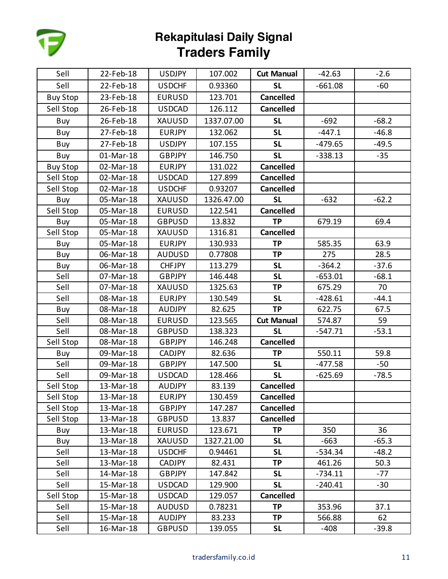

| Sell            | 22-Feb-18 | <b>USDJPY</b> | 107.002    | <b>Cut Manual</b> | $-42.63$  | $-2.6$  |
|-----------------|-----------|---------------|------------|-------------------|-----------|---------|
| Sell            | 22-Feb-18 | <b>USDCHF</b> | 0.93360    | <b>SL</b>         | $-661.08$ | -60     |
| <b>Buy Stop</b> | 23-Feb-18 | <b>EURUSD</b> | 123.701    | <b>Cancelled</b>  |           |         |
| Sell Stop       | 26-Feb-18 | <b>USDCAD</b> | 126.112    | <b>Cancelled</b>  |           |         |
| Buy             | 26-Feb-18 | <b>XAUUSD</b> | 1337.07.00 | <b>SL</b>         | $-692$    | $-68.2$ |
| Buy             | 27-Feb-18 | <b>EURJPY</b> | 132.062    | <b>SL</b>         | $-447.1$  | $-46.8$ |
| Buy             | 27-Feb-18 | <b>USDJPY</b> | 107.155    | <b>SL</b>         | $-479.65$ | $-49.5$ |
| Buy             | 01-Mar-18 | <b>GBPJPY</b> | 146.750    | <b>SL</b>         | $-338.13$ | $-35$   |
| <b>Buy Stop</b> | 02-Mar-18 | <b>EURJPY</b> | 131.022    | <b>Cancelled</b>  |           |         |
| Sell Stop       | 02-Mar-18 | <b>USDCAD</b> | 127.899    | <b>Cancelled</b>  |           |         |
| Sell Stop       | 02-Mar-18 | <b>USDCHF</b> | 0.93207    | <b>Cancelled</b>  |           |         |
| Buy             | 05-Mar-18 | XAUUSD        | 1326.47.00 | <b>SL</b>         | $-632$    | $-62.2$ |
| Sell Stop       | 05-Mar-18 | <b>EURUSD</b> | 122.541    | <b>Cancelled</b>  |           |         |
| Buy             | 05-Mar-18 | <b>GBPUSD</b> | 13.832     | <b>TP</b>         | 679.19    | 69.4    |
| Sell Stop       | 05-Mar-18 | XAUUSD        | 1316.81    | <b>Cancelled</b>  |           |         |
| Buy             | 05-Mar-18 | <b>EURJPY</b> | 130.933    | <b>TP</b>         | 585.35    | 63.9    |
| Buy             | 06-Mar-18 | <b>AUDUSD</b> | 0.77808    | <b>TP</b>         | 275       | 28.5    |
| Buy             | 06-Mar-18 | <b>CHFJPY</b> | 113.279    | <b>SL</b>         | $-364.2$  | $-37.6$ |
| Sell            | 07-Mar-18 | <b>GBPJPY</b> | 146.448    | <b>SL</b>         | $-653.01$ | $-68.1$ |
| Sell            | 07-Mar-18 | XAUUSD        | 1325.63    | <b>TP</b>         | 675.29    | 70      |
| Sell            | 08-Mar-18 | <b>EURJPY</b> | 130.549    | <b>SL</b>         | $-428.61$ | $-44.1$ |
| Buy             | 08-Mar-18 | <b>AUDJPY</b> | 82.625     | <b>TP</b>         | 622.75    | 67.5    |
| Sell            | 08-Mar-18 | <b>EURUSD</b> | 123.565    | <b>Cut Manual</b> | 574.87    | 59      |
| Sell            | 08-Mar-18 | <b>GBPUSD</b> | 138.323    | <b>SL</b>         | $-547.71$ | $-53.1$ |
| Sell Stop       | 08-Mar-18 | <b>GBPJPY</b> | 146.248    | <b>Cancelled</b>  |           |         |
| Buy             | 09-Mar-18 | <b>CADJPY</b> | 82.636     | <b>TP</b>         | 550.11    | 59.8    |
| Sell            | 09-Mar-18 | <b>GBPJPY</b> | 147.500    | <b>SL</b>         | $-477.58$ | $-50$   |
| Sell            | 09-Mar-18 | <b>USDCAD</b> | 128.466    | <b>SL</b>         | $-625.69$ | $-78.5$ |
| Sell Stop       | 13-Mar-18 | <b>AUDJPY</b> | 83.139     | <b>Cancelled</b>  |           |         |
| Sell Stop       | 13-Mar-18 | EURJPY        | 130.459    | <b>Cancelled</b>  |           |         |
| Sell Stop       | 13-Mar-18 | <b>GBPJPY</b> | 147.287    | <b>Cancelled</b>  |           |         |
| Sell Stop       | 13-Mar-18 | <b>GBPUSD</b> | 13.837     | <b>Cancelled</b>  |           |         |
| Buy             | 13-Mar-18 | <b>EURUSD</b> | 123.671    | <b>TP</b>         | 350       | 36      |
| Buy             | 13-Mar-18 | XAUUSD        | 1327.21.00 | <b>SL</b>         | $-663$    | $-65.3$ |
| Sell            | 13-Mar-18 | <b>USDCHF</b> | 0.94461    | <b>SL</b>         | -534.34   | $-48.2$ |
| Sell            | 13-Mar-18 | <b>CADJPY</b> | 82.431     | <b>TP</b>         | 461.26    | 50.3    |
| Sell            | 14-Mar-18 | <b>GBPJPY</b> | 147.842    | <b>SL</b>         | $-734.11$ | $-77$   |
| Sell            | 15-Mar-18 | <b>USDCAD</b> | 129.900    | <b>SL</b>         | $-240.41$ | $-30$   |
| Sell Stop       | 15-Mar-18 | <b>USDCAD</b> | 129.057    | <b>Cancelled</b>  |           |         |
| Sell            | 15-Mar-18 | <b>AUDUSD</b> | 0.78231    | TP                | 353.96    | 37.1    |
| Sell            | 15-Mar-18 | <b>AUDJPY</b> | 83.233     | <b>TP</b>         | 566.88    | 62      |
| Sell            | 16-Mar-18 | <b>GBPUSD</b> | 139.055    | <b>SL</b>         | $-408$    | $-39.8$ |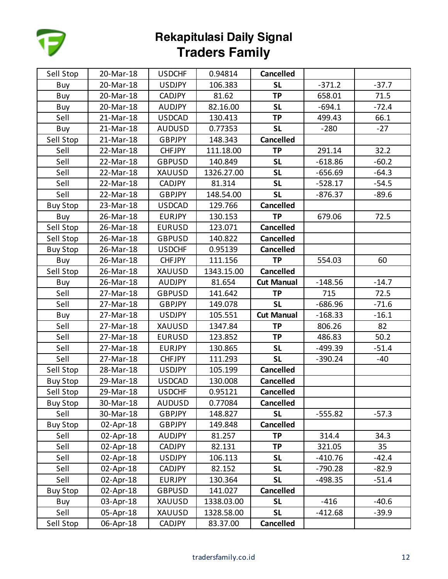

| Sell Stop       | 20-Mar-18 | <b>USDCHF</b> | 0.94814    | <b>Cancelled</b>  |           |         |
|-----------------|-----------|---------------|------------|-------------------|-----------|---------|
| Buy             | 20-Mar-18 | <b>USDJPY</b> | 106.383    | <b>SL</b>         | $-371.2$  | $-37.7$ |
| Buy             | 20-Mar-18 | <b>CADJPY</b> | 81.62      | <b>TP</b>         | 658.01    | 71.5    |
| Buy             | 20-Mar-18 | <b>AUDJPY</b> | 82.16.00   | <b>SL</b>         | $-694.1$  | $-72.4$ |
| Sell            | 21-Mar-18 | <b>USDCAD</b> | 130.413    | <b>TP</b>         | 499.43    | 66.1    |
| Buy             | 21-Mar-18 | <b>AUDUSD</b> | 0.77353    | <b>SL</b>         | $-280$    | $-27$   |
| Sell Stop       | 21-Mar-18 | <b>GBPJPY</b> | 148.343    | <b>Cancelled</b>  |           |         |
| Sell            | 22-Mar-18 | <b>CHFJPY</b> | 111.18.00  | <b>TP</b>         | 291.14    | 32.2    |
| Sell            | 22-Mar-18 | <b>GBPUSD</b> | 140.849    | <b>SL</b>         | $-618.86$ | $-60.2$ |
| Sell            | 22-Mar-18 | XAUUSD        | 1326.27.00 | <b>SL</b>         | $-656.69$ | $-64.3$ |
| Sell            | 22-Mar-18 | <b>CADJPY</b> | 81.314     | <b>SL</b>         | $-528.17$ | $-54.5$ |
| Sell            | 22-Mar-18 | <b>GBPJPY</b> | 148.54.00  | <b>SL</b>         | $-876.37$ | $-89.6$ |
| <b>Buy Stop</b> | 23-Mar-18 | <b>USDCAD</b> | 129.766    | <b>Cancelled</b>  |           |         |
| Buy             | 26-Mar-18 | <b>EURJPY</b> | 130.153    | <b>TP</b>         | 679.06    | 72.5    |
| Sell Stop       | 26-Mar-18 | <b>EURUSD</b> | 123.071    | <b>Cancelled</b>  |           |         |
| Sell Stop       | 26-Mar-18 | <b>GBPUSD</b> | 140.822    | <b>Cancelled</b>  |           |         |
| <b>Buy Stop</b> | 26-Mar-18 | <b>USDCHF</b> | 0.95139    | <b>Cancelled</b>  |           |         |
| Buy             | 26-Mar-18 | <b>CHFJPY</b> | 111.156    | <b>TP</b>         | 554.03    | 60      |
| Sell Stop       | 26-Mar-18 | XAUUSD        | 1343.15.00 | <b>Cancelled</b>  |           |         |
| Buy             | 26-Mar-18 | <b>AUDJPY</b> | 81.654     | <b>Cut Manual</b> | $-148.56$ | $-14.7$ |
| Sell            | 27-Mar-18 | <b>GBPUSD</b> | 141.642    | <b>TP</b>         | 715       | 72.5    |
| Sell            | 27-Mar-18 | <b>GBPJPY</b> | 149.078    | <b>SL</b>         | $-686.96$ | $-71.6$ |
| Buy             | 27-Mar-18 | <b>USDJPY</b> | 105.551    | <b>Cut Manual</b> | $-168.33$ | $-16.1$ |
| Sell            | 27-Mar-18 | <b>XAUUSD</b> | 1347.84    | <b>TP</b>         | 806.26    | 82      |
| Sell            | 27-Mar-18 | <b>EURUSD</b> | 123.852    | <b>TP</b>         | 486.83    | 50.2    |
| Sell            | 27-Mar-18 | <b>EURJPY</b> | 130.865    | <b>SL</b>         | -499.39   | $-51.4$ |
| Sell            | 27-Mar-18 | <b>CHFJPY</b> | 111.293    | <b>SL</b>         | $-390.24$ | -40     |
| Sell Stop       | 28-Mar-18 | <b>USDJPY</b> | 105.199    | <b>Cancelled</b>  |           |         |
| <b>Buy Stop</b> | 29-Mar-18 | <b>USDCAD</b> | 130.008    | <b>Cancelled</b>  |           |         |
| Sell Stop       | 29-Mar-18 | <b>USDCHF</b> | 0.95121    | <b>Cancelled</b>  |           |         |
| <b>Buy Stop</b> | 30-Mar-18 | <b>AUDUSD</b> | 0.77084    | <b>Cancelled</b>  |           |         |
| Sell            | 30-Mar-18 | <b>GBPJPY</b> | 148.827    | <b>SL</b>         | $-555.82$ | $-57.3$ |
| <b>Buy Stop</b> | 02-Apr-18 | <b>GBPJPY</b> | 149.848    | <b>Cancelled</b>  |           |         |
| Sell            | 02-Apr-18 | <b>AUDJPY</b> | 81.257     | <b>TP</b>         | 314.4     | 34.3    |
| Sell            | 02-Apr-18 | <b>CADJPY</b> | 82.131     | <b>TP</b>         | 321.05    | 35      |
| Sell            | 02-Apr-18 | <b>USDJPY</b> | 106.113    | <b>SL</b>         | $-410.76$ | $-42.4$ |
| Sell            | 02-Apr-18 | <b>CADJPY</b> | 82.152     | <b>SL</b>         | $-790.28$ | $-82.9$ |
| Sell            | 02-Apr-18 | <b>EURJPY</b> | 130.364    | <b>SL</b>         | $-498.35$ | $-51.4$ |
| <b>Buy Stop</b> | 02-Apr-18 | <b>GBPUSD</b> | 141.027    | <b>Cancelled</b>  |           |         |
| Buy             | 03-Apr-18 | XAUUSD        | 1338.03.00 | <b>SL</b>         | $-416$    | $-40.6$ |
| Sell            | 05-Apr-18 | XAUUSD        | 1328.58.00 | <b>SL</b>         | $-412.68$ | $-39.9$ |
| Sell Stop       | 06-Apr-18 | <b>CADJPY</b> | 83.37.00   | Cancelled         |           |         |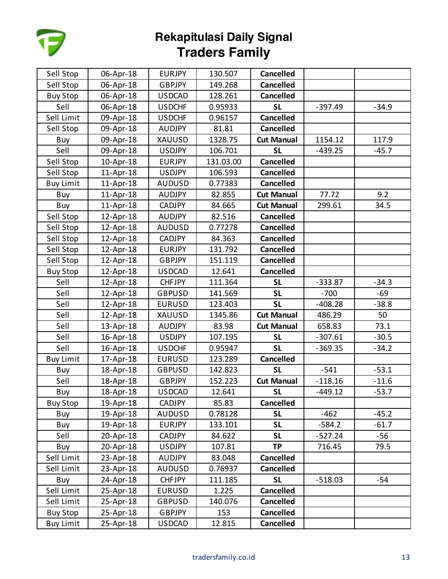

| Sell Stop        | 06-Apr-18 | <b>EURJPY</b> | 130.507   | <b>Cancelled</b>  |           |         |
|------------------|-----------|---------------|-----------|-------------------|-----------|---------|
| Sell Stop        | 06-Apr-18 | <b>GBPJPY</b> | 149.268   | <b>Cancelled</b>  |           |         |
| <b>Buy Stop</b>  | 06-Apr-18 | <b>USDCAD</b> | 128.261   | <b>Cancelled</b>  |           |         |
| Sell             | 06-Apr-18 | <b>USDCHF</b> | 0.95933   | <b>SL</b>         | $-397.49$ | $-34.9$ |
| Sell Limit       | 09-Apr-18 | <b>USDCHF</b> | 0.96157   | <b>Cancelled</b>  |           |         |
| Sell Stop        | 09-Apr-18 | <b>AUDJPY</b> | 81.81     | <b>Cancelled</b>  |           |         |
| Buy              | 09-Apr-18 | XAUUSD        | 1328.75   | <b>Cut Manual</b> | 1154.12   | 117.9   |
| Sell             | 09-Apr-18 | <b>USDJPY</b> | 106.701   | <b>SL</b>         | $-439.25$ | $-45.7$ |
| Sell Stop        | 10-Apr-18 | <b>EURJPY</b> | 131.03.00 | <b>Cancelled</b>  |           |         |
| Sell Stop        | 11-Apr-18 | <b>USDJPY</b> | 106.593   | <b>Cancelled</b>  |           |         |
| <b>Buy Limit</b> | 11-Apr-18 | <b>AUDUSD</b> | 0.77383   | <b>Cancelled</b>  |           |         |
| Buy              | 11-Apr-18 | <b>AUDJPY</b> | 82.855    | <b>Cut Manual</b> | 77.72     | 9.2     |
| Buy              | 11-Apr-18 | <b>CADJPY</b> | 84.665    | <b>Cut Manual</b> | 299.61    | 34.5    |
| Sell Stop        | 12-Apr-18 | <b>AUDJPY</b> | 82.516    | <b>Cancelled</b>  |           |         |
| Sell Stop        | 12-Apr-18 | <b>AUDUSD</b> | 0.77278   | <b>Cancelled</b>  |           |         |
| Sell Stop        | 12-Apr-18 | <b>CADJPY</b> | 84.363    | <b>Cancelled</b>  |           |         |
| Sell Stop        | 12-Apr-18 | <b>EURJPY</b> | 131.792   | <b>Cancelled</b>  |           |         |
| Sell Stop        | 12-Apr-18 | <b>GBPJPY</b> | 151.119   | <b>Cancelled</b>  |           |         |
| <b>Buy Stop</b>  | 12-Apr-18 | <b>USDCAD</b> | 12.641    | <b>Cancelled</b>  |           |         |
| Sell             | 12-Apr-18 | <b>CHFJPY</b> | 111.364   | <b>SL</b>         | $-333.87$ | $-34.3$ |
| Sell             | 12-Apr-18 | <b>GBPUSD</b> | 141.569   | <b>SL</b>         | $-700$    | $-69$   |
| Sell             | 12-Apr-18 | <b>EURUSD</b> | 123.403   | <b>SL</b>         | $-408.28$ | $-38.8$ |
| Sell             | 12-Apr-18 | XAUUSD        | 1345.86   | <b>Cut Manual</b> | 486.29    | 50      |
| Sell             | 13-Apr-18 | <b>AUDJPY</b> | 83.98     | <b>Cut Manual</b> | 658.83    | 73.1    |
| Sell             | 16-Apr-18 | <b>USDJPY</b> | 107.195   | <b>SL</b>         | $-307.61$ | $-30.5$ |
| Sell             | 16-Apr-18 | <b>USDCHF</b> | 0.95947   | <b>SL</b>         | $-369.35$ | $-34.2$ |
| <b>Buy Limit</b> | 17-Apr-18 | <b>EURUSD</b> | 123.289   | <b>Cancelled</b>  |           |         |
| Buy              | 18-Apr-18 | <b>GBPUSD</b> | 142.823   | <b>SL</b>         | $-541$    | $-53.1$ |
| Sell             | 18-Apr-18 | <b>GBPJPY</b> | 152.223   | <b>Cut Manual</b> | $-118.16$ | $-11.6$ |
| Buy              | 18-Apr-18 | <b>USDCAD</b> | 12.641    | <b>SL</b>         | $-449.12$ | $-53.7$ |
| <b>Buy Stop</b>  | 19-Apr-18 | <b>CADJPY</b> | 85.83     | <b>Cancelled</b>  |           |         |
| Buy              | 19-Apr-18 | <b>AUDUSD</b> | 0.78128   | <b>SL</b>         | $-462$    | $-45.2$ |
| Buy              | 19-Apr-18 | <b>EURJPY</b> | 133.101   | <b>SL</b>         | $-584.2$  | $-61.7$ |
| Sell             | 20-Apr-18 | <b>CADJPY</b> | 84.622    | <b>SL</b>         | $-527.24$ | $-56$   |
| Buy              | 20-Apr-18 | <b>USDJPY</b> | 107.81    | <b>TP</b>         | 716.45    | 79.5    |
| Sell Limit       | 23-Apr-18 | <b>AUDJPY</b> | 83.048    | <b>Cancelled</b>  |           |         |
| Sell Limit       | 23-Apr-18 | <b>AUDUSD</b> | 0.76937   | <b>Cancelled</b>  |           |         |
| Buy              | 24-Apr-18 | <b>CHFJPY</b> | 111.185   | <b>SL</b>         | $-518.03$ | $-54$   |
| Sell Limit       | 25-Apr-18 | <b>EURUSD</b> | 1.225     | <b>Cancelled</b>  |           |         |
| Sell Limit       | 25-Apr-18 | <b>GBPUSD</b> | 140.076   | <b>Cancelled</b>  |           |         |
| <b>Buy Stop</b>  | 25-Apr-18 | <b>GBPJPY</b> | 153       | <b>Cancelled</b>  |           |         |
| <b>Buy Limit</b> | 25-Apr-18 | <b>USDCAD</b> | 12.815    | Cancelled         |           |         |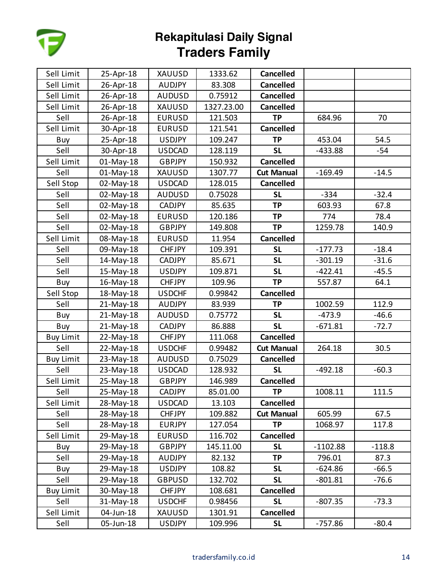

| Sell Limit       | 25-Apr-18 | <b>XAUUSD</b> | 1333.62    | <b>Cancelled</b>  |            |          |
|------------------|-----------|---------------|------------|-------------------|------------|----------|
| Sell Limit       | 26-Apr-18 | <b>AUDJPY</b> | 83.308     | <b>Cancelled</b>  |            |          |
| Sell Limit       | 26-Apr-18 | <b>AUDUSD</b> | 0.75912    | <b>Cancelled</b>  |            |          |
| Sell Limit       | 26-Apr-18 | XAUUSD        | 1327.23.00 | <b>Cancelled</b>  |            |          |
| Sell             | 26-Apr-18 | <b>EURUSD</b> | 121.503    | <b>TP</b>         | 684.96     | 70       |
| Sell Limit       | 30-Apr-18 | <b>EURUSD</b> | 121.541    | Cancelled         |            |          |
| Buy              | 25-Apr-18 | <b>USDJPY</b> | 109.247    | <b>TP</b>         | 453.04     | 54.5     |
| Sell             | 30-Apr-18 | <b>USDCAD</b> | 128.119    | <b>SL</b>         | $-433.88$  | -54      |
| Sell Limit       | 01-May-18 | <b>GBPJPY</b> | 150.932    | <b>Cancelled</b>  |            |          |
| Sell             | 01-May-18 | XAUUSD        | 1307.77    | <b>Cut Manual</b> | $-169.49$  | $-14.5$  |
| Sell Stop        | 02-May-18 | <b>USDCAD</b> | 128.015    | <b>Cancelled</b>  |            |          |
| Sell             | 02-May-18 | <b>AUDUSD</b> | 0.75028    | <b>SL</b>         | $-334$     | $-32.4$  |
| Sell             | 02-May-18 | <b>CADJPY</b> | 85.635     | <b>TP</b>         | 603.93     | 67.8     |
| Sell             | 02-May-18 | <b>EURUSD</b> | 120.186    | <b>TP</b>         | 774        | 78.4     |
| Sell             | 02-May-18 | <b>GBPJPY</b> | 149.808    | <b>TP</b>         | 1259.78    | 140.9    |
| Sell Limit       | 08-May-18 | <b>EURUSD</b> | 11.954     | <b>Cancelled</b>  |            |          |
| Sell             | 09-May-18 | <b>CHFJPY</b> | 109.391    | <b>SL</b>         | $-177.73$  | $-18.4$  |
| Sell             | 14-May-18 | <b>CADJPY</b> | 85.671     | <b>SL</b>         | $-301.19$  | $-31.6$  |
| Sell             | 15-May-18 | <b>USDJPY</b> | 109.871    | <b>SL</b>         | $-422.41$  | $-45.5$  |
| Buy              | 16-May-18 | <b>CHFJPY</b> | 109.96     | <b>TP</b>         | 557.87     | 64.1     |
| Sell Stop        | 18-May-18 | <b>USDCHF</b> | 0.99842    | <b>Cancelled</b>  |            |          |
| Sell             | 21-May-18 | <b>AUDJPY</b> | 83.939     | <b>TP</b>         | 1002.59    | 112.9    |
| Buy              | 21-May-18 | <b>AUDUSD</b> | 0.75772    | <b>SL</b>         | $-473.9$   | $-46.6$  |
| Buy              | 21-May-18 | <b>CADJPY</b> | 86.888     | <b>SL</b>         | $-671.81$  | $-72.7$  |
| <b>Buy Limit</b> | 22-May-18 | <b>CHFJPY</b> | 111.068    | <b>Cancelled</b>  |            |          |
| Sell             | 22-May-18 | <b>USDCHF</b> | 0.99482    | <b>Cut Manual</b> | 264.18     | 30.5     |
| <b>Buy Limit</b> | 23-May-18 | <b>AUDUSD</b> | 0.75029    | <b>Cancelled</b>  |            |          |
| Sell             | 23-May-18 | <b>USDCAD</b> | 128.932    | <b>SL</b>         | $-492.18$  | $-60.3$  |
| Sell Limit       | 25-May-18 | <b>GBPJPY</b> | 146.989    | <b>Cancelled</b>  |            |          |
| Sell             | 25-May-18 | <b>CADJPY</b> | 85.01.00   | <b>TP</b>         | 1008.11    | 111.5    |
| Sell Limit       | 28-May-18 | <b>USDCAD</b> | 13.103     | <b>Cancelled</b>  |            |          |
| Sell             | 28-May-18 | <b>CHFJPY</b> | 109.882    | <b>Cut Manual</b> | 605.99     | 67.5     |
| Sell             | 28-May-18 | <b>EURJPY</b> | 127.054    | <b>TP</b>         | 1068.97    | 117.8    |
| Sell Limit       | 29-May-18 | <b>EURUSD</b> | 116.702    | <b>Cancelled</b>  |            |          |
| Buy              | 29-May-18 | <b>GBPJPY</b> | 145.11.00  | <b>SL</b>         | $-1102.88$ | $-118.8$ |
| Sell             | 29-May-18 | <b>AUDJPY</b> | 82.132     | <b>TP</b>         | 796.01     | 87.3     |
| Buy              | 29-May-18 | <b>USDJPY</b> | 108.82     | <b>SL</b>         | $-624.86$  | $-66.5$  |
| Sell             | 29-May-18 | <b>GBPUSD</b> | 132.702    | <b>SL</b>         | $-801.81$  | $-76.6$  |
| <b>Buy Limit</b> | 30-May-18 | <b>CHFJPY</b> | 108.681    | <b>Cancelled</b>  |            |          |
| Sell             | 31-May-18 | <b>USDCHF</b> | 0.98456    | <b>SL</b>         | $-807.35$  | $-73.3$  |
| Sell Limit       | 04-Jun-18 | XAUUSD        | 1301.91    | <b>Cancelled</b>  |            |          |
| Sell             | 05-Jun-18 | <b>USDJPY</b> | 109.996    | <b>SL</b>         | $-757.86$  | $-80.4$  |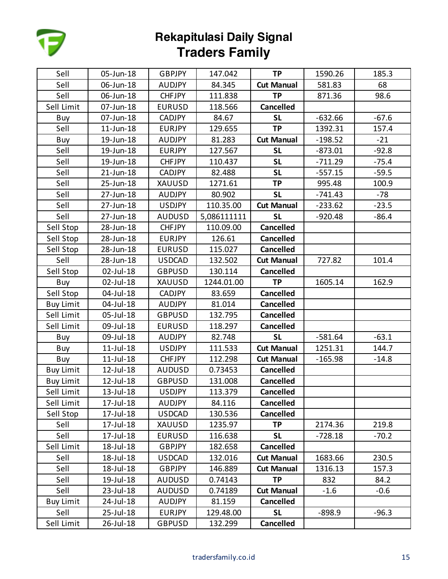

| Sell             | 05-Jun-18       | <b>GBPJPY</b> | 147.042     | <b>TP</b>         | 1590.26   | 185.3   |
|------------------|-----------------|---------------|-------------|-------------------|-----------|---------|
| Sell             | 06-Jun-18       | <b>AUDJPY</b> | 84.345      | <b>Cut Manual</b> | 581.83    | 68      |
| Sell             | 06-Jun-18       | <b>CHFJPY</b> | 111.838     | <b>TP</b>         | 871.36    | 98.6    |
| Sell Limit       | 07-Jun-18       | <b>EURUSD</b> | 118.566     | <b>Cancelled</b>  |           |         |
| Buy              | 07-Jun-18       | <b>CADJPY</b> | 84.67       | <b>SL</b>         | $-632.66$ | $-67.6$ |
| Sell             | $11$ -Jun- $18$ | <b>EURJPY</b> | 129.655     | <b>TP</b>         | 1392.31   | 157.4   |
| Buy              | 19-Jun-18       | <b>AUDJPY</b> | 81.283      | <b>Cut Manual</b> | $-198.52$ | $-21$   |
| Sell             | 19-Jun-18       | <b>EURJPY</b> | 127.567     | <b>SL</b>         | $-873.01$ | $-92.8$ |
| Sell             | 19-Jun-18       | <b>CHFJPY</b> | 110.437     | <b>SL</b>         | $-711.29$ | $-75.4$ |
| Sell             | $21$ -Jun-18    | CADJPY        | 82.488      | <b>SL</b>         | $-557.15$ | $-59.5$ |
| Sell             | 25-Jun-18       | XAUUSD        | 1271.61     | <b>TP</b>         | 995.48    | 100.9   |
| Sell             | 27-Jun-18       | <b>AUDJPY</b> | 80.902      | <b>SL</b>         | $-741.43$ | $-78$   |
| Sell             | 27-Jun-18       | <b>USDJPY</b> | 110.35.00   | <b>Cut Manual</b> | $-233.62$ | $-23.5$ |
| Sell             | 27-Jun-18       | <b>AUDUSD</b> | 5,086111111 | <b>SL</b>         | $-920.48$ | $-86.4$ |
| Sell Stop        | 28-Jun-18       | <b>CHFJPY</b> | 110.09.00   | <b>Cancelled</b>  |           |         |
| Sell Stop        | 28-Jun-18       | <b>EURJPY</b> | 126.61      | <b>Cancelled</b>  |           |         |
| Sell Stop        | 28-Jun-18       | <b>EURUSD</b> | 115.027     | <b>Cancelled</b>  |           |         |
| Sell             | 28-Jun-18       | <b>USDCAD</b> | 132.502     | <b>Cut Manual</b> | 727.82    | 101.4   |
| Sell Stop        | 02-Jul-18       | <b>GBPUSD</b> | 130.114     | <b>Cancelled</b>  |           |         |
| Buy              | 02-Jul-18       | XAUUSD        | 1244.01.00  | <b>TP</b>         | 1605.14   | 162.9   |
| Sell Stop        | 04-Jul-18       | <b>CADJPY</b> | 83.659      | <b>Cancelled</b>  |           |         |
| <b>Buy Limit</b> | 04-Jul-18       | <b>AUDJPY</b> | 81.014      | <b>Cancelled</b>  |           |         |
| Sell Limit       | 05-Jul-18       | <b>GBPUSD</b> | 132.795     | <b>Cancelled</b>  |           |         |
| Sell Limit       | 09-Jul-18       | <b>EURUSD</b> | 118.297     | <b>Cancelled</b>  |           |         |
| Buy              | 09-Jul-18       | <b>AUDJPY</b> | 82.748      | <b>SL</b>         | $-581.64$ | $-63.1$ |
| Buy              | $11$ -Jul- $18$ | <b>USDJPY</b> | 111.533     | <b>Cut Manual</b> | 1251.31   | 144.7   |
| Buy              | 11-Jul-18       | <b>CHFJPY</b> | 112.298     | <b>Cut Manual</b> | $-165.98$ | $-14.8$ |
| <b>Buy Limit</b> | 12-Jul-18       | <b>AUDUSD</b> | 0.73453     | <b>Cancelled</b>  |           |         |
| <b>Buy Limit</b> | 12-Jul-18       | <b>GBPUSD</b> | 131.008     | <b>Cancelled</b>  |           |         |
| Sell Limit       | 13-Jul-18       | <b>USDJPY</b> | 113.379     | <b>Cancelled</b>  |           |         |
| Sell Limit       | 17-Jul-18       | <b>AUDJPY</b> | 84.116      | <b>Cancelled</b>  |           |         |
| Sell Stop        | 17-Jul-18       | <b>USDCAD</b> | 130.536     | <b>Cancelled</b>  |           |         |
| Sell             | 17-Jul-18       | XAUUSD        | 1235.97     | <b>TP</b>         | 2174.36   | 219.8   |
| Sell             | 17-Jul-18       | <b>EURUSD</b> | 116.638     | <b>SL</b>         | $-728.18$ | $-70.2$ |
| Sell Limit       | 18-Jul-18       | <b>GBPJPY</b> | 182.658     | <b>Cancelled</b>  |           |         |
| Sell             | 18-Jul-18       | <b>USDCAD</b> | 132.016     | <b>Cut Manual</b> | 1683.66   | 230.5   |
| Sell             | 18-Jul-18       | <b>GBPJPY</b> | 146.889     | <b>Cut Manual</b> | 1316.13   | 157.3   |
| Sell             | 19-Jul-18       | <b>AUDUSD</b> | 0.74143     | <b>TP</b>         | 832       | 84.2    |
| Sell             | 23-Jul-18       | <b>AUDUSD</b> | 0.74189     | <b>Cut Manual</b> | $-1.6$    | $-0.6$  |
| <b>Buy Limit</b> | 24-Jul-18       | <b>AUDJPY</b> | 81.159      | <b>Cancelled</b>  |           |         |
| Sell             | 25-Jul-18       | <b>EURJPY</b> | 129.48.00   | <b>SL</b>         | $-898.9$  | $-96.3$ |
| Sell Limit       | 26-Jul-18       | <b>GBPUSD</b> | 132.299     | Cancelled         |           |         |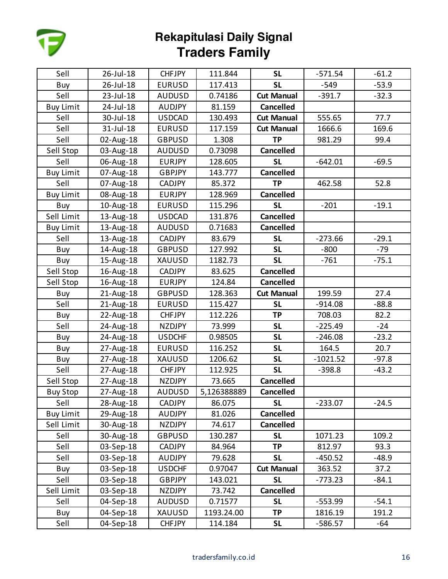

| Sell             | 26-Jul-18    | <b>CHFJPY</b> | 111.844     | <b>SL</b>         | $-571.54$  | $-61.2$ |
|------------------|--------------|---------------|-------------|-------------------|------------|---------|
| Buy              | 26-Jul-18    | <b>EURUSD</b> | 117.413     | <b>SL</b>         | $-549$     | $-53.9$ |
| Sell             | 23-Jul-18    | <b>AUDUSD</b> | 0.74186     | <b>Cut Manual</b> | $-391.7$   | $-32.3$ |
| <b>Buy Limit</b> | 24-Jul-18    | <b>AUDJPY</b> | 81.159      | <b>Cancelled</b>  |            |         |
| Sell             | 30-Jul-18    | <b>USDCAD</b> | 130.493     | <b>Cut Manual</b> | 555.65     | 77.7    |
| Sell             | 31-Jul-18    | <b>EURUSD</b> | 117.159     | <b>Cut Manual</b> | 1666.6     | 169.6   |
| Sell             | 02-Aug-18    | <b>GBPUSD</b> | 1.308       | <b>TP</b>         | 981.29     | 99.4    |
| Sell Stop        | 03-Aug-18    | <b>AUDUSD</b> | 0.73098     | <b>Cancelled</b>  |            |         |
| Sell             | 06-Aug-18    | <b>EURJPY</b> | 128.605     | <b>SL</b>         | $-642.01$  | $-69.5$ |
| <b>Buy Limit</b> | 07-Aug-18    | <b>GBPJPY</b> | 143.777     | <b>Cancelled</b>  |            |         |
| Sell             | 07-Aug-18    | <b>CADJPY</b> | 85.372      | <b>TP</b>         | 462.58     | 52.8    |
| <b>Buy Limit</b> | 08-Aug-18    | <b>EURJPY</b> | 128.969     | <b>Cancelled</b>  |            |         |
| Buy              | 10-Aug-18    | <b>EURUSD</b> | 115.296     | <b>SL</b>         | $-201$     | $-19.1$ |
| Sell Limit       | 13-Aug-18    | <b>USDCAD</b> | 131.876     | <b>Cancelled</b>  |            |         |
| <b>Buy Limit</b> | 13-Aug-18    | <b>AUDUSD</b> | 0.71683     | <b>Cancelled</b>  |            |         |
| Sell             | 13-Aug-18    | <b>CADJPY</b> | 83.679      | <b>SL</b>         | $-273.66$  | $-29.1$ |
| Buy              | 14-Aug-18    | <b>GBPUSD</b> | 127.992     | <b>SL</b>         | $-800$     | -79     |
| Buy              | 15-Aug-18    | XAUUSD        | 1182.73     | <b>SL</b>         | $-761$     | $-75.1$ |
| Sell Stop        | 16-Aug-18    | <b>CADJPY</b> | 83.625      | <b>Cancelled</b>  |            |         |
| Sell Stop        | 16-Aug-18    | <b>EURJPY</b> | 124.84      | <b>Cancelled</b>  |            |         |
| Buy              | 21-Aug-18    | <b>GBPUSD</b> | 128.363     | <b>Cut Manual</b> | 199.59     | 27.4    |
| Sell             | $21$ -Aug-18 | <b>EURUSD</b> | 115.427     | <b>SL</b>         | $-914.08$  | $-88.8$ |
| Buy              | 22-Aug-18    | <b>CHFJPY</b> | 112.226     | <b>TP</b>         | 708.03     | 82.2    |
| Sell             | 24-Aug-18    | <b>NZDJPY</b> | 73.999      | <b>SL</b>         | $-225.49$  | $-24$   |
| Buy              | 24-Aug-18    | <b>USDCHF</b> | 0.98505     | <b>SL</b>         | $-246.08$  | $-23.2$ |
| Buy              | 27-Aug-18    | <b>EURUSD</b> | 116.252     | <b>SL</b>         | 164.5      | 20.7    |
| Buy              | 27-Aug-18    | XAUUSD        | 1206.62     | <b>SL</b>         | $-1021.52$ | $-97.8$ |
| Sell             | 27-Aug-18    | <b>CHFJPY</b> | 112.925     | <b>SL</b>         | $-398.8$   | $-43.2$ |
| Sell Stop        | 27-Aug-18    | <b>NZDJPY</b> | 73.665      | <b>Cancelled</b>  |            |         |
| <b>Buy Stop</b>  | 27-Aug-18    | <b>AUDUSD</b> | 5,126388889 | <b>Cancelled</b>  |            |         |
| Sell             | 28-Aug-18    | <b>CADJPY</b> | 86.075      | <b>SL</b>         | $-233.07$  | $-24.5$ |
| <b>Buy Limit</b> | 29-Aug-18    | <b>AUDJPY</b> | 81.026      | <b>Cancelled</b>  |            |         |
| Sell Limit       | 30-Aug-18    | NZDJPY        | 74.617      | <b>Cancelled</b>  |            |         |
| Sell             | 30-Aug-18    | <b>GBPUSD</b> | 130.287     | <b>SL</b>         | 1071.23    | 109.2   |
| Sell             | 03-Sep-18    | <b>CADJPY</b> | 84.964      | TP                | 812.97     | 93.3    |
| Sell             | 03-Sep-18    | <b>AUDJPY</b> | 79.628      | <b>SL</b>         | $-450.52$  | $-48.9$ |
| Buy              | 03-Sep-18    | <b>USDCHF</b> | 0.97047     | <b>Cut Manual</b> | 363.52     | 37.2    |
| Sell             | 03-Sep-18    | <b>GBPJPY</b> | 143.021     | <b>SL</b>         | $-773.23$  | $-84.1$ |
| Sell Limit       | 03-Sep-18    | <b>NZDJPY</b> | 73.742      | <b>Cancelled</b>  |            |         |
| Sell             | 04-Sep-18    | <b>AUDUSD</b> | 0.71577     | <b>SL</b>         | $-553.99$  | $-54.1$ |
| Buy              | 04-Sep-18    | XAUUSD        | 1193.24.00  | <b>TP</b>         | 1816.19    | 191.2   |
| Sell             | 04-Sep-18    | <b>CHFJPY</b> | 114.184     | <b>SL</b>         | $-586.57$  | -64     |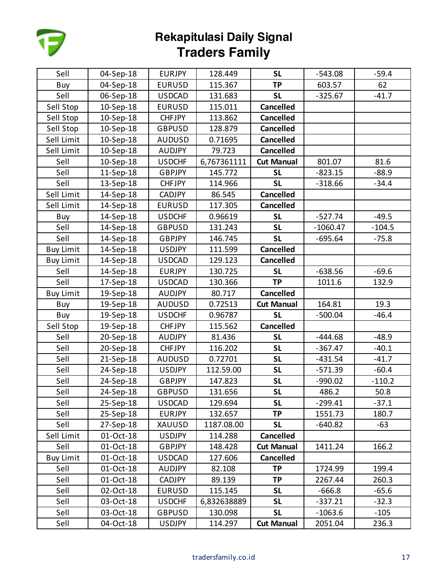

| Sell             | 04-Sep-18 | <b>EURJPY</b> | 128.449     | <b>SL</b>         | $-543.08$  | $-59.4$  |
|------------------|-----------|---------------|-------------|-------------------|------------|----------|
| Buy              | 04-Sep-18 | <b>EURUSD</b> | 115.367     | <b>TP</b>         | 603.57     | 62       |
| Sell             | 06-Sep-18 | <b>USDCAD</b> | 131.683     | <b>SL</b>         | $-325.67$  | $-41.7$  |
| Sell Stop        | 10-Sep-18 | <b>EURUSD</b> | 115.011     | <b>Cancelled</b>  |            |          |
| Sell Stop        | 10-Sep-18 | <b>CHFJPY</b> | 113.862     | <b>Cancelled</b>  |            |          |
| Sell Stop        | 10-Sep-18 | <b>GBPUSD</b> | 128.879     | <b>Cancelled</b>  |            |          |
| Sell Limit       | 10-Sep-18 | <b>AUDUSD</b> | 0.71695     | <b>Cancelled</b>  |            |          |
| Sell Limit       | 10-Sep-18 | <b>AUDJPY</b> | 79.723      | <b>Cancelled</b>  |            |          |
| Sell             | 10-Sep-18 | <b>USDCHF</b> | 6,767361111 | <b>Cut Manual</b> | 801.07     | 81.6     |
| Sell             | 11-Sep-18 | <b>GBPJPY</b> | 145.772     | <b>SL</b>         | $-823.15$  | $-88.9$  |
| Sell             | 13-Sep-18 | <b>CHFJPY</b> | 114.966     | <b>SL</b>         | $-318.66$  | $-34.4$  |
| Sell Limit       | 14-Sep-18 | <b>CADJPY</b> | 86.545      | <b>Cancelled</b>  |            |          |
| Sell Limit       | 14-Sep-18 | <b>EURUSD</b> | 117.305     | <b>Cancelled</b>  |            |          |
| Buy              | 14-Sep-18 | <b>USDCHF</b> | 0.96619     | <b>SL</b>         | $-527.74$  | $-49.5$  |
| Sell             | 14-Sep-18 | <b>GBPUSD</b> | 131.243     | <b>SL</b>         | $-1060.47$ | $-104.5$ |
| Sell             | 14-Sep-18 | <b>GBPJPY</b> | 146.745     | <b>SL</b>         | $-695.64$  | $-75.8$  |
| <b>Buy Limit</b> | 14-Sep-18 | <b>USDJPY</b> | 111.599     | <b>Cancelled</b>  |            |          |
| <b>Buy Limit</b> | 14-Sep-18 | <b>USDCAD</b> | 129.123     | <b>Cancelled</b>  |            |          |
| Sell             | 14-Sep-18 | <b>EURJPY</b> | 130.725     | <b>SL</b>         | $-638.56$  | $-69.6$  |
| Sell             | 17-Sep-18 | <b>USDCAD</b> | 130.366     | <b>TP</b>         | 1011.6     | 132.9    |
| <b>Buy Limit</b> | 19-Sep-18 | <b>AUDJPY</b> | 80.717      | <b>Cancelled</b>  |            |          |
| Buy              | 19-Sep-18 | <b>AUDUSD</b> | 0.72513     | <b>Cut Manual</b> | 164.81     | 19.3     |
| Buy              | 19-Sep-18 | <b>USDCHF</b> | 0.96787     | <b>SL</b>         | $-500.04$  | $-46.4$  |
| Sell Stop        | 19-Sep-18 | <b>CHFJPY</b> | 115.562     | <b>Cancelled</b>  |            |          |
| Sell             | 20-Sep-18 | <b>AUDJPY</b> | 81.436      | <b>SL</b>         | $-444.68$  | $-48.9$  |
| Sell             | 20-Sep-18 | <b>CHFJPY</b> | 116.202     | <b>SL</b>         | $-367.47$  | $-40.1$  |
| Sell             | 21-Sep-18 | <b>AUDUSD</b> | 0.72701     | <b>SL</b>         | $-431.54$  | $-41.7$  |
| Sell             | 24-Sep-18 | <b>USDJPY</b> | 112.59.00   | <b>SL</b>         | $-571.39$  | $-60.4$  |
| Sell             | 24-Sep-18 | <b>GBPJPY</b> | 147.823     | <b>SL</b>         | $-990.02$  | $-110.2$ |
| Sell             | 24-Sep-18 | <b>GBPUSD</b> | 131.656     | <b>SL</b>         | 486.2      | 50.8     |
| Sell             | 25-Sep-18 | <b>USDCAD</b> | 129.694     | <b>SL</b>         | $-299.41$  | $-37.1$  |
| Sell             | 25-Sep-18 | <b>EURJPY</b> | 132.657     | <b>TP</b>         | 1551.73    | 180.7    |
| Sell             | 27-Sep-18 | XAUUSD        | 1187.08.00  | <b>SL</b>         | $-640.82$  | $-63$    |
| Sell Limit       | 01-Oct-18 | <b>USDJPY</b> | 114.288     | <b>Cancelled</b>  |            |          |
| Sell             | 01-Oct-18 | <b>GBPJPY</b> | 148.428     | <b>Cut Manual</b> | 1411.24    | 166.2    |
| <b>Buy Limit</b> | 01-Oct-18 | <b>USDCAD</b> | 127.606     | <b>Cancelled</b>  |            |          |
| Sell             | 01-Oct-18 | <b>AUDJPY</b> | 82.108      | <b>TP</b>         | 1724.99    | 199.4    |
| Sell             | 01-Oct-18 | <b>CADJPY</b> | 89.139      | <b>TP</b>         | 2267.44    | 260.3    |
| Sell             | 02-Oct-18 | <b>EURUSD</b> | 115.145     | <b>SL</b>         | $-666.8$   | $-65.6$  |
| Sell             | 03-Oct-18 | <b>USDCHF</b> | 6,832638889 | <b>SL</b>         | $-337.21$  | $-32.3$  |
| Sell             | 03-Oct-18 | <b>GBPUSD</b> | 130.098     | <b>SL</b>         | $-1063.6$  | $-105$   |
| Sell             | 04-Oct-18 | <b>USDJPY</b> | 114.297     | <b>Cut Manual</b> | 2051.04    | 236.3    |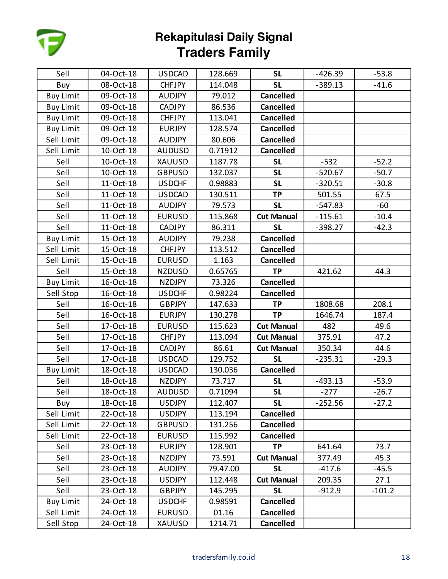

| Sell             | 04-Oct-18 | <b>USDCAD</b> | 128.669  | <b>SL</b>         | $-426.39$ | $-53.8$  |
|------------------|-----------|---------------|----------|-------------------|-----------|----------|
| Buy              | 08-Oct-18 | <b>CHFJPY</b> | 114.048  | <b>SL</b>         | $-389.13$ | $-41.6$  |
| <b>Buy Limit</b> | 09-Oct-18 | <b>AUDJPY</b> | 79.012   | <b>Cancelled</b>  |           |          |
| <b>Buy Limit</b> | 09-Oct-18 | <b>CADJPY</b> | 86.536   | <b>Cancelled</b>  |           |          |
| <b>Buy Limit</b> | 09-Oct-18 | <b>CHFJPY</b> | 113.041  | <b>Cancelled</b>  |           |          |
| <b>Buy Limit</b> | 09-Oct-18 | <b>EURJPY</b> | 128.574  | <b>Cancelled</b>  |           |          |
| Sell Limit       | 09-Oct-18 | <b>AUDJPY</b> | 80.606   | <b>Cancelled</b>  |           |          |
| Sell Limit       | 10-Oct-18 | <b>AUDUSD</b> | 0.71912  | <b>Cancelled</b>  |           |          |
| Sell             | 10-Oct-18 | XAUUSD        | 1187.78  | <b>SL</b>         | $-532$    | $-52.2$  |
| Sell             | 10-Oct-18 | <b>GBPUSD</b> | 132.037  | <b>SL</b>         | $-520.67$ | $-50.7$  |
| Sell             | 11-Oct-18 | <b>USDCHF</b> | 0.98883  | <b>SL</b>         | $-320.51$ | $-30.8$  |
| Sell             | 11-Oct-18 | <b>USDCAD</b> | 130.511  | <b>TP</b>         | 501.55    | 67.5     |
| Sell             | 11-Oct-18 | <b>AUDJPY</b> | 79.573   | <b>SL</b>         | $-547.83$ | -60      |
| Sell             | 11-Oct-18 | <b>EURUSD</b> | 115.868  | <b>Cut Manual</b> | $-115.61$ | $-10.4$  |
| Sell             | 11-Oct-18 | <b>CADJPY</b> | 86.311   | <b>SL</b>         | $-398.27$ | $-42.3$  |
| <b>Buy Limit</b> | 15-Oct-18 | <b>AUDJPY</b> | 79.238   | <b>Cancelled</b>  |           |          |
| Sell Limit       | 15-Oct-18 | <b>CHFJPY</b> | 113.512  | <b>Cancelled</b>  |           |          |
| Sell Limit       | 15-Oct-18 | <b>EURUSD</b> | 1.163    | <b>Cancelled</b>  |           |          |
| Sell             | 15-Oct-18 | <b>NZDUSD</b> | 0.65765  | <b>TP</b>         | 421.62    | 44.3     |
| <b>Buy Limit</b> | 16-Oct-18 | <b>NZDJPY</b> | 73.326   | <b>Cancelled</b>  |           |          |
| Sell Stop        | 16-Oct-18 | <b>USDCHF</b> | 0.98224  | <b>Cancelled</b>  |           |          |
| Sell             | 16-Oct-18 | <b>GBPJPY</b> | 147.633  | <b>TP</b>         | 1808.68   | 208.1    |
| Sell             | 16-Oct-18 | <b>EURJPY</b> | 130.278  | <b>TP</b>         | 1646.74   | 187.4    |
| Sell             | 17-Oct-18 | <b>EURUSD</b> | 115.623  | <b>Cut Manual</b> | 482       | 49.6     |
| Sell             | 17-Oct-18 | <b>CHFJPY</b> | 113.094  | <b>Cut Manual</b> | 375.91    | 47.2     |
| Sell             | 17-Oct-18 | <b>CADJPY</b> | 86.61    | <b>Cut Manual</b> | 350.34    | 44.6     |
| Sell             | 17-Oct-18 | <b>USDCAD</b> | 129.752  | <b>SL</b>         | $-235.31$ | $-29.3$  |
| <b>Buy Limit</b> | 18-Oct-18 | <b>USDCAD</b> | 130.036  | <b>Cancelled</b>  |           |          |
| Sell             | 18-Oct-18 | <b>NZDJPY</b> | 73.717   | <b>SL</b>         | $-493.13$ | $-53.9$  |
| Sell             | 18-Oct-18 | <b>AUDUSD</b> | 0.71094  | <b>SL</b>         | $-277$    | $-26.7$  |
| Buy              | 18-Oct-18 | <b>USDJPY</b> | 112.407  | <b>SL</b>         | $-252.56$ | $-27.2$  |
| Sell Limit       | 22-Oct-18 | <b>USDJPY</b> | 113.194  | <b>Cancelled</b>  |           |          |
| Sell Limit       | 22-Oct-18 | <b>GBPUSD</b> | 131.256  | <b>Cancelled</b>  |           |          |
| Sell Limit       | 22-Oct-18 | <b>EURUSD</b> | 115.992  | <b>Cancelled</b>  |           |          |
| Sell             | 23-Oct-18 | <b>EURJPY</b> | 128.901  | <b>TP</b>         | 641.64    | 73.7     |
| Sell             | 23-Oct-18 | <b>NZDJPY</b> | 73.591   | <b>Cut Manual</b> | 377.49    | 45.3     |
| Sell             | 23-Oct-18 | <b>AUDJPY</b> | 79.47.00 | <b>SL</b>         | $-417.6$  | -45.5    |
| Sell             | 23-Oct-18 | <b>USDJPY</b> | 112.448  | <b>Cut Manual</b> | 209.35    | 27.1     |
| Sell             | 23-Oct-18 | <b>GBPJPY</b> | 145.295  | <b>SL</b>         | $-912.9$  | $-101.2$ |
| <b>Buy Limit</b> | 24-Oct-18 | <b>USDCHF</b> | 0.98591  | <b>Cancelled</b>  |           |          |
| Sell Limit       | 24-Oct-18 | <b>EURUSD</b> | 01.16    | <b>Cancelled</b>  |           |          |
| Sell Stop        | 24-Oct-18 | XAUUSD        | 1214.71  | Cancelled         |           |          |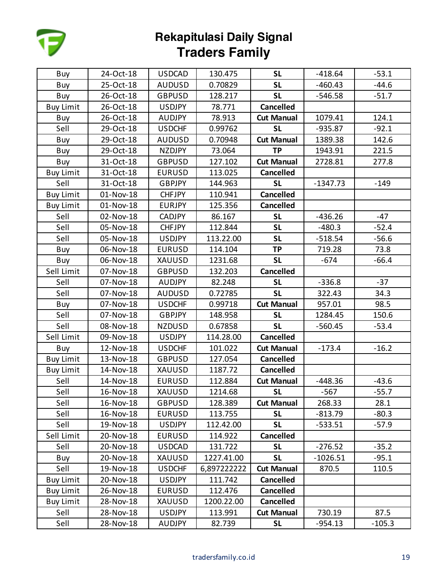

| Buy              | 24-Oct-18 | <b>USDCAD</b> | 130.475     | <b>SL</b>         | $-418.64$  | $-53.1$  |
|------------------|-----------|---------------|-------------|-------------------|------------|----------|
| Buy              | 25-Oct-18 | <b>AUDUSD</b> | 0.70829     | <b>SL</b>         | $-460.43$  | $-44.6$  |
| Buy              | 26-Oct-18 | <b>GBPUSD</b> | 128.217     | <b>SL</b>         | $-546.58$  | $-51.7$  |
| <b>Buy Limit</b> | 26-Oct-18 | <b>USDJPY</b> | 78.771      | <b>Cancelled</b>  |            |          |
| Buy              | 26-Oct-18 | <b>AUDJPY</b> | 78.913      | <b>Cut Manual</b> | 1079.41    | 124.1    |
| Sell             | 29-Oct-18 | <b>USDCHF</b> | 0.99762     | <b>SL</b>         | $-935.87$  | $-92.1$  |
| Buy              | 29-Oct-18 | <b>AUDUSD</b> | 0.70948     | <b>Cut Manual</b> | 1389.38    | 142.6    |
| Buy              | 29-Oct-18 | <b>NZDJPY</b> | 73.064      | <b>TP</b>         | 1943.91    | 221.5    |
| Buy              | 31-Oct-18 | <b>GBPUSD</b> | 127.102     | <b>Cut Manual</b> | 2728.81    | 277.8    |
| <b>Buy Limit</b> | 31-Oct-18 | <b>EURUSD</b> | 113.025     | <b>Cancelled</b>  |            |          |
| Sell             | 31-Oct-18 | <b>GBPJPY</b> | 144.963     | <b>SL</b>         | $-1347.73$ | $-149$   |
| <b>Buy Limit</b> | 01-Nov-18 | <b>CHFJPY</b> | 110.941     | <b>Cancelled</b>  |            |          |
| <b>Buy Limit</b> | 01-Nov-18 | <b>EURJPY</b> | 125.356     | <b>Cancelled</b>  |            |          |
| Sell             | 02-Nov-18 | <b>CADJPY</b> | 86.167      | <b>SL</b>         | $-436.26$  | $-47$    |
| Sell             | 05-Nov-18 | <b>CHFJPY</b> | 112.844     | <b>SL</b>         | $-480.3$   | $-52.4$  |
| Sell             | 05-Nov-18 | <b>USDJPY</b> | 113.22.00   | <b>SL</b>         | $-518.54$  | $-56.6$  |
| Buy              | 06-Nov-18 | <b>EURUSD</b> | 114.104     | <b>TP</b>         | 719.28     | 73.8     |
| Buy              | 06-Nov-18 | XAUUSD        | 1231.68     | <b>SL</b>         | $-674$     | $-66.4$  |
| Sell Limit       | 07-Nov-18 | <b>GBPUSD</b> | 132.203     | <b>Cancelled</b>  |            |          |
| Sell             | 07-Nov-18 | <b>AUDJPY</b> | 82.248      | <b>SL</b>         | $-336.8$   | $-37$    |
| Sell             | 07-Nov-18 | <b>AUDUSD</b> | 0.72785     | <b>SL</b>         | 322.43     | 34.3     |
| Buy              | 07-Nov-18 | <b>USDCHF</b> | 0.99718     | <b>Cut Manual</b> | 957.01     | 98.5     |
| Sell             | 07-Nov-18 | <b>GBPJPY</b> | 148.958     | <b>SL</b>         | 1284.45    | 150.6    |
| Sell             | 08-Nov-18 | <b>NZDUSD</b> | 0.67858     | <b>SL</b>         | $-560.45$  | $-53.4$  |
| Sell Limit       | 09-Nov-18 | <b>USDJPY</b> | 114.28.00   | <b>Cancelled</b>  |            |          |
| Buy              | 12-Nov-18 | <b>USDCHF</b> | 101.022     | <b>Cut Manual</b> | $-173.4$   | $-16.2$  |
| <b>Buy Limit</b> | 13-Nov-18 | <b>GBPUSD</b> | 127.054     | <b>Cancelled</b>  |            |          |
| <b>Buy Limit</b> | 14-Nov-18 | XAUUSD        | 1187.72     | <b>Cancelled</b>  |            |          |
| Sell             | 14-Nov-18 | <b>EURUSD</b> | 112.884     | <b>Cut Manual</b> | $-448.36$  | $-43.6$  |
| Sell             | 16-Nov-18 | <b>XAUUSD</b> | 1214.68     | <b>SL</b>         | $-567$     | $-55.7$  |
| Sell             | 16-Nov-18 | <b>GBPUSD</b> | 128.389     | <b>Cut Manual</b> | 268.33     | 28.1     |
| Sell             | 16-Nov-18 | <b>EURUSD</b> | 113.755     | <b>SL</b>         | $-813.79$  | $-80.3$  |
| Sell             | 19-Nov-18 | <b>USDJPY</b> | 112.42.00   | <b>SL</b>         | $-533.51$  | $-57.9$  |
| Sell Limit       | 20-Nov-18 | <b>EURUSD</b> | 114.922     | <b>Cancelled</b>  |            |          |
| Sell             | 20-Nov-18 | <b>USDCAD</b> | 131.722     | <b>SL</b>         | $-276.52$  | $-35.2$  |
| Buy              | 20-Nov-18 | XAUUSD        | 1227.41.00  | <b>SL</b>         | $-1026.51$ | $-95.1$  |
| Sell             | 19-Nov-18 | <b>USDCHF</b> | 6,897222222 | <b>Cut Manual</b> | 870.5      | 110.5    |
| <b>Buy Limit</b> | 20-Nov-18 | <b>USDJPY</b> | 111.742     | <b>Cancelled</b>  |            |          |
| <b>Buy Limit</b> | 26-Nov-18 | <b>EURUSD</b> | 112.476     | <b>Cancelled</b>  |            |          |
| <b>Buy Limit</b> | 28-Nov-18 | XAUUSD        | 1200.22.00  | <b>Cancelled</b>  |            |          |
| Sell             | 28-Nov-18 | <b>USDJPY</b> | 113.991     | <b>Cut Manual</b> | 730.19     | 87.5     |
| Sell             | 28-Nov-18 | <b>AUDJPY</b> | 82.739      | <b>SL</b>         | $-954.13$  | $-105.3$ |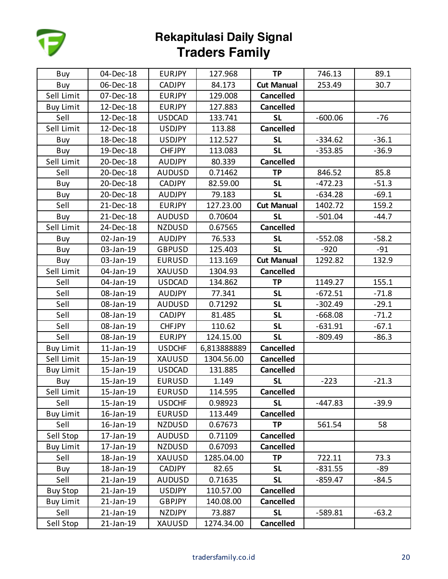

| Buy              | 04-Dec-18 | <b>EURJPY</b> | 127.968     | <b>TP</b>         | 746.13    | 89.1    |
|------------------|-----------|---------------|-------------|-------------------|-----------|---------|
| Buy              | 06-Dec-18 | <b>CADJPY</b> | 84.173      | <b>Cut Manual</b> | 253.49    | 30.7    |
| Sell Limit       | 07-Dec-18 | <b>EURJPY</b> | 129.008     | <b>Cancelled</b>  |           |         |
| <b>Buy Limit</b> | 12-Dec-18 | <b>EURJPY</b> | 127.883     | <b>Cancelled</b>  |           |         |
| Sell             | 12-Dec-18 | <b>USDCAD</b> | 133.741     | <b>SL</b>         | $-600.06$ | -76     |
| Sell Limit       | 12-Dec-18 | <b>USDJPY</b> | 113.88      | <b>Cancelled</b>  |           |         |
| Buy              | 18-Dec-18 | <b>USDJPY</b> | 112.527     | <b>SL</b>         | $-334.62$ | $-36.1$ |
| Buy              | 19-Dec-18 | <b>CHFJPY</b> | 113.083     | <b>SL</b>         | $-353.85$ | $-36.9$ |
| Sell Limit       | 20-Dec-18 | <b>AUDJPY</b> | 80.339      | <b>Cancelled</b>  |           |         |
| Sell             | 20-Dec-18 | <b>AUDUSD</b> | 0.71462     | <b>TP</b>         | 846.52    | 85.8    |
| Buy              | 20-Dec-18 | CADJPY        | 82.59.00    | <b>SL</b>         | -472.23   | $-51.3$ |
| Buy              | 20-Dec-18 | <b>AUDJPY</b> | 79.183      | <b>SL</b>         | $-634.28$ | $-69.1$ |
| Sell             | 21-Dec-18 | <b>EURJPY</b> | 127.23.00   | <b>Cut Manual</b> | 1402.72   | 159.2   |
| Buy              | 21-Dec-18 | <b>AUDUSD</b> | 0.70604     | <b>SL</b>         | $-501.04$ | $-44.7$ |
| Sell Limit       | 24-Dec-18 | NZDUSD        | 0.67565     | <b>Cancelled</b>  |           |         |
| Buy              | 02-Jan-19 | <b>AUDJPY</b> | 76.533      | <b>SL</b>         | $-552.08$ | $-58.2$ |
| Buy              | 03-Jan-19 | <b>GBPUSD</b> | 125.403     | <b>SL</b>         | $-920$    | $-91$   |
| Buy              | 03-Jan-19 | <b>EURUSD</b> | 113.169     | <b>Cut Manual</b> | 1292.82   | 132.9   |
| Sell Limit       | 04-Jan-19 | <b>XAUUSD</b> | 1304.93     | <b>Cancelled</b>  |           |         |
| Sell             | 04-Jan-19 | <b>USDCAD</b> | 134.862     | <b>TP</b>         | 1149.27   | 155.1   |
| Sell             | 08-Jan-19 | AUDJPY        | 77.341      | <b>SL</b>         | $-672.51$ | $-71.8$ |
| Sell             | 08-Jan-19 | <b>AUDUSD</b> | 0.71292     | <b>SL</b>         | $-302.49$ | $-29.1$ |
| Sell             | 08-Jan-19 | <b>CADJPY</b> | 81.485      | <b>SL</b>         | $-668.08$ | $-71.2$ |
| Sell             | 08-Jan-19 | <b>CHFJPY</b> | 110.62      | <b>SL</b>         | $-631.91$ | $-67.1$ |
| Sell             | 08-Jan-19 | <b>EURJPY</b> | 124.15.00   | <b>SL</b>         | $-809.49$ | $-86.3$ |
| <b>Buy Limit</b> | 11-Jan-19 | <b>USDCHF</b> | 6,813888889 | <b>Cancelled</b>  |           |         |
| Sell Limit       | 15-Jan-19 | XAUUSD        | 1304.56.00  | <b>Cancelled</b>  |           |         |
| <b>Buy Limit</b> | 15-Jan-19 | <b>USDCAD</b> | 131.885     | <b>Cancelled</b>  |           |         |
| Buy              | 15-Jan-19 | <b>EURUSD</b> | 1.149       | <b>SL</b>         | $-223$    | $-21.3$ |
| Sell Limit       | 15-Jan-19 | <b>EURUSD</b> | 114.595     | <b>Cancelled</b>  |           |         |
| Sell             | 15-Jan-19 | <b>USDCHF</b> | 0.98923     | <b>SL</b>         | -447.83   | $-39.9$ |
| <b>Buy Limit</b> | 16-Jan-19 | <b>EURUSD</b> | 113.449     | <b>Cancelled</b>  |           |         |
| Sell             | 16-Jan-19 | NZDUSD        | 0.67673     | <b>TP</b>         | 561.54    | 58      |
| Sell Stop        | 17-Jan-19 | <b>AUDUSD</b> | 0.71109     | <b>Cancelled</b>  |           |         |
| <b>Buy Limit</b> | 17-Jan-19 | NZDUSD        | 0.67093     | <b>Cancelled</b>  |           |         |
| Sell             | 18-Jan-19 | XAUUSD        | 1285.04.00  | <b>TP</b>         | 722.11    | 73.3    |
| Buy              | 18-Jan-19 | <b>CADJPY</b> | 82.65       | <b>SL</b>         | -831.55   | -89     |
| Sell             | 21-Jan-19 | <b>AUDUSD</b> | 0.71635     | <b>SL</b>         | -859.47   | $-84.5$ |
| <b>Buy Stop</b>  | 21-Jan-19 | USDJPY        | 110.57.00   | <b>Cancelled</b>  |           |         |
| <b>Buy Limit</b> | 21-Jan-19 | <b>GBPJPY</b> | 140.08.00   | <b>Cancelled</b>  |           |         |
| Sell             | 21-Jan-19 | NZDJPY        | 73.887      | <b>SL</b>         | $-589.81$ | $-63.2$ |
| Sell Stop        | 21-Jan-19 | XAUUSD        | 1274.34.00  | <b>Cancelled</b>  |           |         |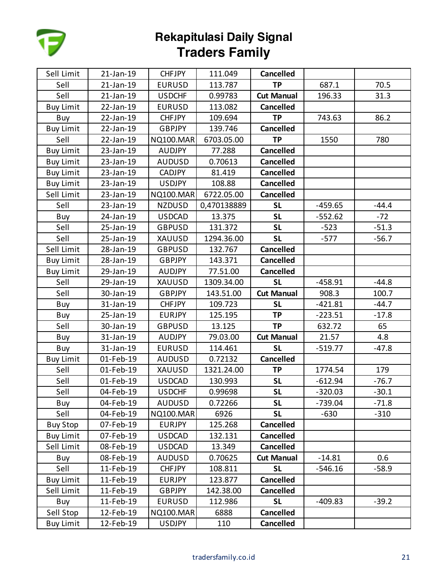

| Sell Limit       | 21-Jan-19 | <b>CHFJPY</b>    | 111.049     | <b>Cancelled</b>  |           |         |
|------------------|-----------|------------------|-------------|-------------------|-----------|---------|
| Sell             | 21-Jan-19 | <b>EURUSD</b>    | 113.787     | <b>TP</b>         | 687.1     | 70.5    |
| Sell             | 21-Jan-19 | <b>USDCHF</b>    | 0.99783     | <b>Cut Manual</b> | 196.33    | 31.3    |
| <b>Buy Limit</b> | 22-Jan-19 | <b>EURUSD</b>    | 113.082     | <b>Cancelled</b>  |           |         |
| Buy              | 22-Jan-19 | <b>CHFJPY</b>    | 109.694     | <b>TP</b>         | 743.63    | 86.2    |
| <b>Buy Limit</b> | 22-Jan-19 | <b>GBPJPY</b>    | 139.746     | <b>Cancelled</b>  |           |         |
| Sell             | 22-Jan-19 | <b>NQ100.MAR</b> | 6703.05.00  | <b>TP</b>         | 1550      | 780     |
| <b>Buy Limit</b> | 23-Jan-19 | <b>AUDJPY</b>    | 77.288      | <b>Cancelled</b>  |           |         |
| <b>Buy Limit</b> | 23-Jan-19 | <b>AUDUSD</b>    | 0.70613     | <b>Cancelled</b>  |           |         |
| <b>Buy Limit</b> | 23-Jan-19 | <b>CADJPY</b>    | 81.419      | <b>Cancelled</b>  |           |         |
| <b>Buy Limit</b> | 23-Jan-19 | <b>USDJPY</b>    | 108.88      | <b>Cancelled</b>  |           |         |
| Sell Limit       | 23-Jan-19 | <b>NQ100.MAR</b> | 6722.05.00  | <b>Cancelled</b>  |           |         |
| Sell             | 23-Jan-19 | <b>NZDUSD</b>    | 0,470138889 | <b>SL</b>         | $-459.65$ | $-44.4$ |
| Buy              | 24-Jan-19 | <b>USDCAD</b>    | 13.375      | <b>SL</b>         | $-552.62$ | $-72$   |
| Sell             | 25-Jan-19 | <b>GBPUSD</b>    | 131.372     | <b>SL</b>         | $-523$    | $-51.3$ |
| Sell             | 25-Jan-19 | <b>XAUUSD</b>    | 1294.36.00  | <b>SL</b>         | $-577$    | $-56.7$ |
| Sell Limit       | 28-Jan-19 | <b>GBPUSD</b>    | 132.767     | <b>Cancelled</b>  |           |         |
| <b>Buy Limit</b> | 28-Jan-19 | <b>GBPJPY</b>    | 143.371     | <b>Cancelled</b>  |           |         |
| <b>Buy Limit</b> | 29-Jan-19 | <b>AUDJPY</b>    | 77.51.00    | <b>Cancelled</b>  |           |         |
| Sell             | 29-Jan-19 | <b>XAUUSD</b>    | 1309.34.00  | <b>SL</b>         | $-458.91$ | $-44.8$ |
| Sell             | 30-Jan-19 | <b>GBPJPY</b>    | 143.51.00   | <b>Cut Manual</b> | 908.3     | 100.7   |
| Buy              | 31-Jan-19 | <b>CHFJPY</b>    | 109.723     | <b>SL</b>         | $-421.81$ | $-44.7$ |
| Buy              | 25-Jan-19 | <b>EURJPY</b>    | 125.195     | <b>TP</b>         | $-223.51$ | $-17.8$ |
| Sell             | 30-Jan-19 | <b>GBPUSD</b>    | 13.125      | <b>TP</b>         | 632.72    | 65      |
| Buy              | 31-Jan-19 | AUDJPY           | 79.03.00    | <b>Cut Manual</b> | 21.57     | 4.8     |
| Buy              | 31-Jan-19 | <b>EURUSD</b>    | 114.461     | <b>SL</b>         | $-519.77$ | $-47.8$ |
| <b>Buy Limit</b> | 01-Feb-19 | <b>AUDUSD</b>    | 0.72132     | <b>Cancelled</b>  |           |         |
| Sell             | 01-Feb-19 | <b>XAUUSD</b>    | 1321.24.00  | <b>TP</b>         | 1774.54   | 179     |
| Sell             | 01-Feb-19 | <b>USDCAD</b>    | 130.993     | <b>SL</b>         | $-612.94$ | $-76.7$ |
| Sell             | 04-Feb-19 | <b>USDCHF</b>    | 0.99698     | <b>SL</b>         | $-320.03$ | $-30.1$ |
| Buy              | 04-Feb-19 | <b>AUDUSD</b>    | 0.72266     | <b>SL</b>         | $-739.04$ | $-71.8$ |
| Sell             | 04-Feb-19 | <b>NQ100.MAR</b> | 6926        | <b>SL</b>         | $-630$    | $-310$  |
| <b>Buy Stop</b>  | 07-Feb-19 | <b>EURJPY</b>    | 125.268     | <b>Cancelled</b>  |           |         |
| <b>Buy Limit</b> | 07-Feb-19 | <b>USDCAD</b>    | 132.131     | <b>Cancelled</b>  |           |         |
| Sell Limit       | 08-Feb-19 | <b>USDCAD</b>    | 13.349      | <b>Cancelled</b>  |           |         |
| Buy              | 08-Feb-19 | <b>AUDUSD</b>    | 0.70625     | <b>Cut Manual</b> | $-14.81$  | 0.6     |
| Sell             | 11-Feb-19 | <b>CHFJPY</b>    | 108.811     | <b>SL</b>         | $-546.16$ | $-58.9$ |
| <b>Buy Limit</b> | 11-Feb-19 | <b>EURJPY</b>    | 123.877     | <b>Cancelled</b>  |           |         |
| Sell Limit       | 11-Feb-19 | <b>GBPJPY</b>    | 142.38.00   | <b>Cancelled</b>  |           |         |
| Buy              | 11-Feb-19 | <b>EURUSD</b>    | 112.986     | <b>SL</b>         | $-409.83$ | $-39.2$ |
| Sell Stop        | 12-Feb-19 | <b>NQ100.MAR</b> | 6888        | <b>Cancelled</b>  |           |         |
| <b>Buy Limit</b> | 12-Feb-19 | <b>USDJPY</b>    | 110         | <b>Cancelled</b>  |           |         |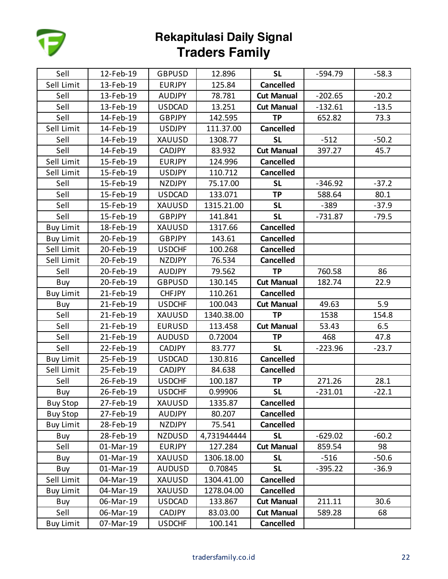

| Sell             | 12-Feb-19 | <b>GBPUSD</b> | 12.896      | <b>SL</b>         | $-594.79$ | $-58.3$ |
|------------------|-----------|---------------|-------------|-------------------|-----------|---------|
| Sell Limit       | 13-Feb-19 | <b>EURJPY</b> | 125.84      | <b>Cancelled</b>  |           |         |
| Sell             | 13-Feb-19 | <b>AUDJPY</b> | 78.781      | <b>Cut Manual</b> | $-202.65$ | $-20.2$ |
| Sell             | 13-Feb-19 | <b>USDCAD</b> | 13.251      | <b>Cut Manual</b> | $-132.61$ | $-13.5$ |
| Sell             | 14-Feb-19 | <b>GBPJPY</b> | 142.595     | <b>TP</b>         | 652.82    | 73.3    |
| Sell Limit       | 14-Feb-19 | <b>USDJPY</b> | 111.37.00   | <b>Cancelled</b>  |           |         |
| Sell             | 14-Feb-19 | XAUUSD        | 1308.77     | <b>SL</b>         | $-512$    | $-50.2$ |
| Sell             | 14-Feb-19 | <b>CADJPY</b> | 83.932      | <b>Cut Manual</b> | 397.27    | 45.7    |
| Sell Limit       | 15-Feb-19 | <b>EURJPY</b> | 124.996     | <b>Cancelled</b>  |           |         |
| Sell Limit       | 15-Feb-19 | <b>USDJPY</b> | 110.712     | <b>Cancelled</b>  |           |         |
| Sell             | 15-Feb-19 | <b>NZDJPY</b> | 75.17.00    | <b>SL</b>         | $-346.92$ | $-37.2$ |
| Sell             | 15-Feb-19 | <b>USDCAD</b> | 133.071     | <b>TP</b>         | 588.64    | 80.1    |
| Sell             | 15-Feb-19 | <b>XAUUSD</b> | 1315.21.00  | <b>SL</b>         | $-389$    | $-37.9$ |
| Sell             | 15-Feb-19 | <b>GBPJPY</b> | 141.841     | <b>SL</b>         | $-731.87$ | $-79.5$ |
| <b>Buy Limit</b> | 18-Feb-19 | XAUUSD        | 1317.66     | <b>Cancelled</b>  |           |         |
| <b>Buy Limit</b> | 20-Feb-19 | <b>GBPJPY</b> | 143.61      | <b>Cancelled</b>  |           |         |
| Sell Limit       | 20-Feb-19 | <b>USDCHF</b> | 100.268     | <b>Cancelled</b>  |           |         |
| Sell Limit       | 20-Feb-19 | <b>NZDJPY</b> | 76.534      | <b>Cancelled</b>  |           |         |
| Sell             | 20-Feb-19 | <b>AUDJPY</b> | 79.562      | <b>TP</b>         | 760.58    | 86      |
| Buy              | 20-Feb-19 | <b>GBPUSD</b> | 130.145     | <b>Cut Manual</b> | 182.74    | 22.9    |
| <b>Buy Limit</b> | 21-Feb-19 | <b>CHFJPY</b> | 110.261     | <b>Cancelled</b>  |           |         |
| Buy              | 21-Feb-19 | <b>USDCHF</b> | 100.043     | <b>Cut Manual</b> | 49.63     | 5.9     |
| Sell             | 21-Feb-19 | XAUUSD        | 1340.38.00  | <b>TP</b>         | 1538      | 154.8   |
| Sell             | 21-Feb-19 | <b>EURUSD</b> | 113.458     | <b>Cut Manual</b> | 53.43     | 6.5     |
| Sell             | 21-Feb-19 | <b>AUDUSD</b> | 0.72004     | <b>TP</b>         | 468       | 47.8    |
| Sell             | 22-Feb-19 | CADJPY        | 83.777      | <b>SL</b>         | $-223.96$ | $-23.7$ |
| <b>Buy Limit</b> | 25-Feb-19 | <b>USDCAD</b> | 130.816     | <b>Cancelled</b>  |           |         |
| Sell Limit       | 25-Feb-19 | CADJPY        | 84.638      | <b>Cancelled</b>  |           |         |
| Sell             | 26-Feb-19 | <b>USDCHF</b> | 100.187     | <b>TP</b>         | 271.26    | 28.1    |
| Buy              | 26-Feb-19 | <b>USDCHF</b> | 0.99906     | <b>SL</b>         | $-231.01$ | $-22.1$ |
| <b>Buy Stop</b>  | 27-Feb-19 | XAUUSD        | 1335.87     | <b>Cancelled</b>  |           |         |
| <b>Buy Stop</b>  | 27-Feb-19 | <b>AUDJPY</b> | 80.207      | <b>Cancelled</b>  |           |         |
| <b>Buy Limit</b> | 28-Feb-19 | <b>NZDJPY</b> | 75.541      | <b>Cancelled</b>  |           |         |
| Buy              | 28-Feb-19 | <b>NZDUSD</b> | 4,731944444 | <b>SL</b>         | $-629.02$ | $-60.2$ |
| Sell             | 01-Mar-19 | <b>EURJPY</b> | 127.284     | <b>Cut Manual</b> | 859.54    | 98      |
| Buy              | 01-Mar-19 | XAUUSD        | 1306.18.00  | <b>SL</b>         | $-516$    | $-50.6$ |
| Buy              | 01-Mar-19 | <b>AUDUSD</b> | 0.70845     | <b>SL</b>         | $-395.22$ | $-36.9$ |
| Sell Limit       | 04-Mar-19 | XAUUSD        | 1304.41.00  | <b>Cancelled</b>  |           |         |
| <b>Buy Limit</b> | 04-Mar-19 | <b>XAUUSD</b> | 1278.04.00  | <b>Cancelled</b>  |           |         |
| Buy              | 06-Mar-19 | <b>USDCAD</b> | 133.867     | <b>Cut Manual</b> | 211.11    | 30.6    |
| Sell             | 06-Mar-19 | <b>CADJPY</b> | 83.03.00    | <b>Cut Manual</b> | 589.28    | 68      |
| <b>Buy Limit</b> | 07-Mar-19 | <b>USDCHF</b> | 100.141     | Cancelled         |           |         |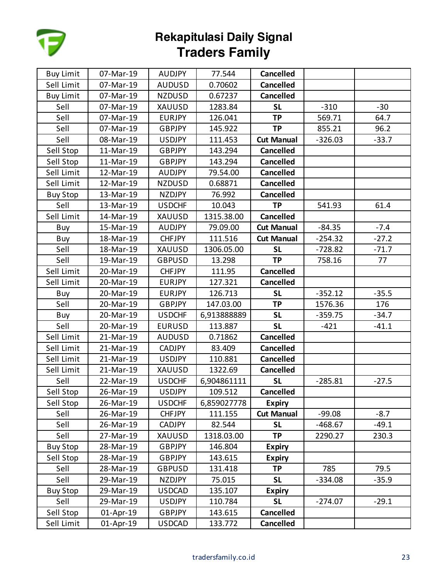

| <b>Buy Limit</b> | 07-Mar-19 | <b>AUDJPY</b> | 77.544      | <b>Cancelled</b>  |           |         |
|------------------|-----------|---------------|-------------|-------------------|-----------|---------|
| Sell Limit       | 07-Mar-19 | <b>AUDUSD</b> | 0.70602     | <b>Cancelled</b>  |           |         |
| <b>Buy Limit</b> | 07-Mar-19 | <b>NZDUSD</b> | 0.67237     | <b>Cancelled</b>  |           |         |
| Sell             | 07-Mar-19 | <b>XAUUSD</b> | 1283.84     | <b>SL</b>         | $-310$    | $-30$   |
| Sell             | 07-Mar-19 | <b>EURJPY</b> | 126.041     | <b>TP</b>         | 569.71    | 64.7    |
| Sell             | 07-Mar-19 | <b>GBPJPY</b> | 145.922     | <b>TP</b>         | 855.21    | 96.2    |
| Sell             | 08-Mar-19 | <b>USDJPY</b> | 111.453     | <b>Cut Manual</b> | $-326.03$ | $-33.7$ |
| Sell Stop        | 11-Mar-19 | <b>GBPJPY</b> | 143.294     | <b>Cancelled</b>  |           |         |
| Sell Stop        | 11-Mar-19 | <b>GBPJPY</b> | 143.294     | <b>Cancelled</b>  |           |         |
| Sell Limit       | 12-Mar-19 | <b>AUDJPY</b> | 79.54.00    | <b>Cancelled</b>  |           |         |
| Sell Limit       | 12-Mar-19 | <b>NZDUSD</b> | 0.68871     | <b>Cancelled</b>  |           |         |
| <b>Buy Stop</b>  | 13-Mar-19 | <b>NZDJPY</b> | 76.992      | <b>Cancelled</b>  |           |         |
| Sell             | 13-Mar-19 | <b>USDCHF</b> | 10.043      | <b>TP</b>         | 541.93    | 61.4    |
| Sell Limit       | 14-Mar-19 | <b>XAUUSD</b> | 1315.38.00  | <b>Cancelled</b>  |           |         |
| Buy              | 15-Mar-19 | <b>AUDJPY</b> | 79.09.00    | <b>Cut Manual</b> | $-84.35$  | $-7.4$  |
| Buy              | 18-Mar-19 | <b>CHFJPY</b> | 111.516     | <b>Cut Manual</b> | $-254.32$ | $-27.2$ |
| Sell             | 18-Mar-19 | XAUUSD        | 1306.05.00  | <b>SL</b>         | $-728.82$ | $-71.7$ |
| Sell             | 19-Mar-19 | <b>GBPUSD</b> | 13.298      | <b>TP</b>         | 758.16    | 77      |
| Sell Limit       | 20-Mar-19 | <b>CHFJPY</b> | 111.95      | <b>Cancelled</b>  |           |         |
| Sell Limit       | 20-Mar-19 | <b>EURJPY</b> | 127.321     | <b>Cancelled</b>  |           |         |
| Buy              | 20-Mar-19 | <b>EURJPY</b> | 126.713     | <b>SL</b>         | $-352.12$ | $-35.5$ |
| Sell             | 20-Mar-19 | <b>GBPJPY</b> | 147.03.00   | <b>TP</b>         | 1576.36   | 176     |
| Buy              | 20-Mar-19 | <b>USDCHF</b> | 6,913888889 | <b>SL</b>         | $-359.75$ | $-34.7$ |
| Sell             | 20-Mar-19 | <b>EURUSD</b> | 113.887     | <b>SL</b>         | $-421$    | $-41.1$ |
| Sell Limit       | 21-Mar-19 | <b>AUDUSD</b> | 0.71862     | <b>Cancelled</b>  |           |         |
| Sell Limit       | 21-Mar-19 | <b>CADJPY</b> | 83.409      | <b>Cancelled</b>  |           |         |
| Sell Limit       | 21-Mar-19 | <b>USDJPY</b> | 110.881     | <b>Cancelled</b>  |           |         |
| Sell Limit       | 21-Mar-19 | <b>XAUUSD</b> | 1322.69     | <b>Cancelled</b>  |           |         |
| Sell             | 22-Mar-19 | <b>USDCHF</b> | 6,904861111 | <b>SL</b>         | $-285.81$ | $-27.5$ |
| Sell Stop        | 26-Mar-19 | <b>USDJPY</b> | 109.512     | <b>Cancelled</b>  |           |         |
| Sell Stop        | 26-Mar-19 | <b>USDCHF</b> | 6,859027778 | <b>Expiry</b>     |           |         |
| Sell             | 26-Mar-19 | <b>CHFJPY</b> | 111.155     | <b>Cut Manual</b> | $-99.08$  | $-8.7$  |
| Sell             | 26-Mar-19 | <b>CADJPY</b> | 82.544      | <b>SL</b>         | $-468.67$ | $-49.1$ |
| Sell             | 27-Mar-19 | XAUUSD        | 1318.03.00  | <b>TP</b>         | 2290.27   | 230.3   |
| <b>Buy Stop</b>  | 28-Mar-19 | <b>GBPJPY</b> | 146.804     | <b>Expiry</b>     |           |         |
| Sell Stop        | 28-Mar-19 | <b>GBPJPY</b> | 143.615     | <b>Expiry</b>     |           |         |
| Sell             | 28-Mar-19 | <b>GBPUSD</b> | 131.418     | <b>TP</b>         | 785       | 79.5    |
| Sell             | 29-Mar-19 | <b>NZDJPY</b> | 75.015      | <b>SL</b>         | $-334.08$ | $-35.9$ |
| <b>Buy Stop</b>  | 29-Mar-19 | <b>USDCAD</b> | 135.107     | <b>Expiry</b>     |           |         |
| Sell             | 29-Mar-19 | <b>USDJPY</b> | 110.784     | <b>SL</b>         | $-274.07$ | $-29.1$ |
| Sell Stop        | 01-Apr-19 | <b>GBPJPY</b> | 143.615     | <b>Cancelled</b>  |           |         |
| Sell Limit       | 01-Apr-19 | <b>USDCAD</b> | 133.772     | <b>Cancelled</b>  |           |         |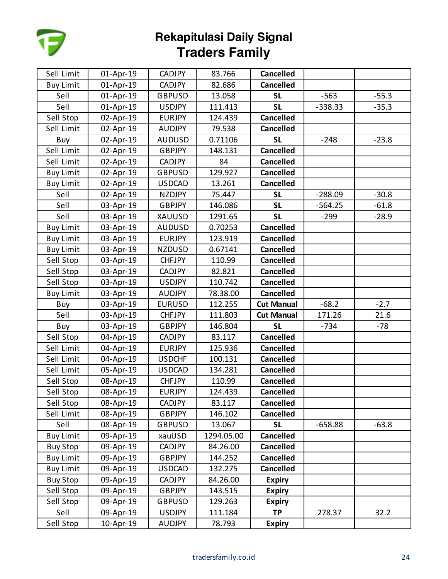

| Sell Limit       | 01-Apr-19 | <b>CADJPY</b> | 83.766     | <b>Cancelled</b>  |           |         |
|------------------|-----------|---------------|------------|-------------------|-----------|---------|
| <b>Buy Limit</b> | 01-Apr-19 | <b>CADJPY</b> | 82.686     | <b>Cancelled</b>  |           |         |
| Sell             | 01-Apr-19 | <b>GBPUSD</b> | 13.058     | <b>SL</b>         | $-563$    | $-55.3$ |
| Sell             | 01-Apr-19 | <b>USDJPY</b> | 111.413    | <b>SL</b>         | $-338.33$ | $-35.3$ |
| Sell Stop        | 02-Apr-19 | <b>EURJPY</b> | 124.439    | <b>Cancelled</b>  |           |         |
| Sell Limit       | 02-Apr-19 | <b>AUDJPY</b> | 79.538     | <b>Cancelled</b>  |           |         |
| Buy              | 02-Apr-19 | <b>AUDUSD</b> | 0.71106    | <b>SL</b>         | $-248$    | $-23.8$ |
| Sell Limit       | 02-Apr-19 | <b>GBPJPY</b> | 148.131    | <b>Cancelled</b>  |           |         |
| Sell Limit       | 02-Apr-19 | <b>CADJPY</b> | 84         | <b>Cancelled</b>  |           |         |
| <b>Buy Limit</b> | 02-Apr-19 | <b>GBPUSD</b> | 129.927    | <b>Cancelled</b>  |           |         |
| <b>Buy Limit</b> | 02-Apr-19 | <b>USDCAD</b> | 13.261     | <b>Cancelled</b>  |           |         |
| Sell             | 02-Apr-19 | <b>NZDJPY</b> | 75.447     | <b>SL</b>         | $-288.09$ | $-30.8$ |
| Sell             | 03-Apr-19 | <b>GBPJPY</b> | 146.086    | <b>SL</b>         | $-564.25$ | $-61.8$ |
| Sell             | 03-Apr-19 | XAUUSD        | 1291.65    | <b>SL</b>         | $-299$    | $-28.9$ |
| <b>Buy Limit</b> | 03-Apr-19 | <b>AUDUSD</b> | 0.70253    | <b>Cancelled</b>  |           |         |
| <b>Buy Limit</b> | 03-Apr-19 | <b>EURJPY</b> | 123.919    | <b>Cancelled</b>  |           |         |
| <b>Buy Limit</b> | 03-Apr-19 | <b>NZDUSD</b> | 0.67141    | <b>Cancelled</b>  |           |         |
| Sell Stop        | 03-Apr-19 | <b>CHFJPY</b> | 110.99     | <b>Cancelled</b>  |           |         |
| Sell Stop        | 03-Apr-19 | <b>CADJPY</b> | 82.821     | <b>Cancelled</b>  |           |         |
| Sell Stop        | 03-Apr-19 | <b>USDJPY</b> | 110.742    | <b>Cancelled</b>  |           |         |
| <b>Buy Limit</b> | 03-Apr-19 | <b>AUDJPY</b> | 78.38.00   | <b>Cancelled</b>  |           |         |
| Buy              | 03-Apr-19 | <b>EURUSD</b> | 112.255    | <b>Cut Manual</b> | $-68.2$   | $-2.7$  |
| Sell             | 03-Apr-19 | <b>CHFJPY</b> | 111.803    | <b>Cut Manual</b> | 171.26    | 21.6    |
| Buy              | 03-Apr-19 | <b>GBPJPY</b> | 146.804    | <b>SL</b>         | $-734$    | $-78$   |
| Sell Stop        | 04-Apr-19 | <b>CADJPY</b> | 83.117     | <b>Cancelled</b>  |           |         |
| Sell Limit       | 04-Apr-19 | <b>EURJPY</b> | 125.936    | <b>Cancelled</b>  |           |         |
| Sell Limit       | 04-Apr-19 | <b>USDCHF</b> | 100.131    | <b>Cancelled</b>  |           |         |
| Sell Limit       | 05-Apr-19 | <b>USDCAD</b> | 134.281    | <b>Cancelled</b>  |           |         |
| Sell Stop        | 08-Apr-19 | <b>CHFJPY</b> | 110.99     | <b>Cancelled</b>  |           |         |
| Sell Stop        | 08-Apr-19 | <b>EURJPY</b> | 124.439    | <b>Cancelled</b>  |           |         |
| Sell Stop        | 08-Apr-19 | <b>CADJPY</b> | 83.117     | <b>Cancelled</b>  |           |         |
| Sell Limit       | 08-Apr-19 | <b>GBPJPY</b> | 146.102    | <b>Cancelled</b>  |           |         |
| Sell             | 08-Apr-19 | <b>GBPUSD</b> | 13.067     | <b>SL</b>         | $-658.88$ | $-63.8$ |
| <b>Buy Limit</b> | 09-Apr-19 | xauUSD        | 1294.05.00 | <b>Cancelled</b>  |           |         |
| <b>Buy Stop</b>  | 09-Apr-19 | CADJPY        | 84.26.00   | <b>Cancelled</b>  |           |         |
| <b>Buy Limit</b> | 09-Apr-19 | <b>GBPJPY</b> | 144.252    | <b>Cancelled</b>  |           |         |
| <b>Buy Limit</b> | 09-Apr-19 | USDCAD        | 132.275    | <b>Cancelled</b>  |           |         |
| <b>Buy Stop</b>  | 09-Apr-19 | CADJPY        | 84.26.00   | <b>Expiry</b>     |           |         |
| Sell Stop        | 09-Apr-19 | <b>GBPJPY</b> | 143.515    | <b>Expiry</b>     |           |         |
| Sell Stop        | 09-Apr-19 | <b>GBPUSD</b> | 129.263    | <b>Expiry</b>     |           |         |
| Sell             | 09-Apr-19 | <b>USDJPY</b> | 111.184    | <b>TP</b>         | 278.37    | 32.2    |
| Sell Stop        | 10-Apr-19 | <b>AUDJPY</b> | 78.793     | <b>Expiry</b>     |           |         |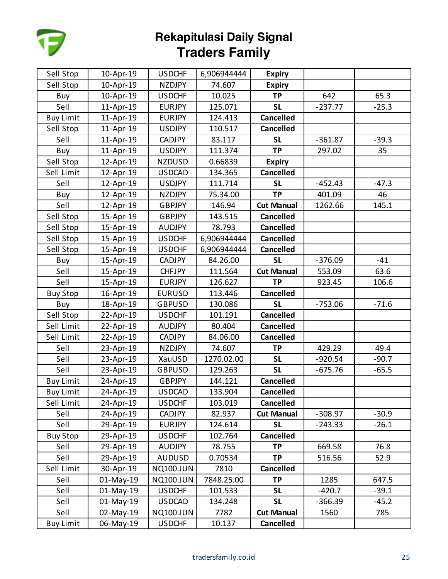

| Sell Stop        | 10-Apr-19 | <b>USDCHF</b>    | 6,906944444 | <b>Expiry</b>     |           |         |
|------------------|-----------|------------------|-------------|-------------------|-----------|---------|
| Sell Stop        | 10-Apr-19 | <b>NZDJPY</b>    | 74.607      | <b>Expiry</b>     |           |         |
| Buy              | 10-Apr-19 | <b>USDCHF</b>    | 10.025      | <b>TP</b>         | 642       | 65.3    |
| Sell             | 11-Apr-19 | <b>EURJPY</b>    | 125.071     | <b>SL</b>         | $-237.77$ | $-25.3$ |
| <b>Buy Limit</b> | 11-Apr-19 | <b>EURJPY</b>    | 124.413     | <b>Cancelled</b>  |           |         |
| Sell Stop        | 11-Apr-19 | <b>USDJPY</b>    | 110.517     | <b>Cancelled</b>  |           |         |
| Sell             | 11-Apr-19 | <b>CADJPY</b>    | 83.117      | <b>SL</b>         | $-361.87$ | $-39.3$ |
| Buy              | 11-Apr-19 | <b>USDJPY</b>    | 111.374     | <b>TP</b>         | 297.02    | 35      |
| Sell Stop        | 12-Apr-19 | <b>NZDUSD</b>    | 0.66839     | <b>Expiry</b>     |           |         |
| Sell Limit       | 12-Apr-19 | <b>USDCAD</b>    | 134.365     | <b>Cancelled</b>  |           |         |
| Sell             | 12-Apr-19 | <b>USDJPY</b>    | 111.714     | <b>SL</b>         | $-452.43$ | $-47.3$ |
| Buy              | 12-Apr-19 | <b>NZDJPY</b>    | 75.34.00    | <b>TP</b>         | 401.09    | 46      |
| Sell             | 12-Apr-19 | <b>GBPJPY</b>    | 146.94      | <b>Cut Manual</b> | 1262.66   | 145.1   |
| Sell Stop        | 15-Apr-19 | <b>GBPJPY</b>    | 143.515     | <b>Cancelled</b>  |           |         |
| Sell Stop        | 15-Apr-19 | <b>AUDJPY</b>    | 78.793      | <b>Cancelled</b>  |           |         |
| Sell Stop        | 15-Apr-19 | <b>USDCHF</b>    | 6,906944444 | <b>Cancelled</b>  |           |         |
| Sell Stop        | 15-Apr-19 | <b>USDCHF</b>    | 6,906944444 | <b>Cancelled</b>  |           |         |
| Buy              | 15-Apr-19 | <b>CADJPY</b>    | 84.26.00    | <b>SL</b>         | $-376.09$ | $-41$   |
| Sell             | 15-Apr-19 | <b>CHFJPY</b>    | 111.564     | <b>Cut Manual</b> | 553.09    | 63.6    |
| Sell             | 15-Apr-19 | <b>EURJPY</b>    | 126.627     | <b>TP</b>         | 923.45    | 106.6   |
| <b>Buy Stop</b>  | 16-Apr-19 | <b>EURUSD</b>    | 113.446     | <b>Cancelled</b>  |           |         |
| Buy              | 18-Apr-19 | <b>GBPUSD</b>    | 130.086     | <b>SL</b>         | $-753.06$ | $-71.6$ |
| Sell Stop        | 22-Apr-19 | <b>USDCHF</b>    | 101.191     | <b>Cancelled</b>  |           |         |
| Sell Limit       | 22-Apr-19 | <b>AUDJPY</b>    | 80.404      | <b>Cancelled</b>  |           |         |
| Sell Limit       | 22-Apr-19 | <b>CADJPY</b>    | 84.06.00    | <b>Cancelled</b>  |           |         |
| Sell             | 23-Apr-19 | <b>NZDJPY</b>    | 74.607      | <b>TP</b>         | 429.29    | 49.4    |
| Sell             | 23-Apr-19 | XauUSD           | 1270.02.00  | <b>SL</b>         | $-920.54$ | $-90.7$ |
| Sell             | 23-Apr-19 | <b>GBPUSD</b>    | 129.263     | <b>SL</b>         | $-675.76$ | $-65.5$ |
| <b>Buy Limit</b> | 24-Apr-19 | <b>GBPJPY</b>    | 144.121     | <b>Cancelled</b>  |           |         |
| <b>Buy Limit</b> | 24-Apr-19 | <b>USDCAD</b>    | 133.904     | <b>Cancelled</b>  |           |         |
| Sell Limit       | 24-Apr-19 | <b>USDCHF</b>    | 103.019     | <b>Cancelled</b>  |           |         |
| Sell             | 24-Apr-19 | <b>CADJPY</b>    | 82.937      | <b>Cut Manual</b> | $-308.97$ | $-30.9$ |
| Sell             | 29-Apr-19 | <b>EURJPY</b>    | 124.614     | <b>SL</b>         | $-243.33$ | $-26.1$ |
| <b>Buy Stop</b>  | 29-Apr-19 | <b>USDCHF</b>    | 102.764     | <b>Cancelled</b>  |           |         |
| Sell             | 29-Apr-19 | <b>AUDJPY</b>    | 78.755      | <b>TP</b>         | 669.58    | 76.8    |
| Sell             | 29-Apr-19 | <b>AUDUSD</b>    | 0.70534     | <b>TP</b>         | 516.56    | 52.9    |
| Sell Limit       | 30-Apr-19 | <b>NQ100.JUN</b> | 7810        | <b>Cancelled</b>  |           |         |
| Sell             | 01-May-19 | <b>NQ100.JUN</b> | 7848.25.00  | <b>TP</b>         | 1285      | 647.5   |
| Sell             | 01-May-19 | <b>USDCHF</b>    | 101.533     | <b>SL</b>         | $-420.7$  | $-39.1$ |
| Sell             | 01-May-19 | <b>USDCAD</b>    | 134.248     | <b>SL</b>         | $-366.39$ | $-45.2$ |
| Sell             | 02-May-19 | <b>NQ100.JUN</b> | 7782        | <b>Cut Manual</b> | 1560      | 785     |
| <b>Buy Limit</b> | 06-May-19 | <b>USDCHF</b>    | 10.137      | <b>Cancelled</b>  |           |         |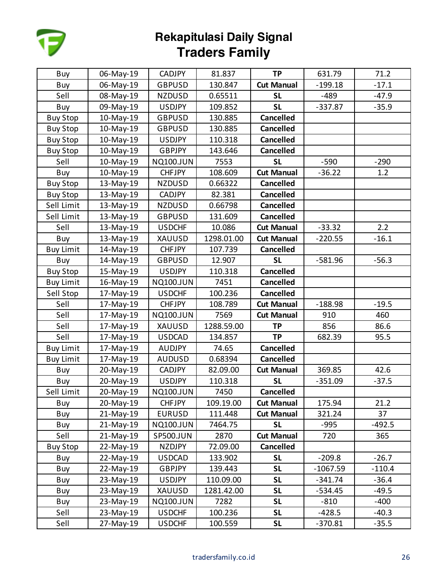

| Buy              | 06-May-19 | <b>CADJPY</b>    | 81.837     | <b>TP</b>         | 631.79     | 71.2     |
|------------------|-----------|------------------|------------|-------------------|------------|----------|
| Buy              | 06-May-19 | <b>GBPUSD</b>    | 130.847    | <b>Cut Manual</b> | $-199.18$  | $-17.1$  |
| Sell             | 08-May-19 | <b>NZDUSD</b>    | 0.65511    | <b>SL</b>         | -489       | $-47.9$  |
| Buy              | 09-May-19 | <b>USDJPY</b>    | 109.852    | <b>SL</b>         | $-337.87$  | $-35.9$  |
| <b>Buy Stop</b>  | 10-May-19 | <b>GBPUSD</b>    | 130.885    | <b>Cancelled</b>  |            |          |
| <b>Buy Stop</b>  | 10-May-19 | <b>GBPUSD</b>    | 130.885    | <b>Cancelled</b>  |            |          |
| <b>Buy Stop</b>  | 10-May-19 | <b>USDJPY</b>    | 110.318    | <b>Cancelled</b>  |            |          |
| <b>Buy Stop</b>  | 10-May-19 | <b>GBPJPY</b>    | 143.646    | <b>Cancelled</b>  |            |          |
| Sell             | 10-May-19 | <b>NQ100.JUN</b> | 7553       | <b>SL</b>         | $-590$     | $-290$   |
| Buy              | 10-May-19 | <b>CHFJPY</b>    | 108.609    | <b>Cut Manual</b> | $-36.22$   | 1.2      |
| <b>Buy Stop</b>  | 13-May-19 | <b>NZDUSD</b>    | 0.66322    | <b>Cancelled</b>  |            |          |
| <b>Buy Stop</b>  | 13-May-19 | <b>CADJPY</b>    | 82.381     | <b>Cancelled</b>  |            |          |
| Sell Limit       | 13-May-19 | <b>NZDUSD</b>    | 0.66798    | <b>Cancelled</b>  |            |          |
| Sell Limit       | 13-May-19 | <b>GBPUSD</b>    | 131.609    | <b>Cancelled</b>  |            |          |
| Sell             | 13-May-19 | <b>USDCHF</b>    | 10.086     | <b>Cut Manual</b> | $-33.32$   | 2.2      |
| Buy              | 13-May-19 | XAUUSD           | 1298.01.00 | <b>Cut Manual</b> | $-220.55$  | $-16.1$  |
| <b>Buy Limit</b> | 14-May-19 | <b>CHFJPY</b>    | 107.739    | <b>Cancelled</b>  |            |          |
| Buy              | 14-May-19 | <b>GBPUSD</b>    | 12.907     | <b>SL</b>         | $-581.96$  | $-56.3$  |
| <b>Buy Stop</b>  | 15-May-19 | <b>USDJPY</b>    | 110.318    | <b>Cancelled</b>  |            |          |
| <b>Buy Limit</b> | 16-May-19 | <b>NQ100.JUN</b> | 7451       | <b>Cancelled</b>  |            |          |
| Sell Stop        | 17-May-19 | <b>USDCHF</b>    | 100.236    | <b>Cancelled</b>  |            |          |
| Sell             | 17-May-19 | <b>CHFJPY</b>    | 108.789    | <b>Cut Manual</b> | $-188.98$  | $-19.5$  |
| Sell             | 17-May-19 | <b>NQ100.JUN</b> | 7569       | <b>Cut Manual</b> | 910        | 460      |
| Sell             | 17-May-19 | XAUUSD           | 1288.59.00 | <b>TP</b>         | 856        | 86.6     |
| Sell             | 17-May-19 | <b>USDCAD</b>    | 134.857    | <b>TP</b>         | 682.39     | 95.5     |
| <b>Buy Limit</b> | 17-May-19 | <b>AUDJPY</b>    | 74.65      | <b>Cancelled</b>  |            |          |
| <b>Buy Limit</b> | 17-May-19 | <b>AUDUSD</b>    | 0.68394    | <b>Cancelled</b>  |            |          |
| Buy              | 20-May-19 | <b>CADJPY</b>    | 82.09.00   | <b>Cut Manual</b> | 369.85     | 42.6     |
| Buy              | 20-May-19 | <b>USDJPY</b>    | 110.318    | <b>SL</b>         | $-351.09$  | $-37.5$  |
| Sell Limit       | 20-May-19 | <b>NQ100.JUN</b> | 7450       | <b>Cancelled</b>  |            |          |
| Buy              | 20-May-19 | <b>CHFJPY</b>    | 109.19.00  | <b>Cut Manual</b> | 175.94     | 21.2     |
| Buy              | 21-May-19 | <b>EURUSD</b>    | 111.448    | <b>Cut Manual</b> | 321.24     | 37       |
| Buy              | 21-May-19 | <b>NQ100.JUN</b> | 7464.75    | <b>SL</b>         | $-995$     | $-492.5$ |
| Sell             | 21-May-19 | SP500.JUN        | 2870       | <b>Cut Manual</b> | 720        | 365      |
| <b>Buy Stop</b>  | 22-May-19 | <b>NZDJPY</b>    | 72.09.00   | <b>Cancelled</b>  |            |          |
| Buy              | 22-May-19 | <b>USDCAD</b>    | 133.902    | <b>SL</b>         | $-209.8$   | $-26.7$  |
| Buy              | 22-May-19 | <b>GBPJPY</b>    | 139.443    | <b>SL</b>         | $-1067.59$ | $-110.4$ |
| Buy              | 23-May-19 | <b>USDJPY</b>    | 110.09.00  | <b>SL</b>         | $-341.74$  | $-36.4$  |
| Buy              | 23-May-19 | XAUUSD           | 1281.42.00 | <b>SL</b>         | $-534.45$  | $-49.5$  |
| Buy              | 23-May-19 | <b>NQ100.JUN</b> | 7282       | <b>SL</b>         | $-810$     | $-400$   |
| Sell             | 23-May-19 | <b>USDCHF</b>    | 100.236    | <b>SL</b>         | $-428.5$   | $-40.3$  |
| Sell             | 27-May-19 | <b>USDCHF</b>    | 100.559    | <b>SL</b>         | $-370.81$  | $-35.5$  |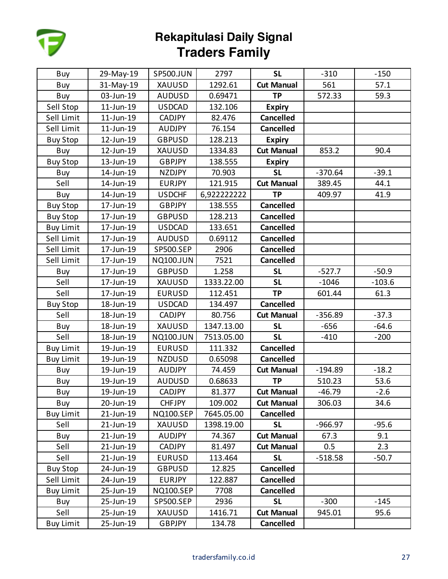

| Buy              | 29-May-19 | SP500.JUN        | 2797        | <b>SL</b>         | $-310$    | $-150$   |
|------------------|-----------|------------------|-------------|-------------------|-----------|----------|
| Buy              | 31-May-19 | <b>XAUUSD</b>    | 1292.61     | <b>Cut Manual</b> | 561       | 57.1     |
| Buy              | 03-Jun-19 | <b>AUDUSD</b>    | 0.69471     | <b>TP</b>         | 572.33    | 59.3     |
| Sell Stop        | 11-Jun-19 | <b>USDCAD</b>    | 132.106     | <b>Expiry</b>     |           |          |
| Sell Limit       | 11-Jun-19 | <b>CADJPY</b>    | 82.476      | <b>Cancelled</b>  |           |          |
| Sell Limit       | 11-Jun-19 | <b>AUDJPY</b>    | 76.154      | <b>Cancelled</b>  |           |          |
| <b>Buy Stop</b>  | 12-Jun-19 | <b>GBPUSD</b>    | 128.213     | <b>Expiry</b>     |           |          |
| Buy              | 12-Jun-19 | <b>XAUUSD</b>    | 1334.83     | <b>Cut Manual</b> | 853.2     | 90.4     |
| <b>Buy Stop</b>  | 13-Jun-19 | <b>GBPJPY</b>    | 138.555     | <b>Expiry</b>     |           |          |
| Buy              | 14-Jun-19 | <b>NZDJPY</b>    | 70.903      | <b>SL</b>         | $-370.64$ | $-39.1$  |
| Sell             | 14-Jun-19 | <b>EURJPY</b>    | 121.915     | <b>Cut Manual</b> | 389.45    | 44.1     |
| Buy              | 14-Jun-19 | <b>USDCHF</b>    | 6,922222222 | <b>TP</b>         | 409.97    | 41.9     |
| <b>Buy Stop</b>  | 17-Jun-19 | <b>GBPJPY</b>    | 138.555     | <b>Cancelled</b>  |           |          |
| <b>Buy Stop</b>  | 17-Jun-19 | <b>GBPUSD</b>    | 128.213     | <b>Cancelled</b>  |           |          |
| <b>Buy Limit</b> | 17-Jun-19 | <b>USDCAD</b>    | 133.651     | <b>Cancelled</b>  |           |          |
| Sell Limit       | 17-Jun-19 | <b>AUDUSD</b>    | 0.69112     | <b>Cancelled</b>  |           |          |
| Sell Limit       | 17-Jun-19 | <b>SP500.SEP</b> | 2906        | <b>Cancelled</b>  |           |          |
| Sell Limit       | 17-Jun-19 | <b>NQ100.JUN</b> | 7521        | <b>Cancelled</b>  |           |          |
| Buy              | 17-Jun-19 | <b>GBPUSD</b>    | 1.258       | <b>SL</b>         | $-527.7$  | $-50.9$  |
| Sell             | 17-Jun-19 | <b>XAUUSD</b>    | 1333.22.00  | <b>SL</b>         | $-1046$   | $-103.6$ |
| Sell             | 17-Jun-19 | <b>EURUSD</b>    | 112.451     | <b>TP</b>         | 601.44    | 61.3     |
| <b>Buy Stop</b>  | 18-Jun-19 | <b>USDCAD</b>    | 134.497     | <b>Cancelled</b>  |           |          |
| Sell             | 18-Jun-19 | <b>CADJPY</b>    | 80.756      | <b>Cut Manual</b> | $-356.89$ | $-37.3$  |
| Buy              | 18-Jun-19 | <b>XAUUSD</b>    | 1347.13.00  | <b>SL</b>         | $-656$    | $-64.6$  |
| Sell             | 18-Jun-19 | <b>NQ100.JUN</b> | 7513.05.00  | <b>SL</b>         | $-410$    | $-200$   |
| <b>Buy Limit</b> | 19-Jun-19 | <b>EURUSD</b>    | 111.332     | <b>Cancelled</b>  |           |          |
| <b>Buy Limit</b> | 19-Jun-19 | <b>NZDUSD</b>    | 0.65098     | <b>Cancelled</b>  |           |          |
| Buy              | 19-Jun-19 | <b>AUDJPY</b>    | 74.459      | <b>Cut Manual</b> | $-194.89$ | $-18.2$  |
| Buy              | 19-Jun-19 | <b>AUDUSD</b>    | 0.68633     | <b>TP</b>         | 510.23    | 53.6     |
| Buy              | 19-Jun-19 | <b>CADJPY</b>    | 81.377      | <b>Cut Manual</b> | $-46.79$  | $-2.6$   |
| Buy              | 20-Jun-19 | <b>CHFJPY</b>    | 109.002     | <b>Cut Manual</b> | 306.03    | 34.6     |
| <b>Buy Limit</b> | 21-Jun-19 | <b>NQ100.SEP</b> | 7645.05.00  | <b>Cancelled</b>  |           |          |
| Sell             | 21-Jun-19 | <b>XAUUSD</b>    | 1398.19.00  | <b>SL</b>         | $-966.97$ | $-95.6$  |
| Buy              | 21-Jun-19 | <b>AUDJPY</b>    | 74.367      | <b>Cut Manual</b> | 67.3      | 9.1      |
| Sell             | 21-Jun-19 | <b>CADJPY</b>    | 81.497      | <b>Cut Manual</b> | 0.5       | 2.3      |
| Sell             | 21-Jun-19 | <b>EURUSD</b>    | 113.464     | <b>SL</b>         | $-518.58$ | $-50.7$  |
| <b>Buy Stop</b>  | 24-Jun-19 | <b>GBPUSD</b>    | 12.825      | <b>Cancelled</b>  |           |          |
| Sell Limit       | 24-Jun-19 | <b>EURJPY</b>    | 122.887     | <b>Cancelled</b>  |           |          |
| <b>Buy Limit</b> | 25-Jun-19 | <b>NQ100.SEP</b> | 7708        | <b>Cancelled</b>  |           |          |
| Buy              | 25-Jun-19 | <b>SP500.SEP</b> | 2936        | <b>SL</b>         | $-300$    | $-145$   |
| Sell             | 25-Jun-19 | <b>XAUUSD</b>    | 1416.71     | <b>Cut Manual</b> | 945.01    | 95.6     |
| <b>Buy Limit</b> | 25-Jun-19 | <b>GBPJPY</b>    | 134.78      | Cancelled         |           |          |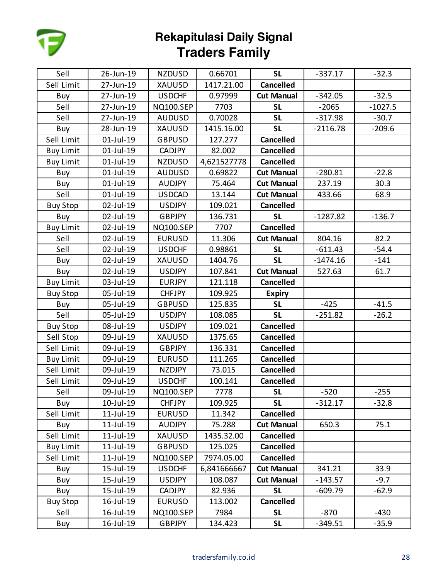

| Sell             | 26-Jun-19       | <b>NZDUSD</b>    | 0.66701     | <b>SL</b>         | $-337.17$  | $-32.3$   |
|------------------|-----------------|------------------|-------------|-------------------|------------|-----------|
| Sell Limit       | 27-Jun-19       | <b>XAUUSD</b>    | 1417.21.00  | <b>Cancelled</b>  |            |           |
| Buy              | 27-Jun-19       | <b>USDCHF</b>    | 0.97999     | <b>Cut Manual</b> | $-342.05$  | $-32.5$   |
| Sell             | 27-Jun-19       | <b>NQ100.SEP</b> | 7703        | <b>SL</b>         | $-2065$    | $-1027.5$ |
| Sell             | 27-Jun-19       | <b>AUDUSD</b>    | 0.70028     | <b>SL</b>         | $-317.98$  | $-30.7$   |
| Buy              | 28-Jun-19       | XAUUSD           | 1415.16.00  | <b>SL</b>         | $-2116.78$ | $-209.6$  |
| Sell Limit       | 01-Jul-19       | <b>GBPUSD</b>    | 127.277     | <b>Cancelled</b>  |            |           |
| <b>Buy Limit</b> | $01$ -Jul-19    | <b>CADJPY</b>    | 82.002      | <b>Cancelled</b>  |            |           |
| <b>Buy Limit</b> | 01-Jul-19       | <b>NZDUSD</b>    | 4,621527778 | <b>Cancelled</b>  |            |           |
| Buy              | 01-Jul-19       | <b>AUDUSD</b>    | 0.69822     | <b>Cut Manual</b> | $-280.81$  | $-22.8$   |
| Buy              | 01-Jul-19       | <b>AUDJPY</b>    | 75.464      | <b>Cut Manual</b> | 237.19     | 30.3      |
| Sell             | 01-Jul-19       | <b>USDCAD</b>    | 13.144      | <b>Cut Manual</b> | 433.66     | 68.9      |
| <b>Buy Stop</b>  | 02-Jul-19       | <b>USDJPY</b>    | 109.021     | <b>Cancelled</b>  |            |           |
| Buy              | 02-Jul-19       | <b>GBPJPY</b>    | 136.731     | <b>SL</b>         | $-1287.82$ | $-136.7$  |
| <b>Buy Limit</b> | 02-Jul-19       | <b>NQ100.SEP</b> | 7707        | <b>Cancelled</b>  |            |           |
| Sell             | 02-Jul-19       | <b>EURUSD</b>    | 11.306      | <b>Cut Manual</b> | 804.16     | 82.2      |
| Sell             | 02-Jul-19       | <b>USDCHF</b>    | 0.98861     | <b>SL</b>         | $-611.43$  | $-54.4$   |
| Buy              | 02-Jul-19       | XAUUSD           | 1404.76     | <b>SL</b>         | $-1474.16$ | $-141$    |
| Buy              | 02-Jul-19       | <b>USDJPY</b>    | 107.841     | <b>Cut Manual</b> | 527.63     | 61.7      |
| <b>Buy Limit</b> | 03-Jul-19       | <b>EURJPY</b>    | 121.118     | <b>Cancelled</b>  |            |           |
| <b>Buy Stop</b>  | 05-Jul-19       | <b>CHFJPY</b>    | 109.925     | <b>Expiry</b>     |            |           |
| Buy              | 05-Jul-19       | <b>GBPUSD</b>    | 125.835     | <b>SL</b>         | $-425$     | $-41.5$   |
| Sell             | 05-Jul-19       | <b>USDJPY</b>    | 108.085     | <b>SL</b>         | $-251.82$  | $-26.2$   |
| <b>Buy Stop</b>  | 08-Jul-19       | <b>USDJPY</b>    | 109.021     | <b>Cancelled</b>  |            |           |
| Sell Stop        | 09-Jul-19       | XAUUSD           | 1375.65     | <b>Cancelled</b>  |            |           |
| Sell Limit       | 09-Jul-19       | GBPJPY           | 136.331     | <b>Cancelled</b>  |            |           |
| <b>Buy Limit</b> | 09-Jul-19       | <b>EURUSD</b>    | 111.265     | <b>Cancelled</b>  |            |           |
| Sell Limit       | 09-Jul-19       | <b>NZDJPY</b>    | 73.015      | <b>Cancelled</b>  |            |           |
| Sell Limit       | 09-Jul-19       | <b>USDCHF</b>    | 100.141     | <b>Cancelled</b>  |            |           |
| Sell             | 09-Jul-19       | <b>NQ100.SEP</b> | 7778        | <b>SL</b>         | $-520$     | $-255$    |
| Buy              | 10-Jul-19       | <b>CHFJPY</b>    | 109.925     | <b>SL</b>         | $-312.17$  | $-32.8$   |
| Sell Limit       | 11-Jul-19       | <b>EURUSD</b>    | 11.342      | <b>Cancelled</b>  |            |           |
| Buy              | 11-Jul-19       | <b>AUDJPY</b>    | 75.288      | <b>Cut Manual</b> | 650.3      | 75.1      |
| Sell Limit       | $11$ -Jul-19    | <b>XAUUSD</b>    | 1435.32.00  | <b>Cancelled</b>  |            |           |
| <b>Buy Limit</b> | 11-Jul-19       | <b>GBPUSD</b>    | 125.025     | <b>Cancelled</b>  |            |           |
| Sell Limit       | $11$ -Jul- $19$ | <b>NQ100.SEP</b> | 7974.05.00  | <b>Cancelled</b>  |            |           |
| Buy              | 15-Jul-19       | <b>USDCHF</b>    | 6,841666667 | <b>Cut Manual</b> | 341.21     | 33.9      |
| Buy              | 15-Jul-19       | <b>USDJPY</b>    | 108.087     | <b>Cut Manual</b> | $-143.57$  | $-9.7$    |
| Buy              | 15-Jul-19       | <b>CADJPY</b>    | 82.936      | <b>SL</b>         | $-609.79$  | $-62.9$   |
| <b>Buy Stop</b>  | 16-Jul-19       | <b>EURUSD</b>    | 113.002     | <b>Cancelled</b>  |            |           |
| Sell             | 16-Jul-19       | <b>NQ100.SEP</b> | 7984        | <b>SL</b>         | $-870$     | $-430$    |
| Buy              | 16-Jul-19       | <b>GBPJPY</b>    | 134.423     | <b>SL</b>         | $-349.51$  | $-35.9$   |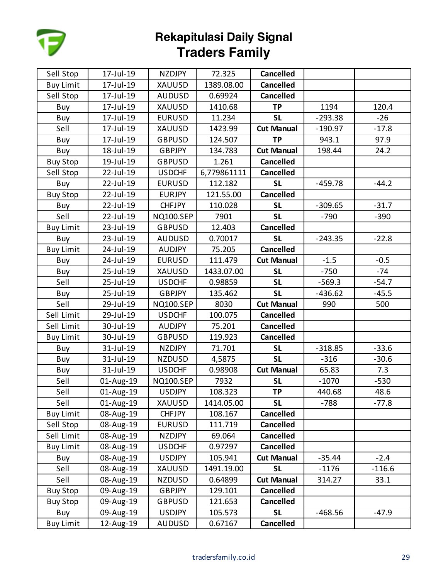

| Sell Stop        | 17-Jul-19 | <b>NZDJPY</b>    | 72.325      | <b>Cancelled</b>  |           |          |
|------------------|-----------|------------------|-------------|-------------------|-----------|----------|
| <b>Buy Limit</b> | 17-Jul-19 | XAUUSD           | 1389.08.00  | <b>Cancelled</b>  |           |          |
| Sell Stop        | 17-Jul-19 | <b>AUDUSD</b>    | 0.69924     | <b>Cancelled</b>  |           |          |
| Buy              | 17-Jul-19 | <b>XAUUSD</b>    | 1410.68     | <b>TP</b>         | 1194      | 120.4    |
| Buy              | 17-Jul-19 | <b>EURUSD</b>    | 11.234      | <b>SL</b>         | $-293.38$ | $-26$    |
| Sell             | 17-Jul-19 | XAUUSD           | 1423.99     | <b>Cut Manual</b> | $-190.97$ | $-17.8$  |
| Buy              | 17-Jul-19 | <b>GBPUSD</b>    | 124.507     | <b>TP</b>         | 943.1     | 97.9     |
| Buy              | 18-Jul-19 | <b>GBPJPY</b>    | 134.783     | <b>Cut Manual</b> | 198.44    | 24.2     |
| <b>Buy Stop</b>  | 19-Jul-19 | <b>GBPUSD</b>    | 1.261       | <b>Cancelled</b>  |           |          |
| Sell Stop        | 22-Jul-19 | <b>USDCHF</b>    | 6,779861111 | <b>Cancelled</b>  |           |          |
| Buy              | 22-Jul-19 | <b>EURUSD</b>    | 112.182     | <b>SL</b>         | $-459.78$ | $-44.2$  |
| <b>Buy Stop</b>  | 22-Jul-19 | <b>EURJPY</b>    | 121.55.00   | <b>Cancelled</b>  |           |          |
| Buy              | 22-Jul-19 | <b>CHFJPY</b>    | 110.028     | <b>SL</b>         | $-309.65$ | $-31.7$  |
| Sell             | 22-Jul-19 | <b>NQ100.SEP</b> | 7901        | <b>SL</b>         | $-790$    | $-390$   |
| <b>Buy Limit</b> | 23-Jul-19 | <b>GBPUSD</b>    | 12.403      | <b>Cancelled</b>  |           |          |
| Buy              | 23-Jul-19 | <b>AUDUSD</b>    | 0.70017     | <b>SL</b>         | $-243.35$ | $-22.8$  |
| <b>Buy Limit</b> | 24-Jul-19 | <b>AUDJPY</b>    | 75.205      | <b>Cancelled</b>  |           |          |
| Buy              | 24-Jul-19 | <b>EURUSD</b>    | 111.479     | <b>Cut Manual</b> | $-1.5$    | $-0.5$   |
| Buy              | 25-Jul-19 | <b>XAUUSD</b>    | 1433.07.00  | <b>SL</b>         | $-750$    | $-74$    |
| Sell             | 25-Jul-19 | <b>USDCHF</b>    | 0.98859     | <b>SL</b>         | $-569.3$  | $-54.7$  |
| Buy              | 25-Jul-19 | <b>GBPJPY</b>    | 135.462     | <b>SL</b>         | $-436.62$ | $-45.5$  |
| Sell             | 29-Jul-19 | <b>NQ100.SEP</b> | 8030        | <b>Cut Manual</b> | 990       | 500      |
| Sell Limit       | 29-Jul-19 | <b>USDCHF</b>    | 100.075     | <b>Cancelled</b>  |           |          |
| Sell Limit       | 30-Jul-19 | <b>AUDJPY</b>    | 75.201      | <b>Cancelled</b>  |           |          |
| <b>Buy Limit</b> | 30-Jul-19 | <b>GBPUSD</b>    | 119.923     | <b>Cancelled</b>  |           |          |
| Buy              | 31-Jul-19 | <b>NZDJPY</b>    | 71.701      | <b>SL</b>         | $-318.85$ | $-33.6$  |
| Buy              | 31-Jul-19 | <b>NZDUSD</b>    | 4,5875      | <b>SL</b>         | $-316$    | $-30.6$  |
| Buy              | 31-Jul-19 | <b>USDCHF</b>    | 0.98908     | <b>Cut Manual</b> | 65.83     | 7.3      |
| Sell             | 01-Aug-19 | <b>NQ100.SEP</b> | 7932        | <b>SL</b>         | $-1070$   | $-530$   |
| Sell             | 01-Aug-19 | <b>USDJPY</b>    | 108.323     | <b>TP</b>         | 440.68    | 48.6     |
| Sell             | 01-Aug-19 | XAUUSD           | 1414.05.00  | <b>SL</b>         | $-788$    | $-77.8$  |
| <b>Buy Limit</b> | 08-Aug-19 | <b>CHFJPY</b>    | 108.167     | <b>Cancelled</b>  |           |          |
| Sell Stop        | 08-Aug-19 | <b>EURUSD</b>    | 111.719     | <b>Cancelled</b>  |           |          |
| Sell Limit       | 08-Aug-19 | NZDJPY           | 69.064      | <b>Cancelled</b>  |           |          |
| <b>Buy Limit</b> | 08-Aug-19 | <b>USDCHF</b>    | 0.97297     | <b>Cancelled</b>  |           |          |
| Buy              | 08-Aug-19 | <b>USDJPY</b>    | 105.941     | <b>Cut Manual</b> | $-35.44$  | $-2.4$   |
| Sell             | 08-Aug-19 | XAUUSD           | 1491.19.00  | <b>SL</b>         | $-1176$   | $-116.6$ |
| Sell             | 08-Aug-19 | NZDUSD           | 0.64899     | <b>Cut Manual</b> | 314.27    | 33.1     |
| <b>Buy Stop</b>  | 09-Aug-19 | <b>GBPJPY</b>    | 129.101     | <b>Cancelled</b>  |           |          |
| <b>Buy Stop</b>  | 09-Aug-19 | <b>GBPUSD</b>    | 121.653     | <b>Cancelled</b>  |           |          |
| Buy              | 09-Aug-19 | <b>USDJPY</b>    | 105.573     | <b>SL</b>         | $-468.56$ | $-47.9$  |
| <b>Buy Limit</b> | 12-Aug-19 | <b>AUDUSD</b>    | 0.67167     | Cancelled         |           |          |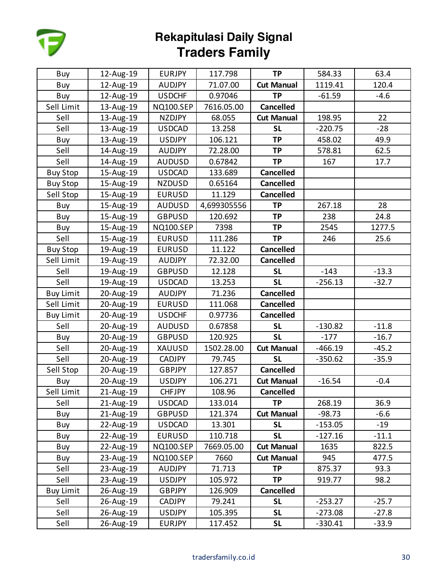

| Buy              | 12-Aug-19 | <b>EURJPY</b>    | 117.798     | <b>TP</b>         | 584.33    | 63.4    |
|------------------|-----------|------------------|-------------|-------------------|-----------|---------|
| Buy              | 12-Aug-19 | <b>AUDJPY</b>    | 71.07.00    | <b>Cut Manual</b> | 1119.41   | 120.4   |
| Buy              | 12-Aug-19 | <b>USDCHF</b>    | 0.97046     | <b>TP</b>         | $-61.59$  | $-4.6$  |
| Sell Limit       | 13-Aug-19 | <b>NQ100.SEP</b> | 7616.05.00  | <b>Cancelled</b>  |           |         |
| Sell             | 13-Aug-19 | <b>NZDJPY</b>    | 68.055      | <b>Cut Manual</b> | 198.95    | 22      |
| Sell             | 13-Aug-19 | <b>USDCAD</b>    | 13.258      | <b>SL</b>         | $-220.75$ | $-28$   |
| Buy              | 13-Aug-19 | <b>USDJPY</b>    | 106.121     | <b>TP</b>         | 458.02    | 49.9    |
| Sell             | 14-Aug-19 | <b>AUDJPY</b>    | 72.28.00    | <b>TP</b>         | 578.81    | 62.5    |
| Sell             | 14-Aug-19 | <b>AUDUSD</b>    | 0.67842     | <b>TP</b>         | 167       | 17.7    |
| <b>Buy Stop</b>  | 15-Aug-19 | <b>USDCAD</b>    | 133.689     | <b>Cancelled</b>  |           |         |
| <b>Buy Stop</b>  | 15-Aug-19 | <b>NZDUSD</b>    | 0.65164     | <b>Cancelled</b>  |           |         |
| Sell Stop        | 15-Aug-19 | <b>EURUSD</b>    | 11.129      | <b>Cancelled</b>  |           |         |
| Buy              | 15-Aug-19 | <b>AUDUSD</b>    | 4,699305556 | <b>TP</b>         | 267.18    | 28      |
| Buy              | 15-Aug-19 | <b>GBPUSD</b>    | 120.692     | <b>TP</b>         | 238       | 24.8    |
| Buy              | 15-Aug-19 | <b>NQ100.SEP</b> | 7398        | <b>TP</b>         | 2545      | 1277.5  |
| Sell             | 15-Aug-19 | <b>EURUSD</b>    | 111.286     | <b>TP</b>         | 246       | 25.6    |
| <b>Buy Stop</b>  | 19-Aug-19 | <b>EURUSD</b>    | 11.122      | <b>Cancelled</b>  |           |         |
| Sell Limit       | 19-Aug-19 | <b>AUDJPY</b>    | 72.32.00    | <b>Cancelled</b>  |           |         |
| Sell             | 19-Aug-19 | <b>GBPUSD</b>    | 12.128      | <b>SL</b>         | $-143$    | $-13.3$ |
| Sell             | 19-Aug-19 | <b>USDCAD</b>    | 13.253      | <b>SL</b>         | $-256.13$ | $-32.7$ |
| <b>Buy Limit</b> | 20-Aug-19 | AUDJPY           | 71.236      | <b>Cancelled</b>  |           |         |
| Sell Limit       | 20-Aug-19 | <b>EURUSD</b>    | 111.068     | <b>Cancelled</b>  |           |         |
| <b>Buy Limit</b> | 20-Aug-19 | <b>USDCHF</b>    | 0.97736     | <b>Cancelled</b>  |           |         |
| Sell             | 20-Aug-19 | <b>AUDUSD</b>    | 0.67858     | <b>SL</b>         | $-130.82$ | $-11.8$ |
| Buy              | 20-Aug-19 | <b>GBPUSD</b>    | 120.925     | <b>SL</b>         | $-177$    | $-16.7$ |
| Sell             | 20-Aug-19 | XAUUSD           | 1502.28.00  | <b>Cut Manual</b> | $-466.19$ | $-45.2$ |
| Sell             | 20-Aug-19 | <b>CADJPY</b>    | 79.745      | <b>SL</b>         | $-350.62$ | $-35.9$ |
| Sell Stop        | 20-Aug-19 | GBPJPY           | 127.857     | <b>Cancelled</b>  |           |         |
| Buy              | 20-Aug-19 | <b>USDJPY</b>    | 106.271     | <b>Cut Manual</b> | $-16.54$  | $-0.4$  |
| Sell Limit       | 21-Aug-19 | <b>CHFJPY</b>    | 108.96      | <b>Cancelled</b>  |           |         |
| Sell             | 21-Aug-19 | <b>USDCAD</b>    | 133.014     | <b>TP</b>         | 268.19    | 36.9    |
| Buy              | 21-Aug-19 | <b>GBPUSD</b>    | 121.374     | <b>Cut Manual</b> | $-98.73$  | $-6.6$  |
| Buy              | 22-Aug-19 | <b>USDCAD</b>    | 13.301      | <b>SL</b>         | $-153.05$ | $-19$   |
| Buy              | 22-Aug-19 | <b>EURUSD</b>    | 110.718     | <b>SL</b>         | $-127.16$ | $-11.1$ |
| Buy              | 22-Aug-19 | <b>NQ100.SEP</b> | 7669.05.00  | <b>Cut Manual</b> | 1635      | 822.5   |
| Buy              | 23-Aug-19 | <b>NQ100.SEP</b> | 7660        | <b>Cut Manual</b> | 945       | 477.5   |
| Sell             | 23-Aug-19 | <b>AUDJPY</b>    | 71.713      | <b>TP</b>         | 875.37    | 93.3    |
| Sell             | 23-Aug-19 | <b>USDJPY</b>    | 105.972     | <b>TP</b>         | 919.77    | 98.2    |
| <b>Buy Limit</b> | 26-Aug-19 | <b>GBPJPY</b>    | 126.909     | <b>Cancelled</b>  |           |         |
| Sell             | 26-Aug-19 | <b>CADJPY</b>    | 79.241      | <b>SL</b>         | $-253.27$ | $-25.7$ |
| Sell             | 26-Aug-19 | <b>USDJPY</b>    | 105.395     | <b>SL</b>         | $-273.08$ | $-27.8$ |
| Sell             | 26-Aug-19 | <b>EURJPY</b>    | 117.452     | <b>SL</b>         | $-330.41$ | $-33.9$ |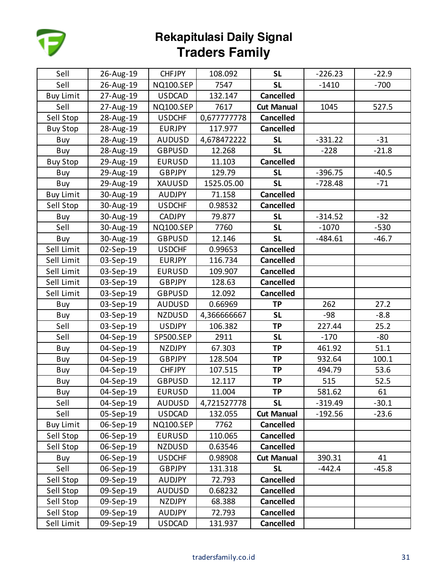

| Sell             | 26-Aug-19 | <b>CHFJPY</b>    | 108.092     | <b>SL</b>         | $-226.23$ | $-22.9$ |
|------------------|-----------|------------------|-------------|-------------------|-----------|---------|
| Sell             | 26-Aug-19 | <b>NQ100.SEP</b> | 7547        | <b>SL</b>         | $-1410$   | $-700$  |
| <b>Buy Limit</b> | 27-Aug-19 | <b>USDCAD</b>    | 132.147     | <b>Cancelled</b>  |           |         |
| Sell             | 27-Aug-19 | <b>NQ100.SEP</b> | 7617        | <b>Cut Manual</b> | 1045      | 527.5   |
| Sell Stop        | 28-Aug-19 | <b>USDCHF</b>    | 0,677777778 | <b>Cancelled</b>  |           |         |
| <b>Buy Stop</b>  | 28-Aug-19 | <b>EURJPY</b>    | 117.977     | <b>Cancelled</b>  |           |         |
| Buy              | 28-Aug-19 | <b>AUDUSD</b>    | 4,678472222 | <b>SL</b>         | $-331.22$ | $-31$   |
| Buy              | 28-Aug-19 | <b>GBPUSD</b>    | 12.268      | <b>SL</b>         | $-228$    | $-21.8$ |
| <b>Buy Stop</b>  | 29-Aug-19 | <b>EURUSD</b>    | 11.103      | <b>Cancelled</b>  |           |         |
| Buy              | 29-Aug-19 | <b>GBPJPY</b>    | 129.79      | <b>SL</b>         | $-396.75$ | $-40.5$ |
| Buy              | 29-Aug-19 | XAUUSD           | 1525.05.00  | <b>SL</b>         | $-728.48$ | $-71$   |
| <b>Buy Limit</b> | 30-Aug-19 | <b>AUDJPY</b>    | 71.158      | <b>Cancelled</b>  |           |         |
| Sell Stop        | 30-Aug-19 | <b>USDCHF</b>    | 0.98532     | <b>Cancelled</b>  |           |         |
| Buy              | 30-Aug-19 | CADJPY           | 79.877      | <b>SL</b>         | $-314.52$ | $-32$   |
| Sell             | 30-Aug-19 | <b>NQ100.SEP</b> | 7760        | <b>SL</b>         | $-1070$   | $-530$  |
| Buy              | 30-Aug-19 | <b>GBPUSD</b>    | 12.146      | <b>SL</b>         | $-484.61$ | $-46.7$ |
| Sell Limit       | 02-Sep-19 | <b>USDCHF</b>    | 0.99653     | <b>Cancelled</b>  |           |         |
| Sell Limit       | 03-Sep-19 | <b>EURJPY</b>    | 116.734     | <b>Cancelled</b>  |           |         |
| Sell Limit       | 03-Sep-19 | <b>EURUSD</b>    | 109.907     | <b>Cancelled</b>  |           |         |
| Sell Limit       | 03-Sep-19 | <b>GBPJPY</b>    | 128.63      | <b>Cancelled</b>  |           |         |
| Sell Limit       | 03-Sep-19 | <b>GBPUSD</b>    | 12.092      | <b>Cancelled</b>  |           |         |
| Buy              | 03-Sep-19 | <b>AUDUSD</b>    | 0.66969     | <b>TP</b>         | 262       | 27.2    |
| Buy              | 03-Sep-19 | <b>NZDUSD</b>    | 4,366666667 | <b>SL</b>         | -98       | $-8.8$  |
| Sell             | 03-Sep-19 | <b>USDJPY</b>    | 106.382     | <b>TP</b>         | 227.44    | 25.2    |
| Sell             | 04-Sep-19 | <b>SP500.SEP</b> | 2911        | <b>SL</b>         | $-170$    | $-80$   |
| Buy              | 04-Sep-19 | <b>NZDJPY</b>    | 67.303      | <b>TP</b>         | 461.92    | 51.1    |
| Buy              | 04-Sep-19 | <b>GBPJPY</b>    | 128.504     | <b>TP</b>         | 932.64    | 100.1   |
| Buy              | 04-Sep-19 | <b>CHFJPY</b>    | 107.515     | <b>TP</b>         | 494.79    | 53.6    |
| Buy              | 04-Sep-19 | <b>GBPUSD</b>    | 12.117      | <b>TP</b>         | 515       | 52.5    |
| Buy              | 04-Sep-19 | <b>EURUSD</b>    | 11.004      | <b>TP</b>         | 581.62    | 61      |
| Sell             | 04-Sep-19 | <b>AUDUSD</b>    | 4,721527778 | <b>SL</b>         | $-319.49$ | $-30.1$ |
| Sell             | 05-Sep-19 | <b>USDCAD</b>    | 132.055     | <b>Cut Manual</b> | $-192.56$ | $-23.6$ |
| <b>Buy Limit</b> | 06-Sep-19 | <b>NQ100.SEP</b> | 7762        | <b>Cancelled</b>  |           |         |
| Sell Stop        | 06-Sep-19 | <b>EURUSD</b>    | 110.065     | <b>Cancelled</b>  |           |         |
| Sell Stop        | 06-Sep-19 | <b>NZDUSD</b>    | 0.63546     | <b>Cancelled</b>  |           |         |
| Buy              | 06-Sep-19 | <b>USDCHF</b>    | 0.98908     | <b>Cut Manual</b> | 390.31    | 41      |
| Sell             | 06-Sep-19 | <b>GBPJPY</b>    | 131.318     | <b>SL</b>         | $-442.4$  | $-45.8$ |
| Sell Stop        | 09-Sep-19 | <b>AUDJPY</b>    | 72.793      | <b>Cancelled</b>  |           |         |
| Sell Stop        | 09-Sep-19 | AUDUSD           | 0.68232     | <b>Cancelled</b>  |           |         |
| Sell Stop        | 09-Sep-19 | <b>NZDJPY</b>    | 68.388      | <b>Cancelled</b>  |           |         |
| Sell Stop        | 09-Sep-19 | <b>AUDJPY</b>    | 72.793      | <b>Cancelled</b>  |           |         |
| Sell Limit       | 09-Sep-19 | <b>USDCAD</b>    | 131.937     | Cancelled         |           |         |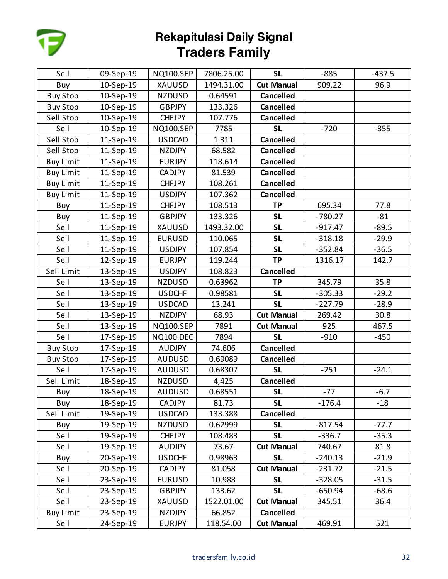

| Sell             | 09-Sep-19 | <b>NQ100.SEP</b> | 7806.25.00 | <b>SL</b>         | $-885$    | $-437.5$ |
|------------------|-----------|------------------|------------|-------------------|-----------|----------|
| Buy              | 10-Sep-19 | XAUUSD           | 1494.31.00 | <b>Cut Manual</b> | 909.22    | 96.9     |
| <b>Buy Stop</b>  | 10-Sep-19 | <b>NZDUSD</b>    | 0.64591    | <b>Cancelled</b>  |           |          |
| <b>Buy Stop</b>  | 10-Sep-19 | <b>GBPJPY</b>    | 133.326    | <b>Cancelled</b>  |           |          |
| Sell Stop        | 10-Sep-19 | <b>CHFJPY</b>    | 107.776    | <b>Cancelled</b>  |           |          |
| Sell             | 10-Sep-19 | <b>NQ100.SEP</b> | 7785       | <b>SL</b>         | $-720$    | $-355$   |
| Sell Stop        | 11-Sep-19 | <b>USDCAD</b>    | 1.311      | <b>Cancelled</b>  |           |          |
| Sell Stop        | 11-Sep-19 | <b>NZDJPY</b>    | 68.582     | <b>Cancelled</b>  |           |          |
| <b>Buy Limit</b> | 11-Sep-19 | <b>EURJPY</b>    | 118.614    | <b>Cancelled</b>  |           |          |
| <b>Buy Limit</b> | 11-Sep-19 | <b>CADJPY</b>    | 81.539     | <b>Cancelled</b>  |           |          |
| <b>Buy Limit</b> | 11-Sep-19 | <b>CHFJPY</b>    | 108.261    | <b>Cancelled</b>  |           |          |
| <b>Buy Limit</b> | 11-Sep-19 | <b>USDJPY</b>    | 107.362    | <b>Cancelled</b>  |           |          |
| Buy              | 11-Sep-19 | <b>CHFJPY</b>    | 108.513    | <b>TP</b>         | 695.34    | 77.8     |
| Buy              | 11-Sep-19 | <b>GBPJPY</b>    | 133.326    | <b>SL</b>         | $-780.27$ | $-81$    |
| Sell             | 11-Sep-19 | XAUUSD           | 1493.32.00 | <b>SL</b>         | $-917.47$ | $-89.5$  |
| Sell             | 11-Sep-19 | <b>EURUSD</b>    | 110.065    | <b>SL</b>         | $-318.18$ | $-29.9$  |
| Sell             | 11-Sep-19 | <b>USDJPY</b>    | 107.854    | <b>SL</b>         | $-352.84$ | $-36.5$  |
| Sell             | 12-Sep-19 | <b>EURJPY</b>    | 119.244    | <b>TP</b>         | 1316.17   | 142.7    |
| Sell Limit       | 13-Sep-19 | <b>USDJPY</b>    | 108.823    | <b>Cancelled</b>  |           |          |
| Sell             | 13-Sep-19 | <b>NZDUSD</b>    | 0.63962    | <b>TP</b>         | 345.79    | 35.8     |
| Sell             | 13-Sep-19 | <b>USDCHF</b>    | 0.98581    | <b>SL</b>         | $-305.33$ | $-29.2$  |
| Sell             | 13-Sep-19 | <b>USDCAD</b>    | 13.241     | <b>SL</b>         | $-227.79$ | $-28.9$  |
| Sell             | 13-Sep-19 | <b>NZDJPY</b>    | 68.93      | <b>Cut Manual</b> | 269.42    | 30.8     |
| Sell             | 13-Sep-19 | <b>NQ100.SEP</b> | 7891       | <b>Cut Manual</b> | 925       | 467.5    |
| Sell             | 17-Sep-19 | <b>NQ100.DEC</b> | 7894       | <b>SL</b>         | $-910$    | $-450$   |
| <b>Buy Stop</b>  | 17-Sep-19 | <b>AUDJPY</b>    | 74.606     | <b>Cancelled</b>  |           |          |
| <b>Buy Stop</b>  | 17-Sep-19 | <b>AUDUSD</b>    | 0.69089    | <b>Cancelled</b>  |           |          |
| Sell             | 17-Sep-19 | <b>AUDUSD</b>    | 0.68307    | <b>SL</b>         | $-251$    | $-24.1$  |
| Sell Limit       | 18-Sep-19 | <b>NZDUSD</b>    | 4,425      | <b>Cancelled</b>  |           |          |
| Buy              | 18-Sep-19 | <b>AUDUSD</b>    | 0.68551    | <b>SL</b>         | $-77$     | $-6.7$   |
| Buy              | 18-Sep-19 | <b>CADJPY</b>    | 81.73      | <b>SL</b>         | $-176.4$  | $-18$    |
| Sell Limit       | 19-Sep-19 | <b>USDCAD</b>    | 133.388    | <b>Cancelled</b>  |           |          |
| Buy              | 19-Sep-19 | <b>NZDUSD</b>    | 0.62999    | <b>SL</b>         | $-817.54$ | $-77.7$  |
| Sell             | 19-Sep-19 | <b>CHFJPY</b>    | 108.483    | <b>SL</b>         | $-336.7$  | $-35.3$  |
| Sell             | 19-Sep-19 | <b>AUDJPY</b>    | 73.67      | <b>Cut Manual</b> | 740.67    | 81.8     |
| Buy              | 20-Sep-19 | <b>USDCHF</b>    | 0.98963    | <b>SL</b>         | $-240.13$ | $-21.9$  |
| Sell             | 20-Sep-19 | <b>CADJPY</b>    | 81.058     | <b>Cut Manual</b> | $-231.72$ | $-21.5$  |
| Sell             | 23-Sep-19 | <b>EURUSD</b>    | 10.988     | <b>SL</b>         | $-328.05$ | $-31.5$  |
| Sell             | 23-Sep-19 | <b>GBPJPY</b>    | 133.62     | <b>SL</b>         | $-650.94$ | -68.6    |
| Sell             | 23-Sep-19 | XAUUSD           | 1522.01.00 | <b>Cut Manual</b> | 345.51    | 36.4     |
| <b>Buy Limit</b> | 23-Sep-19 | NZDJPY           | 66.852     | <b>Cancelled</b>  |           |          |
| Sell             | 24-Sep-19 | <b>EURJPY</b>    | 118.54.00  | <b>Cut Manual</b> | 469.91    | 521      |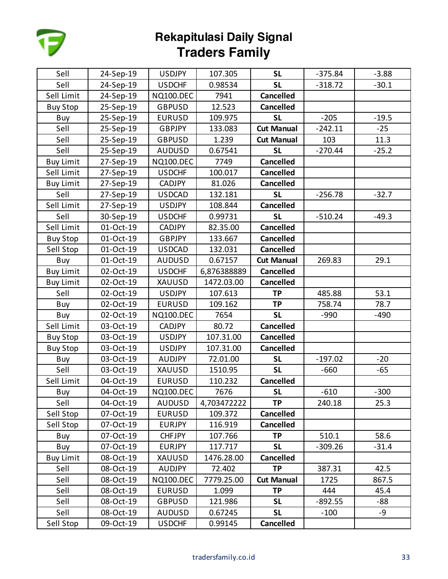

| Sell             | 24-Sep-19 | <b>USDJPY</b>    | 107.305     | <b>SL</b>         | $-375.84$ | $-3.88$ |
|------------------|-----------|------------------|-------------|-------------------|-----------|---------|
| Sell             | 24-Sep-19 | <b>USDCHF</b>    | 0.98534     | <b>SL</b>         | $-318.72$ | $-30.1$ |
| Sell Limit       | 24-Sep-19 | <b>NQ100.DEC</b> | 7941        | <b>Cancelled</b>  |           |         |
| <b>Buy Stop</b>  | 25-Sep-19 | <b>GBPUSD</b>    | 12.523      | <b>Cancelled</b>  |           |         |
| Buy              | 25-Sep-19 | <b>EURUSD</b>    | 109.975     | <b>SL</b>         | $-205$    | $-19.5$ |
| Sell             | 25-Sep-19 | <b>GBPJPY</b>    | 133.083     | <b>Cut Manual</b> | $-242.11$ | $-25$   |
| Sell             | 25-Sep-19 | <b>GBPUSD</b>    | 1.239       | <b>Cut Manual</b> | 103       | 11.3    |
| Sell             | 25-Sep-19 | <b>AUDUSD</b>    | 0.67541     | <b>SL</b>         | $-270.44$ | $-25.2$ |
| <b>Buy Limit</b> | 27-Sep-19 | <b>NQ100.DEC</b> | 7749        | <b>Cancelled</b>  |           |         |
| Sell Limit       | 27-Sep-19 | <b>USDCHF</b>    | 100.017     | <b>Cancelled</b>  |           |         |
| <b>Buy Limit</b> | 27-Sep-19 | <b>CADJPY</b>    | 81.026      | <b>Cancelled</b>  |           |         |
| Sell             | 27-Sep-19 | <b>USDCAD</b>    | 132.181     | <b>SL</b>         | $-256.78$ | $-32.7$ |
| Sell Limit       | 27-Sep-19 | <b>USDJPY</b>    | 108.844     | <b>Cancelled</b>  |           |         |
| Sell             | 30-Sep-19 | <b>USDCHF</b>    | 0.99731     | <b>SL</b>         | $-510.24$ | $-49.3$ |
| Sell Limit       | 01-Oct-19 | <b>CADJPY</b>    | 82.35.00    | <b>Cancelled</b>  |           |         |
| <b>Buy Stop</b>  | 01-Oct-19 | <b>GBPJPY</b>    | 133.667     | <b>Cancelled</b>  |           |         |
| Sell Stop        | 01-Oct-19 | <b>USDCAD</b>    | 132.031     | <b>Cancelled</b>  |           |         |
| Buy              | 01-Oct-19 | <b>AUDUSD</b>    | 0.67157     | <b>Cut Manual</b> | 269.83    | 29.1    |
| <b>Buy Limit</b> | 02-Oct-19 | <b>USDCHF</b>    | 6,876388889 | <b>Cancelled</b>  |           |         |
| <b>Buy Limit</b> | 02-Oct-19 | XAUUSD           | 1472.03.00  | <b>Cancelled</b>  |           |         |
| Sell             | 02-Oct-19 | <b>USDJPY</b>    | 107.613     | <b>TP</b>         | 485.88    | 53.1    |
| Buy              | 02-Oct-19 | EURUSD           | 109.162     | <b>TP</b>         | 758.74    | 78.7    |
| Buy              | 02-Oct-19 | <b>NQ100.DEC</b> | 7654        | <b>SL</b>         | $-990$    | $-490$  |
| Sell Limit       | 03-Oct-19 | <b>CADJPY</b>    | 80.72       | <b>Cancelled</b>  |           |         |
| <b>Buy Stop</b>  | 03-Oct-19 | <b>USDJPY</b>    | 107.31.00   | <b>Cancelled</b>  |           |         |
| <b>Buy Stop</b>  | 03-Oct-19 | <b>USDJPY</b>    | 107.31.00   | <b>Cancelled</b>  |           |         |
| Buy              | 03-Oct-19 | <b>AUDJPY</b>    | 72.01.00    | <b>SL</b>         | $-197.02$ | $-20$   |
| Sell             | 03-Oct-19 | XAUUSD           | 1510.95     | <b>SL</b>         | $-660$    | $-65$   |
| Sell Limit       | 04-Oct-19 | <b>EURUSD</b>    | 110.232     | <b>Cancelled</b>  |           |         |
| Buy              | 04-Oct-19 | <b>NQ100.DEC</b> | 7676        | <b>SL</b>         | $-610$    | $-300$  |
| Sell             | 04-Oct-19 | <b>AUDUSD</b>    | 4,703472222 | <b>TP</b>         | 240.18    | 25.3    |
| Sell Stop        | 07-Oct-19 | <b>EURUSD</b>    | 109.372     | <b>Cancelled</b>  |           |         |
| Sell Stop        | 07-Oct-19 | <b>EURJPY</b>    | 116.919     | <b>Cancelled</b>  |           |         |
| Buy              | 07-Oct-19 | <b>CHFJPY</b>    | 107.766     | <b>TP</b>         | 510.1     | 58.6    |
| Buy              | 07-Oct-19 | <b>EURJPY</b>    | 117.717     | <b>SL</b>         | $-309.26$ | $-31.4$ |
| <b>Buy Limit</b> | 08-Oct-19 | XAUUSD           | 1476.28.00  | <b>Cancelled</b>  |           |         |
| Sell             | 08-Oct-19 | <b>AUDJPY</b>    | 72.402      | <b>TP</b>         | 387.31    | 42.5    |
| Sell             | 08-Oct-19 | <b>NQ100.DEC</b> | 7779.25.00  | <b>Cut Manual</b> | 1725      | 867.5   |
| Sell             | 08-Oct-19 | <b>EURUSD</b>    | 1.099       | <b>TP</b>         | 444       | 45.4    |
| Sell             | 08-Oct-19 | <b>GBPUSD</b>    | 121.986     | <b>SL</b>         | $-892.55$ | -88     |
| Sell             | 08-Oct-19 | <b>AUDUSD</b>    | 0.67245     | <b>SL</b>         | $-100$    | -9      |
| Sell Stop        | 09-Oct-19 | <b>USDCHF</b>    | 0.99145     | Cancelled         |           |         |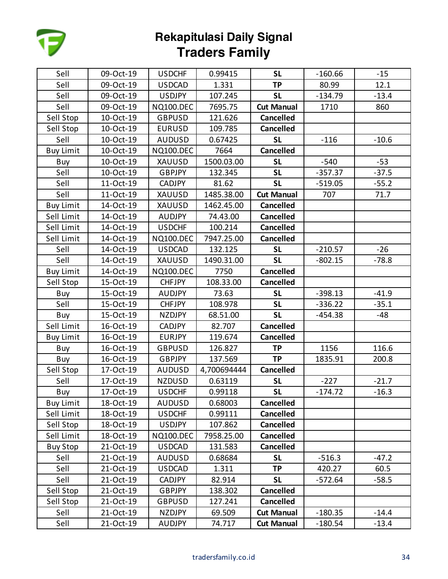

| Sell             | 09-Oct-19 | <b>USDCHF</b>    | 0.99415     | <b>SL</b>         | $-160.66$ | $-15$   |
|------------------|-----------|------------------|-------------|-------------------|-----------|---------|
| Sell             | 09-Oct-19 | <b>USDCAD</b>    | 1.331       | <b>TP</b>         | 80.99     | 12.1    |
| Sell             | 09-Oct-19 | <b>USDJPY</b>    | 107.245     | <b>SL</b>         | $-134.79$ | $-13.4$ |
| Sell             | 09-Oct-19 | <b>NQ100.DEC</b> | 7695.75     | <b>Cut Manual</b> | 1710      | 860     |
| Sell Stop        | 10-Oct-19 | <b>GBPUSD</b>    | 121.626     | <b>Cancelled</b>  |           |         |
| Sell Stop        | 10-Oct-19 | <b>EURUSD</b>    | 109.785     | <b>Cancelled</b>  |           |         |
| Sell             | 10-Oct-19 | <b>AUDUSD</b>    | 0.67425     | <b>SL</b>         | $-116$    | $-10.6$ |
| <b>Buy Limit</b> | 10-Oct-19 | <b>NQ100.DEC</b> | 7664        | <b>Cancelled</b>  |           |         |
| Buy              | 10-Oct-19 | XAUUSD           | 1500.03.00  | <b>SL</b>         | $-540$    | $-53$   |
| Sell             | 10-Oct-19 | <b>GBPJPY</b>    | 132.345     | <b>SL</b>         | $-357.37$ | $-37.5$ |
| Sell             | 11-Oct-19 | <b>CADJPY</b>    | 81.62       | <b>SL</b>         | $-519.05$ | $-55.2$ |
| Sell             | 11-Oct-19 | XAUUSD           | 1485.38.00  | <b>Cut Manual</b> | 707       | 71.7    |
| <b>Buy Limit</b> | 14-Oct-19 | XAUUSD           | 1462.45.00  | <b>Cancelled</b>  |           |         |
| Sell Limit       | 14-Oct-19 | <b>AUDJPY</b>    | 74.43.00    | <b>Cancelled</b>  |           |         |
| Sell Limit       | 14-Oct-19 | <b>USDCHF</b>    | 100.214     | <b>Cancelled</b>  |           |         |
| Sell Limit       | 14-Oct-19 | <b>NQ100.DEC</b> | 7947.25.00  | <b>Cancelled</b>  |           |         |
| Sell             | 14-Oct-19 | <b>USDCAD</b>    | 132.125     | <b>SL</b>         | $-210.57$ | $-26$   |
| Sell             | 14-Oct-19 | XAUUSD           | 1490.31.00  | <b>SL</b>         | $-802.15$ | $-78.8$ |
| <b>Buy Limit</b> | 14-Oct-19 | <b>NQ100.DEC</b> | 7750        | <b>Cancelled</b>  |           |         |
| Sell Stop        | 15-Oct-19 | <b>CHFJPY</b>    | 108.33.00   | <b>Cancelled</b>  |           |         |
| Buy              | 15-Oct-19 | <b>AUDJPY</b>    | 73.63       | <b>SL</b>         | $-398.13$ | $-41.9$ |
| Sell             | 15-Oct-19 | <b>CHFJPY</b>    | 108.978     | <b>SL</b>         | $-336.22$ | $-35.1$ |
| Buy              | 15-Oct-19 | <b>NZDJPY</b>    | 68.51.00    | <b>SL</b>         | $-454.38$ | -48     |
| Sell Limit       | 16-Oct-19 | <b>CADJPY</b>    | 82.707      | <b>Cancelled</b>  |           |         |
| <b>Buy Limit</b> | 16-Oct-19 | <b>EURJPY</b>    | 119.674     | <b>Cancelled</b>  |           |         |
| Buy              | 16-Oct-19 | <b>GBPUSD</b>    | 126.827     | <b>TP</b>         | 1156      | 116.6   |
| Buy              | 16-Oct-19 | <b>GBPJPY</b>    | 137.569     | <b>TP</b>         | 1835.91   | 200.8   |
| Sell Stop        | 17-Oct-19 | <b>AUDUSD</b>    | 4,700694444 | <b>Cancelled</b>  |           |         |
| Sell             | 17-Oct-19 | <b>NZDUSD</b>    | 0.63119     | <b>SL</b>         | $-227$    | $-21.7$ |
| Buy              | 17-Oct-19 | <b>USDCHF</b>    | 0.99118     | <b>SL</b>         | $-174.72$ | $-16.3$ |
| <b>Buy Limit</b> | 18-Oct-19 | <b>AUDUSD</b>    | 0.68003     | <b>Cancelled</b>  |           |         |
| Sell Limit       | 18-Oct-19 | <b>USDCHF</b>    | 0.99111     | <b>Cancelled</b>  |           |         |
| Sell Stop        | 18-Oct-19 | <b>USDJPY</b>    | 107.862     | <b>Cancelled</b>  |           |         |
| Sell Limit       | 18-Oct-19 | <b>NQ100.DEC</b> | 7958.25.00  | <b>Cancelled</b>  |           |         |
| <b>Buy Stop</b>  | 21-Oct-19 | <b>USDCAD</b>    | 131.583     | <b>Cancelled</b>  |           |         |
| Sell             | 21-Oct-19 | <b>AUDUSD</b>    | 0.68684     | <b>SL</b>         | $-516.3$  | $-47.2$ |
| Sell             | 21-Oct-19 | <b>USDCAD</b>    | 1.311       | <b>TP</b>         | 420.27    | 60.5    |
| Sell             | 21-Oct-19 | <b>CADJPY</b>    | 82.914      | <b>SL</b>         | $-572.64$ | $-58.5$ |
| Sell Stop        | 21-Oct-19 | <b>GBPJPY</b>    | 138.302     | <b>Cancelled</b>  |           |         |
| Sell Stop        | 21-Oct-19 | <b>GBPUSD</b>    | 127.241     | <b>Cancelled</b>  |           |         |
| Sell             | 21-Oct-19 | <b>NZDJPY</b>    | 69.509      | <b>Cut Manual</b> | $-180.35$ | $-14.4$ |
| Sell             | 21-Oct-19 | <b>AUDJPY</b>    | 74.717      | <b>Cut Manual</b> | $-180.54$ | $-13.4$ |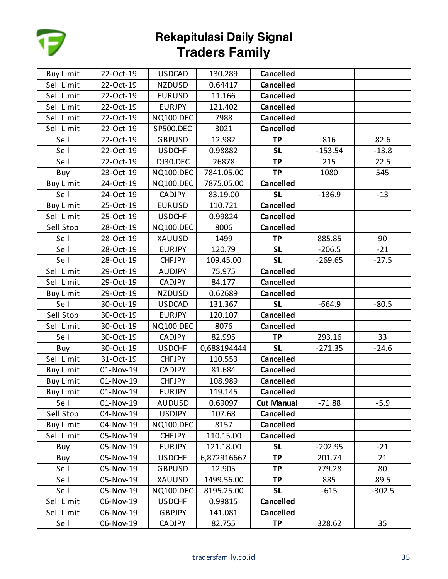

| <b>Buy Limit</b> | 22-Oct-19 | <b>USDCAD</b>    | 130.289     | <b>Cancelled</b>  |           |          |
|------------------|-----------|------------------|-------------|-------------------|-----------|----------|
| Sell Limit       | 22-Oct-19 | <b>NZDUSD</b>    | 0.64417     | <b>Cancelled</b>  |           |          |
| Sell Limit       | 22-Oct-19 | <b>EURUSD</b>    | 11.166      | <b>Cancelled</b>  |           |          |
| Sell Limit       | 22-Oct-19 | <b>EURJPY</b>    | 121.402     | <b>Cancelled</b>  |           |          |
| Sell Limit       | 22-Oct-19 | <b>NQ100.DEC</b> | 7988        | <b>Cancelled</b>  |           |          |
| Sell Limit       | 22-Oct-19 | <b>SP500.DEC</b> | 3021        | <b>Cancelled</b>  |           |          |
| Sell             | 22-Oct-19 | <b>GBPUSD</b>    | 12.982      | <b>TP</b>         | 816       | 82.6     |
| Sell             | 22-Oct-19 | <b>USDCHF</b>    | 0.98882     | <b>SL</b>         | $-153.54$ | $-13.8$  |
| Sell             | 22-Oct-19 | DJ30.DEC         | 26878       | <b>TP</b>         | 215       | 22.5     |
| Buy              | 23-Oct-19 | <b>NQ100.DEC</b> | 7841.05.00  | <b>TP</b>         | 1080      | 545      |
| <b>Buy Limit</b> | 24-Oct-19 | <b>NQ100.DEC</b> | 7875.05.00  | <b>Cancelled</b>  |           |          |
| Sell             | 24-Oct-19 | <b>CADJPY</b>    | 83.19.00    | <b>SL</b>         | $-136.9$  | $-13$    |
| <b>Buy Limit</b> | 25-Oct-19 | <b>EURUSD</b>    | 110.721     | <b>Cancelled</b>  |           |          |
| Sell Limit       | 25-Oct-19 | <b>USDCHF</b>    | 0.99824     | <b>Cancelled</b>  |           |          |
| Sell Stop        | 28-Oct-19 | <b>NQ100.DEC</b> | 8006        | <b>Cancelled</b>  |           |          |
| Sell             | 28-Oct-19 | XAUUSD           | 1499        | <b>TP</b>         | 885.85    | 90       |
| Sell             | 28-Oct-19 | <b>EURJPY</b>    | 120.79      | <b>SL</b>         | $-206.5$  | $-21$    |
| Sell             | 28-Oct-19 | <b>CHFJPY</b>    | 109.45.00   | <b>SL</b>         | $-269.65$ | $-27.5$  |
| Sell Limit       | 29-Oct-19 | <b>AUDJPY</b>    | 75.975      | <b>Cancelled</b>  |           |          |
| Sell Limit       | 29-Oct-19 | <b>CADJPY</b>    | 84.177      | <b>Cancelled</b>  |           |          |
| <b>Buy Limit</b> | 29-Oct-19 | <b>NZDUSD</b>    | 0.62689     | <b>Cancelled</b>  |           |          |
| Sell             | 30-Oct-19 | <b>USDCAD</b>    | 131.367     | <b>SL</b>         | $-664.9$  | $-80.5$  |
| Sell Stop        | 30-Oct-19 | <b>EURJPY</b>    | 120.107     | <b>Cancelled</b>  |           |          |
| Sell Limit       | 30-Oct-19 | <b>NQ100.DEC</b> | 8076        | <b>Cancelled</b>  |           |          |
| Sell             | 30-Oct-19 | <b>CADJPY</b>    | 82.995      | <b>TP</b>         | 293.16    | 33       |
| Buy              | 30-Oct-19 | <b>USDCHF</b>    | 0,688194444 | <b>SL</b>         | $-271.35$ | $-24.6$  |
| Sell Limit       | 31-Oct-19 | <b>CHFJPY</b>    | 110.553     | <b>Cancelled</b>  |           |          |
| <b>Buy Limit</b> | 01-Nov-19 | <b>CADJPY</b>    | 81.684      | <b>Cancelled</b>  |           |          |
| <b>Buy Limit</b> | 01-Nov-19 | <b>CHFJPY</b>    | 108.989     | <b>Cancelled</b>  |           |          |
| <b>Buy Limit</b> | 01-Nov-19 | <b>EURJPY</b>    | 119.145     | <b>Cancelled</b>  |           |          |
| Sell             | 01-Nov-19 | <b>AUDUSD</b>    | 0.69097     | <b>Cut Manual</b> | $-71.88$  | $-5.9$   |
| Sell Stop        | 04-Nov-19 | <b>USDJPY</b>    | 107.68      | <b>Cancelled</b>  |           |          |
| <b>Buy Limit</b> | 04-Nov-19 | <b>NQ100.DEC</b> | 8157        | <b>Cancelled</b>  |           |          |
| Sell Limit       | 05-Nov-19 | <b>CHFJPY</b>    | 110.15.00   | <b>Cancelled</b>  |           |          |
| Buy              | 05-Nov-19 | <b>EURJPY</b>    | 121.18.00   | <b>SL</b>         | $-202.95$ | $-21$    |
| Buy              | 05-Nov-19 | <b>USDCHF</b>    | 6,872916667 | <b>TP</b>         | 201.74    | 21       |
| Sell             | 05-Nov-19 | <b>GBPUSD</b>    | 12.905      | <b>TP</b>         | 779.28    | 80       |
| Sell             | 05-Nov-19 | XAUUSD           | 1499.56.00  | <b>TP</b>         | 885       | 89.5     |
| Sell             | 05-Nov-19 | <b>NQ100.DEC</b> | 8195.25.00  | <b>SL</b>         | $-615$    | $-302.5$ |
| Sell Limit       | 06-Nov-19 | <b>USDCHF</b>    | 0.99815     | <b>Cancelled</b>  |           |          |
| Sell Limit       | 06-Nov-19 | <b>GBPJPY</b>    | 141.081     | <b>Cancelled</b>  |           |          |
| Sell             | 06-Nov-19 | CADJPY           | 82.755      | <b>TP</b>         | 328.62    | 35       |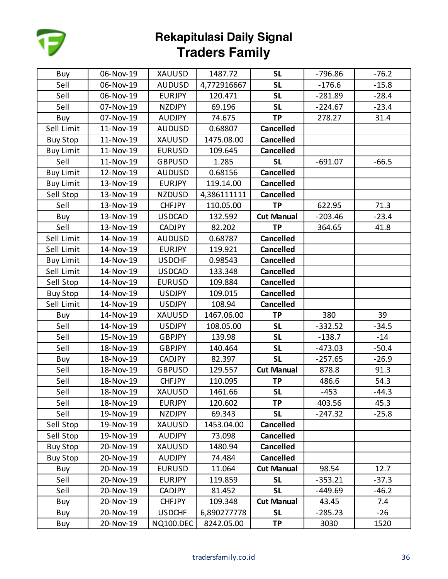

| Buy              | 06-Nov-19 | <b>XAUUSD</b>    | 1487.72     | <b>SL</b>         | $-796.86$ | $-76.2$ |
|------------------|-----------|------------------|-------------|-------------------|-----------|---------|
| Sell             | 06-Nov-19 | <b>AUDUSD</b>    | 4,772916667 | <b>SL</b>         | $-176.6$  | $-15.8$ |
| Sell             | 06-Nov-19 | <b>EURJPY</b>    | 120.471     | <b>SL</b>         | $-281.89$ | $-28.4$ |
| Sell             | 07-Nov-19 | <b>NZDJPY</b>    | 69.196      | <b>SL</b>         | $-224.67$ | $-23.4$ |
| Buy              | 07-Nov-19 | <b>AUDJPY</b>    | 74.675      | <b>TP</b>         | 278.27    | 31.4    |
| Sell Limit       | 11-Nov-19 | <b>AUDUSD</b>    | 0.68807     | <b>Cancelled</b>  |           |         |
| <b>Buy Stop</b>  | 11-Nov-19 | <b>XAUUSD</b>    | 1475.08.00  | <b>Cancelled</b>  |           |         |
| <b>Buy Limit</b> | 11-Nov-19 | <b>EURUSD</b>    | 109.645     | <b>Cancelled</b>  |           |         |
| Sell             | 11-Nov-19 | <b>GBPUSD</b>    | 1.285       | <b>SL</b>         | $-691.07$ | $-66.5$ |
| <b>Buy Limit</b> | 12-Nov-19 | <b>AUDUSD</b>    | 0.68156     | <b>Cancelled</b>  |           |         |
| <b>Buy Limit</b> | 13-Nov-19 | <b>EURJPY</b>    | 119.14.00   | <b>Cancelled</b>  |           |         |
| Sell Stop        | 13-Nov-19 | <b>NZDUSD</b>    | 4,386111111 | <b>Cancelled</b>  |           |         |
| Sell             | 13-Nov-19 | <b>CHFJPY</b>    | 110.05.00   | <b>TP</b>         | 622.95    | 71.3    |
| Buy              | 13-Nov-19 | <b>USDCAD</b>    | 132.592     | <b>Cut Manual</b> | $-203.46$ | $-23.4$ |
| Sell             | 13-Nov-19 | <b>CADJPY</b>    | 82.202      | <b>TP</b>         | 364.65    | 41.8    |
| Sell Limit       | 14-Nov-19 | <b>AUDUSD</b>    | 0.68787     | <b>Cancelled</b>  |           |         |
| Sell Limit       | 14-Nov-19 | <b>EURJPY</b>    | 119.921     | <b>Cancelled</b>  |           |         |
| <b>Buy Limit</b> | 14-Nov-19 | <b>USDCHF</b>    | 0.98543     | <b>Cancelled</b>  |           |         |
| Sell Limit       | 14-Nov-19 | <b>USDCAD</b>    | 133.348     | <b>Cancelled</b>  |           |         |
| Sell Stop        | 14-Nov-19 | <b>EURUSD</b>    | 109.884     | <b>Cancelled</b>  |           |         |
| <b>Buy Stop</b>  | 14-Nov-19 | <b>USDJPY</b>    | 109.015     | <b>Cancelled</b>  |           |         |
| Sell Limit       | 14-Nov-19 | <b>USDJPY</b>    | 108.94      | <b>Cancelled</b>  |           |         |
| Buy              | 14-Nov-19 | XAUUSD           | 1467.06.00  | <b>TP</b>         | 380       | 39      |
| Sell             | 14-Nov-19 | <b>USDJPY</b>    | 108.05.00   | <b>SL</b>         | $-332.52$ | $-34.5$ |
| Sell             | 15-Nov-19 | <b>GBPJPY</b>    | 139.98      | <b>SL</b>         | $-138.7$  | $-14$   |
| Sell             | 18-Nov-19 | <b>GBPJPY</b>    | 140.464     | <b>SL</b>         | $-473.03$ | $-50.4$ |
| Buy              | 18-Nov-19 | <b>CADJPY</b>    | 82.397      | <b>SL</b>         | $-257.65$ | $-26.9$ |
| Sell             | 18-Nov-19 | <b>GBPUSD</b>    | 129.557     | <b>Cut Manual</b> | 878.8     | 91.3    |
| Sell             | 18-Nov-19 | <b>CHFJPY</b>    | 110.095     | <b>TP</b>         | 486.6     | 54.3    |
| Sell             | 18-Nov-19 | <b>XAUUSD</b>    | 1461.66     | <b>SL</b>         | $-453$    | $-44.3$ |
| Sell             | 18-Nov-19 | <b>EURJPY</b>    | 120.602     | <b>TP</b>         | 403.56    | 45.3    |
| Sell             | 19-Nov-19 | <b>NZDJPY</b>    | 69.343      | <b>SL</b>         | $-247.32$ | $-25.8$ |
| Sell Stop        | 19-Nov-19 | <b>XAUUSD</b>    | 1453.04.00  | <b>Cancelled</b>  |           |         |
| Sell Stop        | 19-Nov-19 | <b>AUDJPY</b>    | 73.098      | <b>Cancelled</b>  |           |         |
| <b>Buy Stop</b>  | 20-Nov-19 | <b>XAUUSD</b>    | 1480.94     | <b>Cancelled</b>  |           |         |
| <b>Buy Stop</b>  | 20-Nov-19 | <b>AUDJPY</b>    | 74.484      | <b>Cancelled</b>  |           |         |
| Buy              | 20-Nov-19 | <b>EURUSD</b>    | 11.064      | <b>Cut Manual</b> | 98.54     | 12.7    |
| Sell             | 20-Nov-19 | <b>EURJPY</b>    | 119.859     | <b>SL</b>         | $-353.21$ | $-37.3$ |
| Sell             | 20-Nov-19 | <b>CADJPY</b>    | 81.452      | <b>SL</b>         | -449.69   | $-46.2$ |
| Buy              | 20-Nov-19 | <b>CHFJPY</b>    | 109.348     | <b>Cut Manual</b> | 43.45     | 7.4     |
| Buy              | 20-Nov-19 | <b>USDCHF</b>    | 6,890277778 | <b>SL</b>         | $-285.23$ | $-26$   |
| Buy              | 20-Nov-19 | <b>NQ100.DEC</b> | 8242.05.00  | <b>TP</b>         | 3030      | 1520    |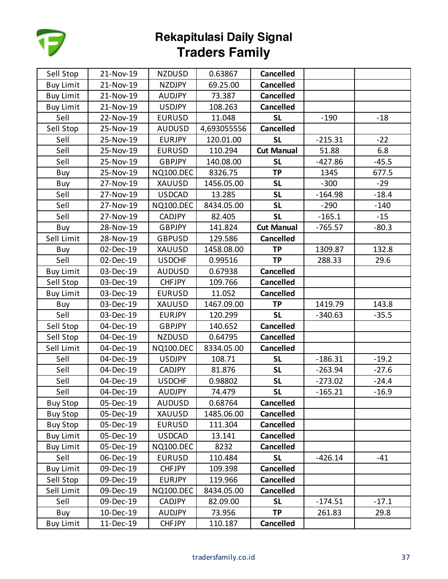

| Sell Stop        | 21-Nov-19 | <b>NZDUSD</b>    | 0.63867     | <b>Cancelled</b>  |           |         |
|------------------|-----------|------------------|-------------|-------------------|-----------|---------|
| <b>Buy Limit</b> | 21-Nov-19 | <b>NZDJPY</b>    | 69.25.00    | <b>Cancelled</b>  |           |         |
| <b>Buy Limit</b> | 21-Nov-19 | <b>AUDJPY</b>    | 73.387      | <b>Cancelled</b>  |           |         |
| <b>Buy Limit</b> | 21-Nov-19 | <b>USDJPY</b>    | 108.263     | <b>Cancelled</b>  |           |         |
| Sell             | 22-Nov-19 | <b>EURUSD</b>    | 11.048      | <b>SL</b>         | $-190$    | $-18$   |
| Sell Stop        | 25-Nov-19 | <b>AUDUSD</b>    | 4,693055556 | <b>Cancelled</b>  |           |         |
| Sell             | 25-Nov-19 | <b>EURJPY</b>    | 120.01.00   | <b>SL</b>         | $-215.31$ | $-22$   |
| Sell             | 25-Nov-19 | <b>EURUSD</b>    | 110.294     | <b>Cut Manual</b> | 51.88     | 6.8     |
| Sell             | 25-Nov-19 | <b>GBPJPY</b>    | 140.08.00   | <b>SL</b>         | $-427.86$ | $-45.5$ |
| Buy              | 25-Nov-19 | <b>NQ100.DEC</b> | 8326.75     | <b>TP</b>         | 1345      | 677.5   |
| Buy              | 27-Nov-19 | <b>XAUUSD</b>    | 1456.05.00  | <b>SL</b>         | $-300$    | $-29$   |
| Sell             | 27-Nov-19 | <b>USDCAD</b>    | 13.285      | <b>SL</b>         | $-164.98$ | $-18.4$ |
| Sell             | 27-Nov-19 | <b>NQ100.DEC</b> | 8434.05.00  | <b>SL</b>         | $-290$    | $-140$  |
| Sell             | 27-Nov-19 | <b>CADJPY</b>    | 82.405      | <b>SL</b>         | $-165.1$  | $-15$   |
| Buy              | 28-Nov-19 | <b>GBPJPY</b>    | 141.824     | <b>Cut Manual</b> | $-765.57$ | $-80.3$ |
| Sell Limit       | 28-Nov-19 | <b>GBPUSD</b>    | 129.586     | <b>Cancelled</b>  |           |         |
| Buy              | 02-Dec-19 | <b>XAUUSD</b>    | 1458.08.00  | <b>TP</b>         | 1309.87   | 132.8   |
| Sell             | 02-Dec-19 | <b>USDCHF</b>    | 0.99516     | <b>TP</b>         | 288.33    | 29.6    |
| <b>Buy Limit</b> | 03-Dec-19 | <b>AUDUSD</b>    | 0.67938     | <b>Cancelled</b>  |           |         |
| Sell Stop        | 03-Dec-19 | <b>CHFJPY</b>    | 109.766     | <b>Cancelled</b>  |           |         |
| <b>Buy Limit</b> | 03-Dec-19 | <b>EURUSD</b>    | 11.052      | <b>Cancelled</b>  |           |         |
| Buy              | 03-Dec-19 | XAUUSD           | 1467.09.00  | <b>TP</b>         | 1419.79   | 143.8   |
| Sell             | 03-Dec-19 | <b>EURJPY</b>    | 120.299     | <b>SL</b>         | $-340.63$ | $-35.5$ |
| Sell Stop        | 04-Dec-19 | <b>GBPJPY</b>    | 140.652     | <b>Cancelled</b>  |           |         |
| Sell Stop        | 04-Dec-19 | <b>NZDUSD</b>    | 0.64795     | <b>Cancelled</b>  |           |         |
| Sell Limit       | 04-Dec-19 | <b>NQ100.DEC</b> | 8334.05.00  | <b>Cancelled</b>  |           |         |
| Sell             | 04-Dec-19 | <b>USDJPY</b>    | 108.71      | <b>SL</b>         | $-186.31$ | $-19.2$ |
| Sell             | 04-Dec-19 | CADJPY           | 81.876      | <b>SL</b>         | $-263.94$ | $-27.6$ |
| Sell             | 04-Dec-19 | <b>USDCHF</b>    | 0.98802     | <b>SL</b>         | $-273.02$ | $-24.4$ |
| Sell             | 04-Dec-19 | <b>AUDJPY</b>    | 74.479      | <b>SL</b>         | $-165.21$ | $-16.9$ |
| <b>Buy Stop</b>  | 05-Dec-19 | <b>AUDUSD</b>    | 0.68764     | <b>Cancelled</b>  |           |         |
| <b>Buy Stop</b>  | 05-Dec-19 | XAUUSD           | 1485.06.00  | <b>Cancelled</b>  |           |         |
| <b>Buy Stop</b>  | 05-Dec-19 | <b>EURUSD</b>    | 111.304     | <b>Cancelled</b>  |           |         |
| <b>Buy Limit</b> | 05-Dec-19 | <b>USDCAD</b>    | 13.141      | <b>Cancelled</b>  |           |         |
| <b>Buy Limit</b> | 05-Dec-19 | <b>NQ100.DEC</b> | 8232        | <b>Cancelled</b>  |           |         |
| Sell             | 06-Dec-19 | <b>EURUSD</b>    | 110.484     | <b>SL</b>         | $-426.14$ | $-41$   |
| <b>Buy Limit</b> | 09-Dec-19 | <b>CHFJPY</b>    | 109.398     | <b>Cancelled</b>  |           |         |
| Sell Stop        | 09-Dec-19 | <b>EURJPY</b>    | 119.966     | <b>Cancelled</b>  |           |         |
| Sell Limit       | 09-Dec-19 | <b>NQ100.DEC</b> | 8434.05.00  | <b>Cancelled</b>  |           |         |
| Sell             | 09-Dec-19 | <b>CADJPY</b>    | 82.09.00    | <b>SL</b>         | $-174.51$ | $-17.1$ |
| Buy              | 10-Dec-19 | <b>AUDJPY</b>    | 73.956      | <b>TP</b>         | 261.83    | 29.8    |
| <b>Buy Limit</b> | 11-Dec-19 | <b>CHFJPY</b>    | 110.187     | <b>Cancelled</b>  |           |         |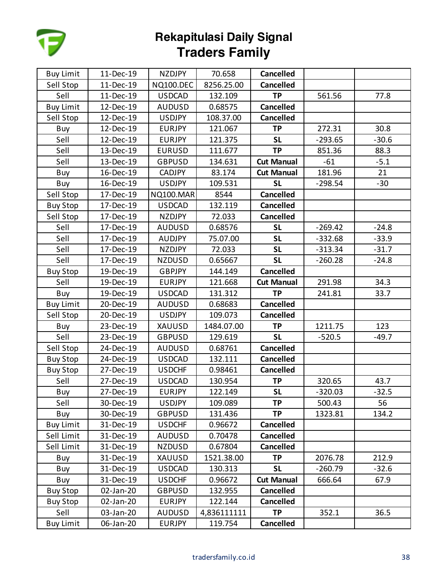

| <b>Buy Limit</b> | 11-Dec-19 | <b>NZDJPY</b>    | 70.658      | <b>Cancelled</b>  |           |         |
|------------------|-----------|------------------|-------------|-------------------|-----------|---------|
| Sell Stop        | 11-Dec-19 | <b>NQ100.DEC</b> | 8256.25.00  | <b>Cancelled</b>  |           |         |
| Sell             | 11-Dec-19 | <b>USDCAD</b>    | 132.109     | <b>TP</b>         | 561.56    | 77.8    |
| <b>Buy Limit</b> | 12-Dec-19 | <b>AUDUSD</b>    | 0.68575     | <b>Cancelled</b>  |           |         |
| Sell Stop        | 12-Dec-19 | <b>USDJPY</b>    | 108.37.00   | <b>Cancelled</b>  |           |         |
| Buy              | 12-Dec-19 | <b>EURJPY</b>    | 121.067     | <b>TP</b>         | 272.31    | 30.8    |
| Sell             | 12-Dec-19 | <b>EURJPY</b>    | 121.375     | <b>SL</b>         | $-293.65$ | $-30.6$ |
| Sell             | 13-Dec-19 | <b>EURUSD</b>    | 111.677     | <b>TP</b>         | 851.36    | 88.3    |
| Sell             | 13-Dec-19 | <b>GBPUSD</b>    | 134.631     | <b>Cut Manual</b> | $-61$     | $-5.1$  |
| Buy              | 16-Dec-19 | CADJPY           | 83.174      | <b>Cut Manual</b> | 181.96    | 21      |
| Buy              | 16-Dec-19 | <b>USDJPY</b>    | 109.531     | <b>SL</b>         | $-298.54$ | $-30$   |
| Sell Stop        | 17-Dec-19 | <b>NQ100.MAR</b> | 8544        | <b>Cancelled</b>  |           |         |
| <b>Buy Stop</b>  | 17-Dec-19 | <b>USDCAD</b>    | 132.119     | <b>Cancelled</b>  |           |         |
| Sell Stop        | 17-Dec-19 | NZDJPY           | 72.033      | <b>Cancelled</b>  |           |         |
| Sell             | 17-Dec-19 | <b>AUDUSD</b>    | 0.68576     | <b>SL</b>         | $-269.42$ | $-24.8$ |
| Sell             | 17-Dec-19 | <b>AUDJPY</b>    | 75.07.00    | <b>SL</b>         | $-332.68$ | $-33.9$ |
| Sell             | 17-Dec-19 | <b>NZDJPY</b>    | 72.033      | <b>SL</b>         | $-313.34$ | $-31.7$ |
| Sell             | 17-Dec-19 | <b>NZDUSD</b>    | 0.65667     | <b>SL</b>         | $-260.28$ | $-24.8$ |
| <b>Buy Stop</b>  | 19-Dec-19 | <b>GBPJPY</b>    | 144.149     | <b>Cancelled</b>  |           |         |
| Sell             | 19-Dec-19 | <b>EURJPY</b>    | 121.668     | <b>Cut Manual</b> | 291.98    | 34.3    |
| Buy              | 19-Dec-19 | <b>USDCAD</b>    | 131.312     | <b>TP</b>         | 241.81    | 33.7    |
| <b>Buy Limit</b> | 20-Dec-19 | <b>AUDUSD</b>    | 0.68683     | <b>Cancelled</b>  |           |         |
| Sell Stop        | 20-Dec-19 | <b>USDJPY</b>    | 109.073     | <b>Cancelled</b>  |           |         |
| Buy              | 23-Dec-19 | <b>XAUUSD</b>    | 1484.07.00  | <b>TP</b>         | 1211.75   | 123     |
| Sell             | 23-Dec-19 | <b>GBPUSD</b>    | 129.619     | <b>SL</b>         | $-520.5$  | $-49.7$ |
| Sell Stop        | 24-Dec-19 | <b>AUDUSD</b>    | 0.68761     | <b>Cancelled</b>  |           |         |
| <b>Buy Stop</b>  | 24-Dec-19 | <b>USDCAD</b>    | 132.111     | <b>Cancelled</b>  |           |         |
| <b>Buy Stop</b>  | 27-Dec-19 | <b>USDCHF</b>    | 0.98461     | <b>Cancelled</b>  |           |         |
| Sell             | 27-Dec-19 | <b>USDCAD</b>    | 130.954     | <b>TP</b>         | 320.65    | 43.7    |
| Buy              | 27-Dec-19 | <b>EURJPY</b>    | 122.149     | <b>SL</b>         | $-320.03$ | $-32.5$ |
| Sell             | 30-Dec-19 | <b>USDJPY</b>    | 109.089     | <b>TP</b>         | 500.43    | 56      |
| Buy              | 30-Dec-19 | <b>GBPUSD</b>    | 131.436     | <b>TP</b>         | 1323.81   | 134.2   |
| <b>Buy Limit</b> | 31-Dec-19 | <b>USDCHF</b>    | 0.96672     | <b>Cancelled</b>  |           |         |
| Sell Limit       | 31-Dec-19 | <b>AUDUSD</b>    | 0.70478     | <b>Cancelled</b>  |           |         |
| Sell Limit       | 31-Dec-19 | <b>NZDUSD</b>    | 0.67804     | <b>Cancelled</b>  |           |         |
| Buy              | 31-Dec-19 | XAUUSD           | 1521.38.00  | <b>TP</b>         | 2076.78   | 212.9   |
| Buy              | 31-Dec-19 | <b>USDCAD</b>    | 130.313     | <b>SL</b>         | $-260.79$ | $-32.6$ |
| Buy              | 31-Dec-19 | <b>USDCHF</b>    | 0.96672     | <b>Cut Manual</b> | 666.64    | 67.9    |
| <b>Buy Stop</b>  | 02-Jan-20 | <b>GBPUSD</b>    | 132.955     | <b>Cancelled</b>  |           |         |
| <b>Buy Stop</b>  | 02-Jan-20 | <b>EURJPY</b>    | 122.144     | <b>Cancelled</b>  |           |         |
| Sell             | 03-Jan-20 | <b>AUDUSD</b>    | 4,836111111 | <b>TP</b>         | 352.1     | 36.5    |
| <b>Buy Limit</b> | 06-Jan-20 | <b>EURJPY</b>    | 119.754     | Cancelled         |           |         |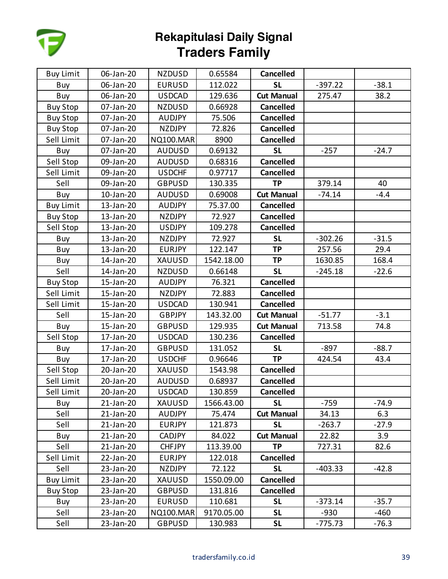

| <b>Buy Limit</b> | 06-Jan-20 | <b>NZDUSD</b>    | 0.65584    | <b>Cancelled</b>  |           |         |
|------------------|-----------|------------------|------------|-------------------|-----------|---------|
| Buy              | 06-Jan-20 | <b>EURUSD</b>    | 112.022    | <b>SL</b>         | $-397.22$ | $-38.1$ |
| Buy              | 06-Jan-20 | <b>USDCAD</b>    | 129.636    | <b>Cut Manual</b> | 275.47    | 38.2    |
| <b>Buy Stop</b>  | 07-Jan-20 | <b>NZDUSD</b>    | 0.66928    | <b>Cancelled</b>  |           |         |
| <b>Buy Stop</b>  | 07-Jan-20 | <b>AUDJPY</b>    | 75.506     | <b>Cancelled</b>  |           |         |
| <b>Buy Stop</b>  | 07-Jan-20 | <b>NZDJPY</b>    | 72.826     | <b>Cancelled</b>  |           |         |
| Sell Limit       | 07-Jan-20 | <b>NQ100.MAR</b> | 8900       | <b>Cancelled</b>  |           |         |
| Buy              | 07-Jan-20 | <b>AUDUSD</b>    | 0.69132    | <b>SL</b>         | $-257$    | $-24.7$ |
| Sell Stop        | 09-Jan-20 | <b>AUDUSD</b>    | 0.68316    | <b>Cancelled</b>  |           |         |
| Sell Limit       | 09-Jan-20 | <b>USDCHF</b>    | 0.97717    | <b>Cancelled</b>  |           |         |
| Sell             | 09-Jan-20 | <b>GBPUSD</b>    | 130.335    | <b>TP</b>         | 379.14    | 40      |
| Buy              | 10-Jan-20 | <b>AUDUSD</b>    | 0.69008    | <b>Cut Manual</b> | $-74.14$  | $-4.4$  |
| <b>Buy Limit</b> | 13-Jan-20 | <b>AUDJPY</b>    | 75.37.00   | <b>Cancelled</b>  |           |         |
| <b>Buy Stop</b>  | 13-Jan-20 | <b>NZDJPY</b>    | 72.927     | <b>Cancelled</b>  |           |         |
| Sell Stop        | 13-Jan-20 | <b>USDJPY</b>    | 109.278    | <b>Cancelled</b>  |           |         |
| Buy              | 13-Jan-20 | <b>NZDJPY</b>    | 72.927     | <b>SL</b>         | $-302.26$ | $-31.5$ |
| Buy              | 13-Jan-20 | <b>EURJPY</b>    | 122.147    | <b>TP</b>         | 257.56    | 29.4    |
| Buy              | 14-Jan-20 | XAUUSD           | 1542.18.00 | <b>TP</b>         | 1630.85   | 168.4   |
| Sell             | 14-Jan-20 | <b>NZDUSD</b>    | 0.66148    | <b>SL</b>         | $-245.18$ | $-22.6$ |
| <b>Buy Stop</b>  | 15-Jan-20 | <b>AUDJPY</b>    | 76.321     | <b>Cancelled</b>  |           |         |
| Sell Limit       | 15-Jan-20 | <b>NZDJPY</b>    | 72.883     | <b>Cancelled</b>  |           |         |
| Sell Limit       | 15-Jan-20 | <b>USDCAD</b>    | 130.941    | <b>Cancelled</b>  |           |         |
| Sell             | 15-Jan-20 | <b>GBPJPY</b>    | 143.32.00  | <b>Cut Manual</b> | $-51.77$  | $-3.1$  |
| Buy              | 15-Jan-20 | <b>GBPUSD</b>    | 129.935    | <b>Cut Manual</b> | 713.58    | 74.8    |
| Sell Stop        | 17-Jan-20 | <b>USDCAD</b>    | 130.236    | <b>Cancelled</b>  |           |         |
| Buy              | 17-Jan-20 | <b>GBPUSD</b>    | 131.052    | <b>SL</b>         | $-897$    | $-88.7$ |
| Buy              | 17-Jan-20 | <b>USDCHF</b>    | 0.96646    | <b>TP</b>         | 424.54    | 43.4    |
| Sell Stop        | 20-Jan-20 | <b>XAUUSD</b>    | 1543.98    | <b>Cancelled</b>  |           |         |
| Sell Limit       | 20-Jan-20 | <b>AUDUSD</b>    | 0.68937    | <b>Cancelled</b>  |           |         |
| Sell Limit       | 20-Jan-20 | <b>USDCAD</b>    | 130.859    | <b>Cancelled</b>  |           |         |
| Buy              | 21-Jan-20 | XAUUSD           | 1566.43.00 | <b>SL</b>         | $-759$    | $-74.9$ |
| Sell             | 21-Jan-20 | <b>AUDJPY</b>    | 75.474     | <b>Cut Manual</b> | 34.13     | 6.3     |
| Sell             | 21-Jan-20 | <b>EURJPY</b>    | 121.873    | <b>SL</b>         | $-263.7$  | $-27.9$ |
| Buy              | 21-Jan-20 | <b>CADJPY</b>    | 84.022     | <b>Cut Manual</b> | 22.82     | 3.9     |
| Sell             | 21-Jan-20 | <b>CHFJPY</b>    | 113.39.00  | <b>TP</b>         | 727.31    | 82.6    |
| Sell Limit       | 22-Jan-20 | <b>EURJPY</b>    | 122.018    | <b>Cancelled</b>  |           |         |
| Sell             | 23-Jan-20 | <b>NZDJPY</b>    | 72.122     | <b>SL</b>         | $-403.33$ | $-42.8$ |
| <b>Buy Limit</b> | 23-Jan-20 | XAUUSD           | 1550.09.00 | <b>Cancelled</b>  |           |         |
| <b>Buy Stop</b>  | 23-Jan-20 | <b>GBPUSD</b>    | 131.816    | <b>Cancelled</b>  |           |         |
| Buy              | 23-Jan-20 | <b>EURUSD</b>    | 110.681    | <b>SL</b>         | $-373.14$ | $-35.7$ |
| Sell             | 23-Jan-20 | <b>NQ100.MAR</b> | 9170.05.00 | <b>SL</b>         | $-930$    | $-460$  |
| Sell             | 23-Jan-20 | <b>GBPUSD</b>    | 130.983    | <b>SL</b>         | $-775.73$ | $-76.3$ |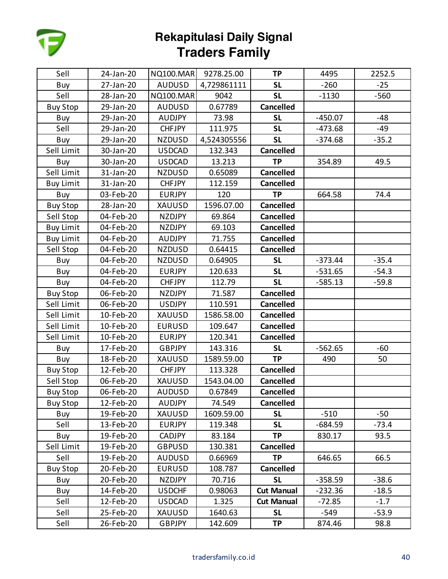

| Sell             | 24-Jan-20 | <b>NQ100.MAR</b> | 9278.25.00  | <b>TP</b>         | 4495      | 2252.5  |
|------------------|-----------|------------------|-------------|-------------------|-----------|---------|
| Buy              | 27-Jan-20 | <b>AUDUSD</b>    | 4,729861111 | <b>SL</b>         | $-260$    | $-25$   |
| Sell             | 28-Jan-20 | <b>NQ100.MAR</b> | 9042        | <b>SL</b>         | $-1130$   | $-560$  |
| <b>Buy Stop</b>  | 29-Jan-20 | <b>AUDUSD</b>    | 0.67789     | <b>Cancelled</b>  |           |         |
| Buy              | 29-Jan-20 | <b>AUDJPY</b>    | 73.98       | <b>SL</b>         | $-450.07$ | $-48$   |
| Sell             | 29-Jan-20 | <b>CHFJPY</b>    | 111.975     | <b>SL</b>         | $-473.68$ | -49     |
| Buy              | 29-Jan-20 | <b>NZDUSD</b>    | 4,524305556 | <b>SL</b>         | $-374.68$ | $-35.2$ |
| Sell Limit       | 30-Jan-20 | <b>USDCAD</b>    | 132.343     | <b>Cancelled</b>  |           |         |
| Buy              | 30-Jan-20 | <b>USDCAD</b>    | 13.213      | <b>TP</b>         | 354.89    | 49.5    |
| Sell Limit       | 31-Jan-20 | <b>NZDUSD</b>    | 0.65089     | <b>Cancelled</b>  |           |         |
| <b>Buy Limit</b> | 31-Jan-20 | <b>CHFJPY</b>    | 112.159     | <b>Cancelled</b>  |           |         |
| Buy              | 03-Feb-20 | <b>EURJPY</b>    | 120         | <b>TP</b>         | 664.58    | 74.4    |
| <b>Buy Stop</b>  | 28-Jan-20 | XAUUSD           | 1596.07.00  | <b>Cancelled</b>  |           |         |
| Sell Stop        | 04-Feb-20 | NZDJPY           | 69.864      | <b>Cancelled</b>  |           |         |
| <b>Buy Limit</b> | 04-Feb-20 | <b>NZDJPY</b>    | 69.103      | <b>Cancelled</b>  |           |         |
| <b>Buy Limit</b> | 04-Feb-20 | <b>AUDJPY</b>    | 71.755      | <b>Cancelled</b>  |           |         |
| Sell Stop        | 04-Feb-20 | <b>NZDUSD</b>    | 0.64415     | <b>Cancelled</b>  |           |         |
| Buy              | 04-Feb-20 | <b>NZDUSD</b>    | 0.64905     | <b>SL</b>         | $-373.44$ | $-35.4$ |
| Buy              | 04-Feb-20 | <b>EURJPY</b>    | 120.633     | <b>SL</b>         | $-531.65$ | $-54.3$ |
| Buy              | 04-Feb-20 | <b>CHFJPY</b>    | 112.79      | <b>SL</b>         | $-585.13$ | $-59.8$ |
| <b>Buy Stop</b>  | 06-Feb-20 | <b>NZDJPY</b>    | 71.587      | <b>Cancelled</b>  |           |         |
| Sell Limit       | 06-Feb-20 | <b>USDJPY</b>    | 110.591     | <b>Cancelled</b>  |           |         |
| Sell Limit       | 10-Feb-20 | XAUUSD           | 1586.58.00  | <b>Cancelled</b>  |           |         |
| Sell Limit       | 10-Feb-20 | <b>EURUSD</b>    | 109.647     | <b>Cancelled</b>  |           |         |
| Sell Limit       | 10-Feb-20 | <b>EURJPY</b>    | 120.341     | <b>Cancelled</b>  |           |         |
| Buy              | 17-Feb-20 | GBPJPY           | 143.316     | <b>SL</b>         | $-562.65$ | $-60$   |
| Buy              | 18-Feb-20 | XAUUSD           | 1589.59.00  | <b>TP</b>         | 490       | 50      |
| <b>Buy Stop</b>  | 12-Feb-20 | <b>CHFJPY</b>    | 113.328     | <b>Cancelled</b>  |           |         |
| Sell Stop        | 06-Feb-20 | XAUUSD           | 1543.04.00  | <b>Cancelled</b>  |           |         |
| <b>Buy Stop</b>  | 06-Feb-20 | <b>AUDUSD</b>    | 0.67849     | <b>Cancelled</b>  |           |         |
| <b>Buy Stop</b>  | 12-Feb-20 | <b>AUDJPY</b>    | 74.549      | <b>Cancelled</b>  |           |         |
| Buy              | 19-Feb-20 | XAUUSD           | 1609.59.00  | <b>SL</b>         | $-510$    | $-50$   |
| Sell             | 13-Feb-20 | <b>EURJPY</b>    | 119.348     | <b>SL</b>         | $-684.59$ | $-73.4$ |
| Buy              | 19-Feb-20 | <b>CADJPY</b>    | 83.184      | <b>TP</b>         | 830.17    | 93.5    |
| Sell Limit       | 19-Feb-20 | <b>GBPUSD</b>    | 130.381     | <b>Cancelled</b>  |           |         |
| Sell             | 19-Feb-20 | <b>AUDUSD</b>    | 0.66969     | <b>TP</b>         | 646.65    | 66.5    |
| <b>Buy Stop</b>  | 20-Feb-20 | <b>EURUSD</b>    | 108.787     | <b>Cancelled</b>  |           |         |
| Buy              | 20-Feb-20 | <b>NZDJPY</b>    | 70.716      | <b>SL</b>         | $-358.59$ | $-38.6$ |
| Buy              | 14-Feb-20 | <b>USDCHF</b>    | 0.98063     | <b>Cut Manual</b> | $-232.36$ | $-18.5$ |
| Sell             | 12-Feb-20 | <b>USDCAD</b>    | 1.325       | <b>Cut Manual</b> | $-72.85$  | $-1.7$  |
| Sell             | 25-Feb-20 | XAUUSD           | 1640.63     | <b>SL</b>         | $-549$    | $-53.9$ |
| Sell             | 26-Feb-20 | <b>GBPJPY</b>    | 142.609     | <b>TP</b>         | 874.46    | 98.8    |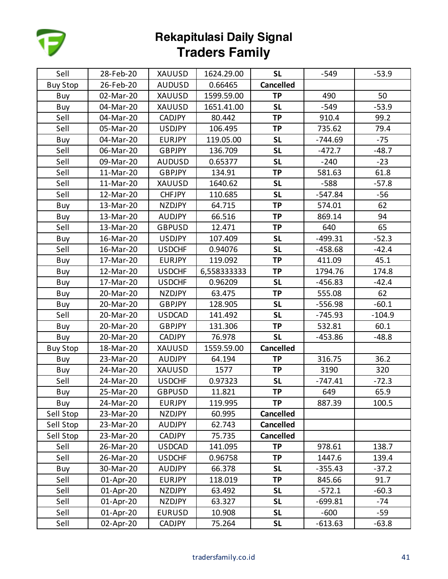

| Sell            | 28-Feb-20 | <b>XAUUSD</b> | 1624.29.00  | <b>SL</b>        | $-549$    | $-53.9$  |
|-----------------|-----------|---------------|-------------|------------------|-----------|----------|
| <b>Buy Stop</b> | 26-Feb-20 | <b>AUDUSD</b> | 0.66465     | <b>Cancelled</b> |           |          |
| Buy             | 02-Mar-20 | XAUUSD        | 1599.59.00  | <b>TP</b>        | 490       | 50       |
| Buy             | 04-Mar-20 | XAUUSD        | 1651.41.00  | <b>SL</b>        | $-549$    | $-53.9$  |
| Sell            | 04-Mar-20 | <b>CADJPY</b> | 80.442      | <b>TP</b>        | 910.4     | 99.2     |
| Sell            | 05-Mar-20 | <b>USDJPY</b> | 106.495     | <b>TP</b>        | 735.62    | 79.4     |
| Buy             | 04-Mar-20 | <b>EURJPY</b> | 119.05.00   | <b>SL</b>        | $-744.69$ | $-75$    |
| Sell            | 06-Mar-20 | <b>GBPJPY</b> | 136.709     | <b>SL</b>        | $-472.7$  | $-48.7$  |
| Sell            | 09-Mar-20 | <b>AUDUSD</b> | 0.65377     | <b>SL</b>        | $-240$    | $-23$    |
| Sell            | 11-Mar-20 | GBPJPY        | 134.91      | <b>TP</b>        | 581.63    | 61.8     |
| Sell            | 11-Mar-20 | <b>XAUUSD</b> | 1640.62     | <b>SL</b>        | $-588$    | $-57.8$  |
| Sell            | 12-Mar-20 | <b>CHFJPY</b> | 110.685     | <b>SL</b>        | $-547.84$ | $-56$    |
| Buy             | 13-Mar-20 | <b>NZDJPY</b> | 64.715      | <b>TP</b>        | 574.01    | 62       |
| Buy             | 13-Mar-20 | <b>AUDJPY</b> | 66.516      | <b>TP</b>        | 869.14    | 94       |
| Sell            | 13-Mar-20 | <b>GBPUSD</b> | 12.471      | <b>TP</b>        | 640       | 65       |
| Buy             | 16-Mar-20 | <b>USDJPY</b> | 107.409     | <b>SL</b>        | $-499.31$ | $-52.3$  |
| Sell            | 16-Mar-20 | <b>USDCHF</b> | 0.94076     | <b>SL</b>        | $-458.68$ | $-42.4$  |
| Buy             | 17-Mar-20 | <b>EURJPY</b> | 119.092     | <b>TP</b>        | 411.09    | 45.1     |
| Buy             | 12-Mar-20 | <b>USDCHF</b> | 6,558333333 | <b>TP</b>        | 1794.76   | 174.8    |
| Buy             | 17-Mar-20 | <b>USDCHF</b> | 0.96209     | <b>SL</b>        | $-456.83$ | $-42.4$  |
| Buy             | 20-Mar-20 | <b>NZDJPY</b> | 63.475      | <b>TP</b>        | 555.08    | 62       |
| Buy             | 20-Mar-20 | GBPJPY        | 128.905     | <b>SL</b>        | $-556.98$ | $-60.1$  |
| Sell            | 20-Mar-20 | <b>USDCAD</b> | 141.492     | <b>SL</b>        | $-745.93$ | $-104.9$ |
| Buy             | 20-Mar-20 | <b>GBPJPY</b> | 131.306     | <b>TP</b>        | 532.81    | 60.1     |
| Buy             | 20-Mar-20 | <b>CADJPY</b> | 76.978      | <b>SL</b>        | $-453.86$ | $-48.8$  |
| <b>Buy Stop</b> | 18-Mar-20 | XAUUSD        | 1559.59.00  | <b>Cancelled</b> |           |          |
| Buy             | 23-Mar-20 | <b>AUDJPY</b> | 64.194      | <b>TP</b>        | 316.75    | 36.2     |
| Buy             | 24-Mar-20 | XAUUSD        | 1577        | <b>TP</b>        | 3190      | 320      |
| Sell            | 24-Mar-20 | <b>USDCHF</b> | 0.97323     | <b>SL</b>        | $-747.41$ | $-72.3$  |
| Buy             | 25-Mar-20 | <b>GBPUSD</b> | 11.821      | <b>TP</b>        | 649       | 65.9     |
| Buy             | 24-Mar-20 | <b>EURJPY</b> | 119.995     | <b>TP</b>        | 887.39    | 100.5    |
| Sell Stop       | 23-Mar-20 | <b>NZDJPY</b> | 60.995      | <b>Cancelled</b> |           |          |
| Sell Stop       | 23-Mar-20 | <b>AUDJPY</b> | 62.743      | <b>Cancelled</b> |           |          |
| Sell Stop       | 23-Mar-20 | <b>CADJPY</b> | 75.735      | <b>Cancelled</b> |           |          |
| Sell            | 26-Mar-20 | <b>USDCAD</b> | 141.095     | <b>TP</b>        | 978.61    | 138.7    |
| Sell            | 26-Mar-20 | <b>USDCHF</b> | 0.96758     | <b>TP</b>        | 1447.6    | 139.4    |
| Buy             | 30-Mar-20 | <b>AUDJPY</b> | 66.378      | <b>SL</b>        | $-355.43$ | $-37.2$  |
| Sell            | 01-Apr-20 | <b>EURJPY</b> | 118.019     | <b>TP</b>        | 845.66    | 91.7     |
| Sell            | 01-Apr-20 | <b>NZDJPY</b> | 63.492      | <b>SL</b>        | $-572.1$  | $-60.3$  |
| Sell            | 01-Apr-20 | <b>NZDJPY</b> | 63.327      | <b>SL</b>        | $-699.81$ | -74      |
| Sell            | 01-Apr-20 | <b>EURUSD</b> | 10.908      | <b>SL</b>        | $-600$    | -59      |
| Sell            | 02-Apr-20 | <b>CADJPY</b> | 75.264      | <b>SL</b>        | $-613.63$ | $-63.8$  |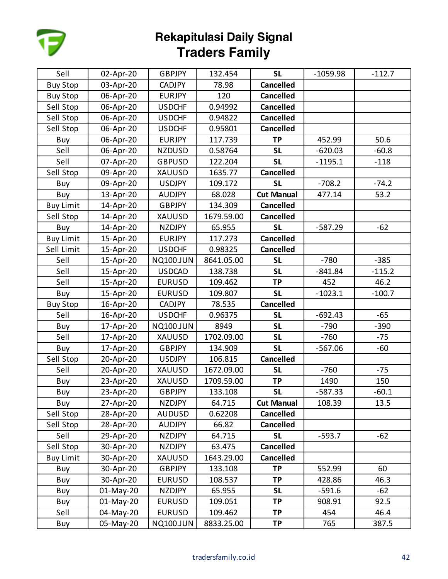

| Sell             | 02-Apr-20 | <b>GBPJPY</b>    | 132.454    | <b>SL</b>         | $-1059.98$ | $-112.7$ |
|------------------|-----------|------------------|------------|-------------------|------------|----------|
| <b>Buy Stop</b>  | 03-Apr-20 | <b>CADJPY</b>    | 78.98      | <b>Cancelled</b>  |            |          |
| <b>Buy Stop</b>  | 06-Apr-20 | <b>EURJPY</b>    | 120        | <b>Cancelled</b>  |            |          |
| Sell Stop        | 06-Apr-20 | <b>USDCHF</b>    | 0.94992    | <b>Cancelled</b>  |            |          |
| Sell Stop        | 06-Apr-20 | <b>USDCHF</b>    | 0.94822    | <b>Cancelled</b>  |            |          |
| Sell Stop        | 06-Apr-20 | <b>USDCHF</b>    | 0.95801    | <b>Cancelled</b>  |            |          |
| Buy              | 06-Apr-20 | <b>EURJPY</b>    | 117.739    | <b>TP</b>         | 452.99     | 50.6     |
| Sell             | 06-Apr-20 | <b>NZDUSD</b>    | 0.58764    | <b>SL</b>         | $-620.03$  | $-60.8$  |
| Sell             | 07-Apr-20 | <b>GBPUSD</b>    | 122.204    | <b>SL</b>         | $-1195.1$  | $-118$   |
| Sell Stop        | 09-Apr-20 | <b>XAUUSD</b>    | 1635.77    | <b>Cancelled</b>  |            |          |
| Buy              | 09-Apr-20 | <b>USDJPY</b>    | 109.172    | <b>SL</b>         | $-708.2$   | $-74.2$  |
| Buy              | 13-Apr-20 | <b>AUDJPY</b>    | 68.028     | <b>Cut Manual</b> | 477.14     | 53.2     |
| <b>Buy Limit</b> | 14-Apr-20 | <b>GBPJPY</b>    | 134.309    | <b>Cancelled</b>  |            |          |
| Sell Stop        | 14-Apr-20 | XAUUSD           | 1679.59.00 | <b>Cancelled</b>  |            |          |
| Buy              | 14-Apr-20 | <b>NZDJPY</b>    | 65.955     | <b>SL</b>         | $-587.29$  | $-62$    |
| <b>Buy Limit</b> | 15-Apr-20 | <b>EURJPY</b>    | 117.273    | <b>Cancelled</b>  |            |          |
| Sell Limit       | 15-Apr-20 | <b>USDCHF</b>    | 0.98325    | <b>Cancelled</b>  |            |          |
| Sell             | 15-Apr-20 | <b>NQ100.JUN</b> | 8641.05.00 | <b>SL</b>         | $-780$     | $-385$   |
| Sell             | 15-Apr-20 | <b>USDCAD</b>    | 138.738    | <b>SL</b>         | $-841.84$  | $-115.2$ |
| Sell             | 15-Apr-20 | <b>EURUSD</b>    | 109.462    | <b>TP</b>         | 452        | 46.2     |
| Buy              | 15-Apr-20 | <b>EURUSD</b>    | 109.807    | <b>SL</b>         | $-1023.1$  | $-100.7$ |
| <b>Buy Stop</b>  | 16-Apr-20 | <b>CADJPY</b>    | 78.535     | <b>Cancelled</b>  |            |          |
| Sell             | 16-Apr-20 | <b>USDCHF</b>    | 0.96375    | <b>SL</b>         | $-692.43$  | $-65$    |
| Buy              | 17-Apr-20 | <b>NQ100.JUN</b> | 8949       | <b>SL</b>         | $-790$     | $-390$   |
| Sell             | 17-Apr-20 | <b>XAUUSD</b>    | 1702.09.00 | <b>SL</b>         | $-760$     | $-75$    |
| Buy              | 17-Apr-20 | <b>GBPJPY</b>    | 134.909    | <b>SL</b>         | $-567.06$  | $-60$    |
| Sell Stop        | 20-Apr-20 | <b>USDJPY</b>    | 106.815    | <b>Cancelled</b>  |            |          |
| Sell             | 20-Apr-20 | XAUUSD           | 1672.09.00 | <b>SL</b>         | $-760$     | $-75$    |
| Buy              | 23-Apr-20 | XAUUSD           | 1709.59.00 | <b>TP</b>         | 1490       | 150      |
| Buy              | 23-Apr-20 | <b>GBPJPY</b>    | 133.108    | <b>SL</b>         | $-587.33$  | $-60.1$  |
| Buy              | 27-Apr-20 | NZDJPY           | 64.715     | <b>Cut Manual</b> | 108.39     | 13.5     |
| Sell Stop        | 28-Apr-20 | <b>AUDUSD</b>    | 0.62208    | <b>Cancelled</b>  |            |          |
| Sell Stop        | 28-Apr-20 | <b>AUDJPY</b>    | 66.82      | <b>Cancelled</b>  |            |          |
| Sell             | 29-Apr-20 | NZDJPY           | 64.715     | <b>SL</b>         | $-593.7$   | $-62$    |
| Sell Stop        | 30-Apr-20 | <b>NZDJPY</b>    | 63.475     | <b>Cancelled</b>  |            |          |
| <b>Buy Limit</b> | 30-Apr-20 | XAUUSD           | 1643.29.00 | <b>Cancelled</b>  |            |          |
| Buy              | 30-Apr-20 | <b>GBPJPY</b>    | 133.108    | <b>TP</b>         | 552.99     | 60       |
| Buy              | 30-Apr-20 | <b>EURUSD</b>    | 108.537    | <b>TP</b>         | 428.86     | 46.3     |
| Buy              | 01-May-20 | <b>NZDJPY</b>    | 65.955     | <b>SL</b>         | $-591.6$   | $-62$    |
| Buy              | 01-May-20 | <b>EURUSD</b>    | 109.051    | <b>TP</b>         | 908.91     | 92.5     |
| Sell             | 04-May-20 | <b>EURUSD</b>    | 109.462    | <b>TP</b>         | 454        | 46.4     |
| Buy              | 05-May-20 | <b>NQ100.JUN</b> | 8833.25.00 | <b>TP</b>         | 765        | 387.5    |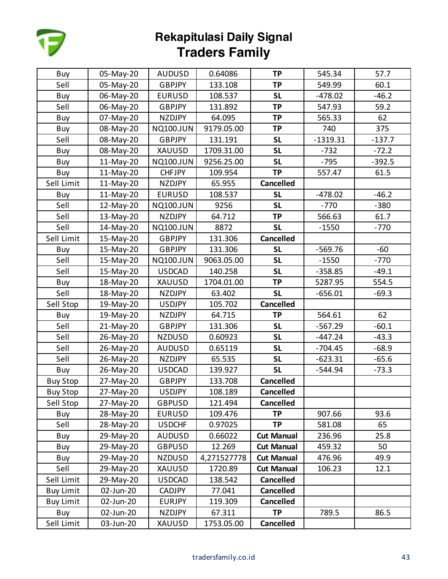

| Buy              | 05-May-20 | <b>AUDUSD</b>    | 0.64086     | <b>TP</b>         | 545.34     | 57.7     |
|------------------|-----------|------------------|-------------|-------------------|------------|----------|
| Sell             | 05-May-20 | <b>GBPJPY</b>    | 133.108     | <b>TP</b>         | 549.99     | 60.1     |
| Buy              | 06-May-20 | <b>EURUSD</b>    | 108.537     | <b>SL</b>         | $-478.02$  | $-46.2$  |
| Sell             | 06-May-20 | <b>GBPJPY</b>    | 131.892     | <b>TP</b>         | 547.93     | 59.2     |
| Buy              | 07-May-20 | <b>NZDJPY</b>    | 64.095      | <b>TP</b>         | 565.33     | 62       |
| Buy              | 08-May-20 | <b>NQ100.JUN</b> | 9179.05.00  | <b>TP</b>         | 740        | 375      |
| Sell             | 08-May-20 | <b>GBPJPY</b>    | 131.191     | <b>SL</b>         | $-1319.31$ | $-137.7$ |
| Buy              | 08-May-20 | <b>XAUUSD</b>    | 1709.31.00  | <b>SL</b>         | $-732$     | $-72.2$  |
| Buy              | 11-May-20 | <b>NQ100.JUN</b> | 9256.25.00  | <b>SL</b>         | $-795$     | $-392.5$ |
| Buy              | 11-May-20 | <b>CHFJPY</b>    | 109.954     | <b>TP</b>         | 557.47     | 61.5     |
| Sell Limit       | 11-May-20 | <b>NZDJPY</b>    | 65.955      | <b>Cancelled</b>  |            |          |
| Buy              | 11-May-20 | <b>EURUSD</b>    | 108.537     | <b>SL</b>         | $-478.02$  | $-46.2$  |
| Sell             | 12-May-20 | <b>NQ100.JUN</b> | 9256        | <b>SL</b>         | $-770$     | $-380$   |
| Sell             | 13-May-20 | <b>NZDJPY</b>    | 64.712      | <b>TP</b>         | 566.63     | 61.7     |
| Sell             | 14-May-20 | <b>NQ100.JUN</b> | 8872        | <b>SL</b>         | $-1550$    | $-770$   |
| Sell Limit       | 15-May-20 | <b>GBPJPY</b>    | 131.306     | <b>Cancelled</b>  |            |          |
| Buy              | 15-May-20 | <b>GBPJPY</b>    | 131.306     | <b>SL</b>         | $-569.76$  | $-60$    |
| Sell             | 15-May-20 | <b>NQ100.JUN</b> | 9063.05.00  | <b>SL</b>         | $-1550$    | $-770$   |
| Sell             | 15-May-20 | <b>USDCAD</b>    | 140.258     | <b>SL</b>         | $-358.85$  | $-49.1$  |
| Buy              | 18-May-20 | XAUUSD           | 1704.01.00  | <b>TP</b>         | 5287.95    | 554.5    |
| Sell             | 18-May-20 | <b>NZDJPY</b>    | 63.402      | <b>SL</b>         | $-656.01$  | $-69.3$  |
| Sell Stop        | 19-May-20 | <b>USDJPY</b>    | 105.702     | <b>Cancelled</b>  |            |          |
| Buy              | 19-May-20 | <b>NZDJPY</b>    | 64.715      | <b>TP</b>         | 564.61     | 62       |
| Sell             | 21-May-20 | <b>GBPJPY</b>    | 131.306     | <b>SL</b>         | $-567.29$  | $-60.1$  |
| Sell             | 26-May-20 | <b>NZDUSD</b>    | 0.60923     | <b>SL</b>         | $-447.24$  | $-43.3$  |
| Sell             | 26-May-20 | <b>AUDUSD</b>    | 0.65119     | <b>SL</b>         | $-704.45$  | $-68.9$  |
| Sell             | 26-May-20 | <b>NZDJPY</b>    | 65.535      | <b>SL</b>         | $-623.31$  | $-65.6$  |
| Buy              | 26-May-20 | <b>USDCAD</b>    | 139.927     | <b>SL</b>         | $-544.94$  | $-73.3$  |
| <b>Buy Stop</b>  | 27-May-20 | <b>GBPJPY</b>    | 133.708     | <b>Cancelled</b>  |            |          |
| <b>Buy Stop</b>  | 27-May-20 | <b>USDJPY</b>    | 108.189     | <b>Cancelled</b>  |            |          |
| Sell Stop        | 27-May-20 | <b>GBPUSD</b>    | 121.494     | <b>Cancelled</b>  |            |          |
| Buy              | 28-May-20 | <b>EURUSD</b>    | 109.476     | <b>TP</b>         | 907.66     | 93.6     |
| Sell             | 28-May-20 | <b>USDCHF</b>    | 0.97025     | <b>TP</b>         | 581.08     | 65       |
| Buy              | 29-May-20 | <b>AUDUSD</b>    | 0.66022     | <b>Cut Manual</b> | 236.96     | 25.8     |
| Buy              | 29-May-20 | <b>GBPUSD</b>    | 12.269      | <b>Cut Manual</b> | 459.32     | 50       |
| Buy              | 29-May-20 | <b>NZDUSD</b>    | 4,271527778 | <b>Cut Manual</b> | 476.96     | 49.9     |
| Sell             | 29-May-20 | XAUUSD           | 1720.89     | <b>Cut Manual</b> | 106.23     | 12.1     |
| Sell Limit       | 29-May-20 | <b>USDCAD</b>    | 138.542     | <b>Cancelled</b>  |            |          |
| <b>Buy Limit</b> | 02-Jun-20 | <b>CADJPY</b>    | 77.041      | <b>Cancelled</b>  |            |          |
| <b>Buy Limit</b> | 02-Jun-20 | <b>EURJPY</b>    | 119.309     | <b>Cancelled</b>  |            |          |
| Buy              | 02-Jun-20 | <b>NZDJPY</b>    | 67.311      | <b>TP</b>         | 789.5      | 86.5     |
| Sell Limit       | 03-Jun-20 | XAUUSD           | 1753.05.00  | Cancelled         |            |          |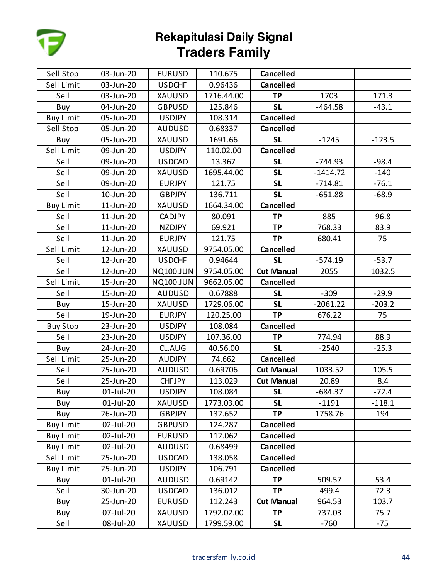

| Sell Stop        | 03-Jun-20 | <b>EURUSD</b>    | 110.675    | <b>Cancelled</b>  |            |          |
|------------------|-----------|------------------|------------|-------------------|------------|----------|
| Sell Limit       | 03-Jun-20 | <b>USDCHF</b>    | 0.96436    | <b>Cancelled</b>  |            |          |
| Sell             | 03-Jun-20 | XAUUSD           | 1716.44.00 | <b>TP</b>         | 1703       | 171.3    |
| Buy              | 04-Jun-20 | <b>GBPUSD</b>    | 125.846    | <b>SL</b>         | $-464.58$  | $-43.1$  |
| <b>Buy Limit</b> | 05-Jun-20 | <b>USDJPY</b>    | 108.314    | <b>Cancelled</b>  |            |          |
| Sell Stop        | 05-Jun-20 | <b>AUDUSD</b>    | 0.68337    | <b>Cancelled</b>  |            |          |
| Buy              | 05-Jun-20 | XAUUSD           | 1691.66    | <b>SL</b>         | $-1245$    | $-123.5$ |
| Sell Limit       | 09-Jun-20 | <b>USDJPY</b>    | 110.02.00  | <b>Cancelled</b>  |            |          |
| Sell             | 09-Jun-20 | <b>USDCAD</b>    | 13.367     | <b>SL</b>         | $-744.93$  | $-98.4$  |
| Sell             | 09-Jun-20 | XAUUSD           | 1695.44.00 | <b>SL</b>         | $-1414.72$ | $-140$   |
| Sell             | 09-Jun-20 | <b>EURJPY</b>    | 121.75     | <b>SL</b>         | $-714.81$  | $-76.1$  |
| Sell             | 10-Jun-20 | <b>GBPJPY</b>    | 136.711    | <b>SL</b>         | $-651.88$  | $-68.9$  |
| <b>Buy Limit</b> | 11-Jun-20 | XAUUSD           | 1664.34.00 | <b>Cancelled</b>  |            |          |
| Sell             | 11-Jun-20 | <b>CADJPY</b>    | 80.091     | <b>TP</b>         | 885        | 96.8     |
| Sell             | 11-Jun-20 | <b>NZDJPY</b>    | 69.921     | <b>TP</b>         | 768.33     | 83.9     |
| Sell             | 11-Jun-20 | <b>EURJPY</b>    | 121.75     | <b>TP</b>         | 680.41     | 75       |
| Sell Limit       | 12-Jun-20 | XAUUSD           | 9754.05.00 | <b>Cancelled</b>  |            |          |
| Sell             | 12-Jun-20 | <b>USDCHF</b>    | 0.94644    | <b>SL</b>         | $-574.19$  | $-53.7$  |
| Sell             | 12-Jun-20 | <b>NQ100.JUN</b> | 9754.05.00 | <b>Cut Manual</b> | 2055       | 1032.5   |
| Sell Limit       | 15-Jun-20 | <b>NQ100.JUN</b> | 9662.05.00 | <b>Cancelled</b>  |            |          |
| Sell             | 15-Jun-20 | <b>AUDUSD</b>    | 0.67888    | <b>SL</b>         | $-309$     | $-29.9$  |
| Buy              | 15-Jun-20 | XAUUSD           | 1729.06.00 | <b>SL</b>         | $-2061.22$ | $-203.2$ |
| Sell             | 19-Jun-20 | <b>EURJPY</b>    | 120.25.00  | <b>TP</b>         | 676.22     | 75       |
| <b>Buy Stop</b>  | 23-Jun-20 | <b>USDJPY</b>    | 108.084    | <b>Cancelled</b>  |            |          |
| Sell             | 23-Jun-20 | <b>USDJPY</b>    | 107.36.00  | TP                | 774.94     | 88.9     |
| Buy              | 24-Jun-20 | CL.AUG           | 40.56.00   | <b>SL</b>         | $-2540$    | $-25.3$  |
| Sell Limit       | 25-Jun-20 | <b>AUDJPY</b>    | 74.662     | <b>Cancelled</b>  |            |          |
| Sell             | 25-Jun-20 | <b>AUDUSD</b>    | 0.69706    | <b>Cut Manual</b> | 1033.52    | 105.5    |
| Sell             | 25-Jun-20 | <b>CHFJPY</b>    | 113.029    | <b>Cut Manual</b> | 20.89      | 8.4      |
| Buy              | 01-Jul-20 | <b>USDJPY</b>    | 108.084    | <b>SL</b>         | $-684.37$  | $-72.4$  |
| Buy              | 01-Jul-20 | XAUUSD           | 1773.03.00 | <b>SL</b>         | $-1191$    | $-118.1$ |
| Buy              | 26-Jun-20 | <b>GBPJPY</b>    | 132.652    | <b>TP</b>         | 1758.76    | 194      |
| <b>Buy Limit</b> | 02-Jul-20 | <b>GBPUSD</b>    | 124.287    | <b>Cancelled</b>  |            |          |
| <b>Buy Limit</b> | 02-Jul-20 | <b>EURUSD</b>    | 112.062    | <b>Cancelled</b>  |            |          |
| <b>Buy Limit</b> | 02-Jul-20 | <b>AUDUSD</b>    | 0.68499    | <b>Cancelled</b>  |            |          |
| Sell Limit       | 25-Jun-20 | <b>USDCAD</b>    | 138.058    | <b>Cancelled</b>  |            |          |
| <b>Buy Limit</b> | 25-Jun-20 | <b>USDJPY</b>    | 106.791    | <b>Cancelled</b>  |            |          |
| Buy              | 01-Jul-20 | <b>AUDUSD</b>    | 0.69142    | <b>TP</b>         | 509.57     | 53.4     |
| Sell             | 30-Jun-20 | <b>USDCAD</b>    | 136.012    | <b>TP</b>         | 499.4      | 72.3     |
| Buy              | 25-Jun-20 | <b>EURUSD</b>    | 112.243    | <b>Cut Manual</b> | 964.53     | 103.7    |
| Buy              | 07-Jul-20 | XAUUSD           | 1792.02.00 | <b>TP</b>         | 737.03     | 75.7     |
| Sell             | 08-Jul-20 | XAUUSD           | 1799.59.00 | <b>SL</b>         | $-760$     | $-75$    |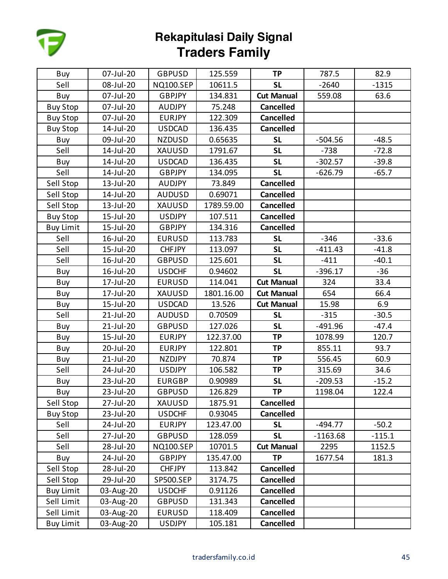

| Buy              | 07-Jul-20 | <b>GBPUSD</b>    | 125.559    | <b>TP</b>         | 787.5      | 82.9     |
|------------------|-----------|------------------|------------|-------------------|------------|----------|
| Sell             | 08-Jul-20 | <b>NQ100.SEP</b> | 10611.5    | <b>SL</b>         | $-2640$    | $-1315$  |
| Buy              | 07-Jul-20 | <b>GBPJPY</b>    | 134.831    | <b>Cut Manual</b> | 559.08     | 63.6     |
| <b>Buy Stop</b>  | 07-Jul-20 | <b>AUDJPY</b>    | 75.248     | <b>Cancelled</b>  |            |          |
| <b>Buy Stop</b>  | 07-Jul-20 | <b>EURJPY</b>    | 122.309    | <b>Cancelled</b>  |            |          |
| <b>Buy Stop</b>  | 14-Jul-20 | <b>USDCAD</b>    | 136.435    | <b>Cancelled</b>  |            |          |
| Buy              | 09-Jul-20 | <b>NZDUSD</b>    | 0.65635    | <b>SL</b>         | $-504.56$  | $-48.5$  |
| Sell             | 14-Jul-20 | <b>XAUUSD</b>    | 1791.67    | <b>SL</b>         | $-738$     | $-72.8$  |
| Buy              | 14-Jul-20 | <b>USDCAD</b>    | 136.435    | <b>SL</b>         | $-302.57$  | $-39.8$  |
| Sell             | 14-Jul-20 | GBPJPY           | 134.095    | <b>SL</b>         | $-626.79$  | $-65.7$  |
| Sell Stop        | 13-Jul-20 | <b>AUDJPY</b>    | 73.849     | <b>Cancelled</b>  |            |          |
| Sell Stop        | 14-Jul-20 | <b>AUDUSD</b>    | 0.69071    | <b>Cancelled</b>  |            |          |
| Sell Stop        | 13-Jul-20 | XAUUSD           | 1789.59.00 | <b>Cancelled</b>  |            |          |
| <b>Buy Stop</b>  | 15-Jul-20 | <b>USDJPY</b>    | 107.511    | <b>Cancelled</b>  |            |          |
| <b>Buy Limit</b> | 15-Jul-20 | <b>GBPJPY</b>    | 134.316    | <b>Cancelled</b>  |            |          |
| Sell             | 16-Jul-20 | <b>EURUSD</b>    | 113.783    | <b>SL</b>         | $-346$     | $-33.6$  |
| Sell             | 15-Jul-20 | <b>CHFJPY</b>    | 113.097    | <b>SL</b>         | $-411.43$  | $-41.8$  |
| Sell             | 16-Jul-20 | <b>GBPUSD</b>    | 125.601    | <b>SL</b>         | $-411$     | $-40.1$  |
| Buy              | 16-Jul-20 | <b>USDCHF</b>    | 0.94602    | <b>SL</b>         | $-396.17$  | $-36$    |
| Buy              | 17-Jul-20 | <b>EURUSD</b>    | 114.041    | <b>Cut Manual</b> | 324        | 33.4     |
| Buy              | 17-Jul-20 | <b>XAUUSD</b>    | 1801.16.00 | <b>Cut Manual</b> | 654        | 66.4     |
| Buy              | 15-Jul-20 | <b>USDCAD</b>    | 13.526     | <b>Cut Manual</b> | 15.98      | 6.9      |
| Sell             | 21-Jul-20 | <b>AUDUSD</b>    | 0.70509    | <b>SL</b>         | $-315$     | $-30.5$  |
| Buy              | 21-Jul-20 | <b>GBPUSD</b>    | 127.026    | <b>SL</b>         | $-491.96$  | $-47.4$  |
| Buy              | 15-Jul-20 | <b>EURJPY</b>    | 122.37.00  | <b>TP</b>         | 1078.99    | 120.7    |
| Buy              | 20-Jul-20 | <b>EURJPY</b>    | 122.801    | <b>TP</b>         | 855.11     | 93.7     |
| Buy              | 21-Jul-20 | <b>NZDJPY</b>    | 70.874     | <b>TP</b>         | 556.45     | 60.9     |
| Sell             | 24-Jul-20 | <b>USDJPY</b>    | 106.582    | <b>TP</b>         | 315.69     | 34.6     |
| Buy              | 23-Jul-20 | <b>EURGBP</b>    | 0.90989    | <b>SL</b>         | $-209.53$  | $-15.2$  |
| Buy              | 23-Jul-20 | <b>GBPUSD</b>    | 126.829    | <b>TP</b>         | 1198.04    | 122.4    |
| Sell Stop        | 27-Jul-20 | XAUUSD           | 1875.91    | <b>Cancelled</b>  |            |          |
| <b>Buy Stop</b>  | 23-Jul-20 | <b>USDCHF</b>    | 0.93045    | <b>Cancelled</b>  |            |          |
| Sell             | 24-Jul-20 | <b>EURJPY</b>    | 123.47.00  | <b>SL</b>         | $-494.77$  | $-50.2$  |
| Sell             | 27-Jul-20 | <b>GBPUSD</b>    | 128.059    | <b>SL</b>         | $-1163.68$ | $-115.1$ |
| Sell             | 28-Jul-20 | <b>NQ100.SEP</b> | 10701.5    | <b>Cut Manual</b> | 2295       | 1152.5   |
| Buy              | 24-Jul-20 | <b>GBPJPY</b>    | 135.47.00  | <b>TP</b>         | 1677.54    | 181.3    |
| Sell Stop        | 28-Jul-20 | <b>CHFJPY</b>    | 113.842    | <b>Cancelled</b>  |            |          |
| Sell Stop        | 29-Jul-20 | <b>SP500.SEP</b> | 3174.75    | <b>Cancelled</b>  |            |          |
| <b>Buy Limit</b> | 03-Aug-20 | <b>USDCHF</b>    | 0.91126    | <b>Cancelled</b>  |            |          |
| Sell Limit       | 03-Aug-20 | <b>GBPUSD</b>    | 131.343    | <b>Cancelled</b>  |            |          |
| Sell Limit       | 03-Aug-20 | <b>EURUSD</b>    | 118.409    | <b>Cancelled</b>  |            |          |
| <b>Buy Limit</b> | 03-Aug-20 | <b>USDJPY</b>    | 105.181    | <b>Cancelled</b>  |            |          |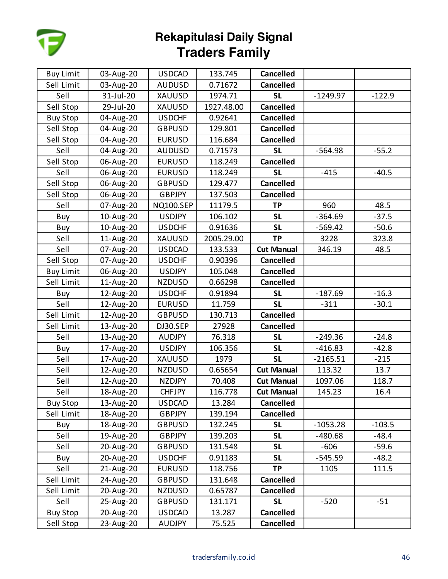

| <b>Buy Limit</b> | 03-Aug-20 | <b>USDCAD</b>    | 133.745    | <b>Cancelled</b>  |            |          |
|------------------|-----------|------------------|------------|-------------------|------------|----------|
| Sell Limit       | 03-Aug-20 | <b>AUDUSD</b>    | 0.71672    | <b>Cancelled</b>  |            |          |
| Sell             | 31-Jul-20 | XAUUSD           | 1974.71    | <b>SL</b>         | $-1249.97$ | $-122.9$ |
| Sell Stop        | 29-Jul-20 | XAUUSD           | 1927.48.00 | <b>Cancelled</b>  |            |          |
| <b>Buy Stop</b>  | 04-Aug-20 | <b>USDCHF</b>    | 0.92641    | <b>Cancelled</b>  |            |          |
| Sell Stop        | 04-Aug-20 | <b>GBPUSD</b>    | 129.801    | <b>Cancelled</b>  |            |          |
| Sell Stop        | 04-Aug-20 | <b>EURUSD</b>    | 116.684    | <b>Cancelled</b>  |            |          |
| Sell             | 04-Aug-20 | <b>AUDUSD</b>    | 0.71573    | <b>SL</b>         | $-564.98$  | $-55.2$  |
| Sell Stop        | 06-Aug-20 | <b>EURUSD</b>    | 118.249    | <b>Cancelled</b>  |            |          |
| Sell             | 06-Aug-20 | <b>EURUSD</b>    | 118.249    | <b>SL</b>         | $-415$     | $-40.5$  |
| Sell Stop        | 06-Aug-20 | <b>GBPUSD</b>    | 129.477    | <b>Cancelled</b>  |            |          |
| Sell Stop        | 06-Aug-20 | <b>GBPJPY</b>    | 137.503    | <b>Cancelled</b>  |            |          |
| Sell             | 07-Aug-20 | <b>NQ100.SEP</b> | 11179.5    | TP                | 960        | 48.5     |
| Buy              | 10-Aug-20 | <b>USDJPY</b>    | 106.102    | <b>SL</b>         | $-364.69$  | $-37.5$  |
| Buy              | 10-Aug-20 | <b>USDCHF</b>    | 0.91636    | <b>SL</b>         | $-569.42$  | $-50.6$  |
| Sell             | 11-Aug-20 | XAUUSD           | 2005.29.00 | <b>TP</b>         | 3228       | 323.8    |
| Sell             | 07-Aug-20 | <b>USDCAD</b>    | 133.533    | <b>Cut Manual</b> | 346.19     | 48.5     |
| Sell Stop        | 07-Aug-20 | <b>USDCHF</b>    | 0.90396    | <b>Cancelled</b>  |            |          |
| <b>Buy Limit</b> | 06-Aug-20 | <b>USDJPY</b>    | 105.048    | <b>Cancelled</b>  |            |          |
| Sell Limit       | 11-Aug-20 | <b>NZDUSD</b>    | 0.66298    | <b>Cancelled</b>  |            |          |
| Buy              | 12-Aug-20 | <b>USDCHF</b>    | 0.91894    | <b>SL</b>         | $-187.69$  | $-16.3$  |
| Sell             | 12-Aug-20 | <b>EURUSD</b>    | 11.759     | <b>SL</b>         | $-311$     | $-30.1$  |
| Sell Limit       | 12-Aug-20 | <b>GBPUSD</b>    | 130.713    | <b>Cancelled</b>  |            |          |
| Sell Limit       | 13-Aug-20 | DJ30.SEP         | 27928      | <b>Cancelled</b>  |            |          |
| Sell             | 13-Aug-20 | <b>AUDJPY</b>    | 76.318     | <b>SL</b>         | $-249.36$  | $-24.8$  |
| Buy              | 17-Aug-20 | <b>USDJPY</b>    | 106.356    | <b>SL</b>         | $-416.83$  | $-42.8$  |
| Sell             | 17-Aug-20 | XAUUSD           | 1979       | <b>SL</b>         | $-2165.51$ | $-215$   |
| Sell             | 12-Aug-20 | <b>NZDUSD</b>    | 0.65654    | <b>Cut Manual</b> | 113.32     | 13.7     |
| Sell             | 12-Aug-20 | <b>NZDJPY</b>    | 70.408     | <b>Cut Manual</b> | 1097.06    | 118.7    |
| Sell             | 18-Aug-20 | <b>CHFJPY</b>    | 116.778    | <b>Cut Manual</b> | 145.23     | 16.4     |
| <b>Buy Stop</b>  | 13-Aug-20 | <b>USDCAD</b>    | 13.284     | <b>Cancelled</b>  |            |          |
| Sell Limit       | 18-Aug-20 | <b>GBPJPY</b>    | 139.194    | <b>Cancelled</b>  |            |          |
| Buy              | 18-Aug-20 | <b>GBPUSD</b>    | 132.245    | <b>SL</b>         | $-1053.28$ | $-103.5$ |
| Sell             | 19-Aug-20 | <b>GBPJPY</b>    | 139.203    | <b>SL</b>         | $-480.68$  | -48.4    |
| Sell             | 20-Aug-20 | <b>GBPUSD</b>    | 131.548    | <b>SL</b>         | $-606$     | -59.6    |
| Buy              | 20-Aug-20 | <b>USDCHF</b>    | 0.91183    | <b>SL</b>         | $-545.59$  | $-48.2$  |
| Sell             | 21-Aug-20 | <b>EURUSD</b>    | 118.756    | TP                | 1105       | 111.5    |
| Sell Limit       | 24-Aug-20 | <b>GBPUSD</b>    | 131.648    | <b>Cancelled</b>  |            |          |
| Sell Limit       | 20-Aug-20 | <b>NZDUSD</b>    | 0.65787    | <b>Cancelled</b>  |            |          |
| Sell             | 25-Aug-20 | <b>GBPUSD</b>    | 131.171    | <b>SL</b>         | $-520$     | $-51$    |
| <b>Buy Stop</b>  | 20-Aug-20 | <b>USDCAD</b>    | 13.287     | <b>Cancelled</b>  |            |          |
| Sell Stop        | 23-Aug-20 | <b>AUDJPY</b>    | 75.525     | <b>Cancelled</b>  |            |          |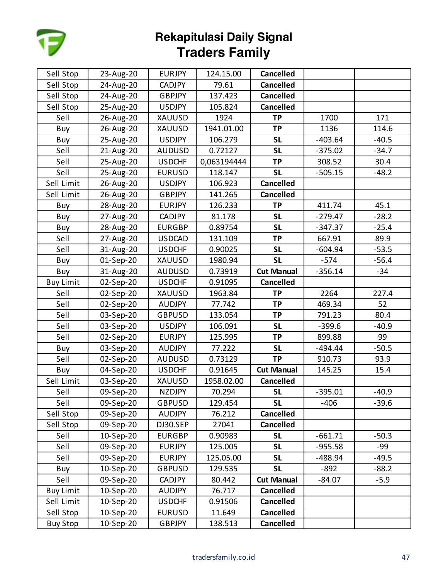

| Sell Stop        | 23-Aug-20 | <b>EURJPY</b> | 124.15.00   | <b>Cancelled</b>  |           |         |
|------------------|-----------|---------------|-------------|-------------------|-----------|---------|
| Sell Stop        | 24-Aug-20 | <b>CADJPY</b> | 79.61       | <b>Cancelled</b>  |           |         |
| Sell Stop        | 24-Aug-20 | <b>GBPJPY</b> | 137.423     | <b>Cancelled</b>  |           |         |
| Sell Stop        | 25-Aug-20 | <b>USDJPY</b> | 105.824     | <b>Cancelled</b>  |           |         |
| Sell             | 26-Aug-20 | XAUUSD        | 1924        | <b>TP</b>         | 1700      | 171     |
| Buy              | 26-Aug-20 | XAUUSD        | 1941.01.00  | <b>TP</b>         | 1136      | 114.6   |
| Buy              | 25-Aug-20 | <b>USDJPY</b> | 106.279     | <b>SL</b>         | $-403.64$ | $-40.5$ |
| Sell             | 21-Aug-20 | <b>AUDUSD</b> | 0.72127     | <b>SL</b>         | $-375.02$ | $-34.7$ |
| Sell             | 25-Aug-20 | <b>USDCHF</b> | 0,063194444 | TP                | 308.52    | 30.4    |
| Sell             | 25-Aug-20 | <b>EURUSD</b> | 118.147     | <b>SL</b>         | $-505.15$ | $-48.2$ |
| Sell Limit       | 26-Aug-20 | <b>USDJPY</b> | 106.923     | <b>Cancelled</b>  |           |         |
| Sell Limit       | 26-Aug-20 | <b>GBPJPY</b> | 141.265     | <b>Cancelled</b>  |           |         |
| Buy              | 28-Aug-20 | <b>EURJPY</b> | 126.233     | <b>TP</b>         | 411.74    | 45.1    |
| Buy              | 27-Aug-20 | CADJPY        | 81.178      | <b>SL</b>         | $-279.47$ | $-28.2$ |
| Buy              | 28-Aug-20 | <b>EURGBP</b> | 0.89754     | <b>SL</b>         | $-347.37$ | $-25.4$ |
| Sell             | 27-Aug-20 | <b>USDCAD</b> | 131.109     | <b>TP</b>         | 667.91    | 89.9    |
| Sell             | 31-Aug-20 | <b>USDCHF</b> | 0.90025     | <b>SL</b>         | $-604.94$ | $-53.5$ |
| Buy              | 01-Sep-20 | XAUUSD        | 1980.94     | <b>SL</b>         | $-574$    | $-56.4$ |
| Buy              | 31-Aug-20 | <b>AUDUSD</b> | 0.73919     | <b>Cut Manual</b> | $-356.14$ | -34     |
| <b>Buy Limit</b> | 02-Sep-20 | <b>USDCHF</b> | 0.91095     | <b>Cancelled</b>  |           |         |
| Sell             | 02-Sep-20 | XAUUSD        | 1963.84     | <b>TP</b>         | 2264      | 227.4   |
| Sell             | 02-Sep-20 | <b>AUDJPY</b> | 77.742      | <b>TP</b>         | 469.34    | 52      |
| Sell             | 03-Sep-20 | <b>GBPUSD</b> | 133.054     | <b>TP</b>         | 791.23    | 80.4    |
| Sell             | 03-Sep-20 | <b>USDJPY</b> | 106.091     | <b>SL</b>         | $-399.6$  | $-40.9$ |
| Sell             | 02-Sep-20 | <b>EURJPY</b> | 125.995     | <b>TP</b>         | 899.88    | 99      |
| Buy              | 03-Sep-20 | <b>AUDJPY</b> | 77.222      | <b>SL</b>         | $-494.44$ | $-50.5$ |
| Sell             | 02-Sep-20 | <b>AUDUSD</b> | 0.73129     | <b>TP</b>         | 910.73    | 93.9    |
| Buy              | 04-Sep-20 | <b>USDCHF</b> | 0.91645     | <b>Cut Manual</b> | 145.25    | 15.4    |
| Sell Limit       | 03-Sep-20 | XAUUSD        | 1958.02.00  | <b>Cancelled</b>  |           |         |
| Sell             | 09-Sep-20 | <b>NZDJPY</b> | 70.294      | <b>SL</b>         | $-395.01$ | $-40.9$ |
| Sell             | 09-Sep-20 | <b>GBPUSD</b> | 129.454     | <b>SL</b>         | $-406$    | $-39.6$ |
| Sell Stop        | 09-Sep-20 | <b>AUDJPY</b> | 76.212      | <b>Cancelled</b>  |           |         |
| Sell Stop        | 09-Sep-20 | DJ30.SEP      | 27041       | <b>Cancelled</b>  |           |         |
| Sell             | 10-Sep-20 | <b>EURGBP</b> | 0.90983     | <b>SL</b>         | $-661.71$ | $-50.3$ |
| Sell             | 09-Sep-20 | <b>EURJPY</b> | 125.005     | <b>SL</b>         | $-955.58$ | -99     |
| Sell             | 09-Sep-20 | <b>EURJPY</b> | 125.05.00   | <b>SL</b>         | -488.94   | $-49.5$ |
| Buy              | 10-Sep-20 | <b>GBPUSD</b> | 129.535     | <b>SL</b>         | $-892$    | $-88.2$ |
| Sell             | 09-Sep-20 | <b>CADJPY</b> | 80.442      | <b>Cut Manual</b> | $-84.07$  | $-5.9$  |
| <b>Buy Limit</b> | 10-Sep-20 | <b>AUDJPY</b> | 76.717      | <b>Cancelled</b>  |           |         |
| Sell Limit       | 10-Sep-20 | <b>USDCHF</b> | 0.91506     | <b>Cancelled</b>  |           |         |
| Sell Stop        | 10-Sep-20 | <b>EURUSD</b> | 11.649      | <b>Cancelled</b>  |           |         |
| <b>Buy Stop</b>  | 10-Sep-20 | <b>GBPJPY</b> | 138.513     | <b>Cancelled</b>  |           |         |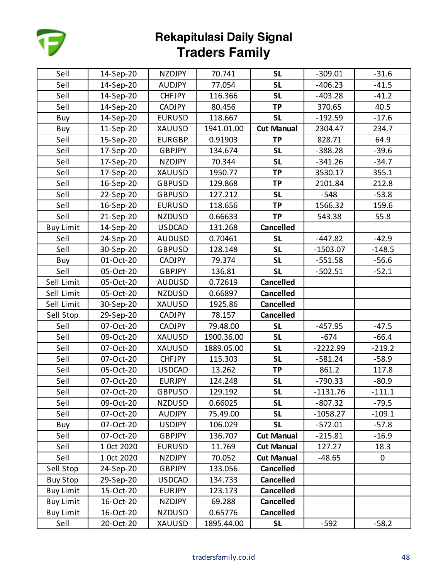

| Sell             | 14-Sep-20  | <b>NZDJPY</b> | 70.741     | <b>SL</b>         | $-309.01$  | $-31.6$     |
|------------------|------------|---------------|------------|-------------------|------------|-------------|
| Sell             | 14-Sep-20  | <b>AUDJPY</b> | 77.054     | <b>SL</b>         | $-406.23$  | $-41.5$     |
| Sell             | 14-Sep-20  | <b>CHFJPY</b> | 116.366    | <b>SL</b>         | $-403.28$  | $-41.2$     |
| Sell             | 14-Sep-20  | <b>CADJPY</b> | 80.456     | <b>TP</b>         | 370.65     | 40.5        |
| Buy              | 14-Sep-20  | <b>EURUSD</b> | 118.667    | <b>SL</b>         | $-192.59$  | $-17.6$     |
| Buy              | 11-Sep-20  | <b>XAUUSD</b> | 1941.01.00 | <b>Cut Manual</b> | 2304.47    | 234.7       |
| Sell             | 15-Sep-20  | <b>EURGBP</b> | 0.91903    | <b>TP</b>         | 828.71     | 64.9        |
| Sell             | 17-Sep-20  | <b>GBPJPY</b> | 134.674    | <b>SL</b>         | $-388.28$  | $-39.6$     |
| Sell             | 17-Sep-20  | <b>NZDJPY</b> | 70.344     | <b>SL</b>         | $-341.26$  | $-34.7$     |
| Sell             | 17-Sep-20  | <b>XAUUSD</b> | 1950.77    | <b>TP</b>         | 3530.17    | 355.1       |
| Sell             | 16-Sep-20  | <b>GBPUSD</b> | 129.868    | <b>TP</b>         | 2101.84    | 212.8       |
| Sell             | 22-Sep-20  | <b>GBPUSD</b> | 127.212    | <b>SL</b>         | $-548$     | $-53.8$     |
| Sell             | 16-Sep-20  | <b>EURUSD</b> | 118.656    | <b>TP</b>         | 1566.32    | 159.6       |
| Sell             | 21-Sep-20  | <b>NZDUSD</b> | 0.66633    | <b>TP</b>         | 543.38     | 55.8        |
| <b>Buy Limit</b> | 14-Sep-20  | <b>USDCAD</b> | 131.268    | <b>Cancelled</b>  |            |             |
| Sell             | 24-Sep-20  | <b>AUDUSD</b> | 0.70461    | <b>SL</b>         | $-447.82$  | $-42.9$     |
| Sell             | 30-Sep-20  | <b>GBPUSD</b> | 128.148    | <b>SL</b>         | $-1503.07$ | $-148.5$    |
| Buy              | 01-Oct-20  | <b>CADJPY</b> | 79.374     | <b>SL</b>         | $-551.58$  | $-56.6$     |
| Sell             | 05-Oct-20  | <b>GBPJPY</b> | 136.81     | <b>SL</b>         | $-502.51$  | $-52.1$     |
| Sell Limit       | 05-Oct-20  | <b>AUDUSD</b> | 0.72619    | <b>Cancelled</b>  |            |             |
| Sell Limit       | 05-Oct-20  | <b>NZDUSD</b> | 0.66897    | <b>Cancelled</b>  |            |             |
| Sell Limit       | 30-Sep-20  | XAUUSD        | 1925.86    | <b>Cancelled</b>  |            |             |
| Sell Stop        | 29-Sep-20  | <b>CADJPY</b> | 78.157     | <b>Cancelled</b>  |            |             |
| Sell             | 07-Oct-20  | <b>CADJPY</b> | 79.48.00   | <b>SL</b>         | $-457.95$  | $-47.5$     |
| Sell             | 09-Oct-20  | XAUUSD        | 1900.36.00 | <b>SL</b>         | $-674$     | $-66.4$     |
| Sell             | 07-Oct-20  | XAUUSD        | 1889.05.00 | <b>SL</b>         | $-2222.99$ | $-219.2$    |
| Sell             | 07-Oct-20  | <b>CHFJPY</b> | 115.303    | <b>SL</b>         | $-581.24$  | $-58.9$     |
| Sell             | 05-Oct-20  | <b>USDCAD</b> | 13.262     | <b>TP</b>         | 861.2      | 117.8       |
| Sell             | 07-Oct-20  | <b>EURJPY</b> | 124.248    | <b>SL</b>         | $-790.33$  | $-80.9$     |
| Sell             | 07-Oct-20  | <b>GBPUSD</b> | 129.192    | <b>SL</b>         | $-1131.76$ | $-111.1$    |
| Sell             | 09-Oct-20  | <b>NZDUSD</b> | 0.66025    | <b>SL</b>         | $-807.32$  | $-79.5$     |
| Sell             | 07-Oct-20  | <b>AUDJPY</b> | 75.49.00   | <b>SL</b>         | $-1058.27$ | $-109.1$    |
| Buy              | 07-Oct-20  | <b>USDJPY</b> | 106.029    | <b>SL</b>         | $-572.01$  | $-57.8$     |
| Sell             | 07-Oct-20  | <b>GBPJPY</b> | 136.707    | <b>Cut Manual</b> | $-215.81$  | $-16.9$     |
| Sell             | 1 Oct 2020 | <b>EURUSD</b> | 11.769     | <b>Cut Manual</b> | 127.27     | 18.3        |
| Sell             | 1 Oct 2020 | <b>NZDJPY</b> | 70.052     | <b>Cut Manual</b> | $-48.65$   | $\mathbf 0$ |
| Sell Stop        | 24-Sep-20  | <b>GBPJPY</b> | 133.056    | <b>Cancelled</b>  |            |             |
| <b>Buy Stop</b>  | 29-Sep-20  | <b>USDCAD</b> | 134.733    | <b>Cancelled</b>  |            |             |
| <b>Buy Limit</b> | 15-Oct-20  | <b>EURJPY</b> | 123.173    | <b>Cancelled</b>  |            |             |
| <b>Buy Limit</b> | 16-Oct-20  | <b>NZDJPY</b> | 69.288     | <b>Cancelled</b>  |            |             |
| <b>Buy Limit</b> | 16-Oct-20  | <b>NZDUSD</b> | 0.65776    | <b>Cancelled</b>  |            |             |
| Sell             | 20-Oct-20  | XAUUSD        | 1895.44.00 | <b>SL</b>         | $-592$     | $-58.2$     |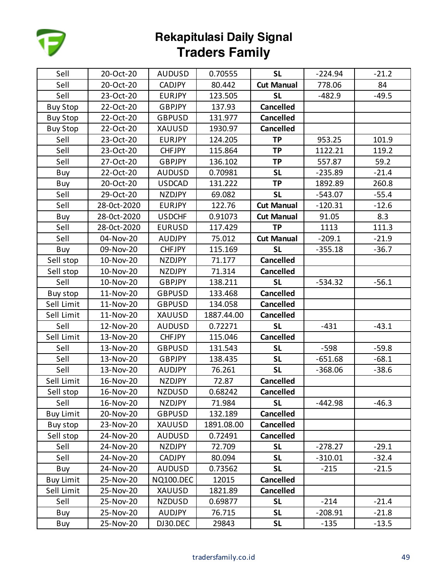

| Sell             | 20-Oct-20   | <b>AUDUSD</b>    | 0.70555    | <b>SL</b>         | $-224.94$ | $-21.2$ |
|------------------|-------------|------------------|------------|-------------------|-----------|---------|
| Sell             | 20-Oct-20   | <b>CADJPY</b>    | 80.442     | <b>Cut Manual</b> | 778.06    | 84      |
| Sell             | 23-Oct-20   | <b>EURJPY</b>    | 123.505    | <b>SL</b>         | $-482.9$  | $-49.5$ |
| <b>Buy Stop</b>  | 22-Oct-20   | <b>GBPJPY</b>    | 137.93     | <b>Cancelled</b>  |           |         |
| <b>Buy Stop</b>  | 22-Oct-20   | <b>GBPUSD</b>    | 131.977    | <b>Cancelled</b>  |           |         |
| <b>Buy Stop</b>  | 22-Oct-20   | XAUUSD           | 1930.97    | <b>Cancelled</b>  |           |         |
| Sell             | 23-Oct-20   | <b>EURJPY</b>    | 124.205    | <b>TP</b>         | 953.25    | 101.9   |
| Sell             | 23-Oct-20   | <b>CHFJPY</b>    | 115.864    | <b>TP</b>         | 1122.21   | 119.2   |
| Sell             | 27-Oct-20   | <b>GBPJPY</b>    | 136.102    | <b>TP</b>         | 557.87    | 59.2    |
| Buy              | 22-Oct-20   | <b>AUDUSD</b>    | 0.70981    | <b>SL</b>         | $-235.89$ | $-21.4$ |
| Buy              | 20-Oct-20   | <b>USDCAD</b>    | 131.222    | <b>TP</b>         | 1892.89   | 260.8   |
| Sell             | 29-Oct-20   | NZDJPY           | 69.082     | <b>SL</b>         | $-543.07$ | $-55.4$ |
| Sell             | 28-0ct-2020 | <b>EURJPY</b>    | 122.76     | <b>Cut Manual</b> | $-120.31$ | $-12.6$ |
| Buy              | 28-0ct-2020 | <b>USDCHF</b>    | 0.91073    | <b>Cut Manual</b> | 91.05     | 8.3     |
| Sell             | 28-0ct-2020 | <b>EURUSD</b>    | 117.429    | <b>TP</b>         | 1113      | 111.3   |
| Sell             | 04-Nov-20   | <b>AUDJPY</b>    | 75.012     | <b>Cut Manual</b> | $-209.1$  | $-21.9$ |
| Buy              | 09-Nov-20   | <b>CHFJPY</b>    | 115.169    | <b>SL</b>         | $-355.18$ | $-36.7$ |
| Sell stop        | 10-Nov-20   | <b>NZDJPY</b>    | 71.177     | <b>Cancelled</b>  |           |         |
| Sell stop        | 10-Nov-20   | <b>NZDJPY</b>    | 71.314     | <b>Cancelled</b>  |           |         |
| Sell             | 10-Nov-20   | <b>GBPJPY</b>    | 138.211    | <b>SL</b>         | $-534.32$ | $-56.1$ |
| Buy stop         | 11-Nov-20   | <b>GBPUSD</b>    | 133.468    | <b>Cancelled</b>  |           |         |
| Sell Limit       | 11-Nov-20   | <b>GBPUSD</b>    | 134.058    | <b>Cancelled</b>  |           |         |
| Sell Limit       | 11-Nov-20   | XAUUSD           | 1887.44.00 | <b>Cancelled</b>  |           |         |
| Sell             | 12-Nov-20   | <b>AUDUSD</b>    | 0.72271    | <b>SL</b>         | $-431$    | $-43.1$ |
| Sell Limit       | 13-Nov-20   | <b>CHFJPY</b>    | 115.046    | <b>Cancelled</b>  |           |         |
| Sell             | 13-Nov-20   | <b>GBPUSD</b>    | 131.543    | <b>SL</b>         | $-598$    | $-59.8$ |
| Sell             | 13-Nov-20   | <b>GBPJPY</b>    | 138.435    | <b>SL</b>         | $-651.68$ | $-68.1$ |
| Sell             | 13-Nov-20   | <b>AUDJPY</b>    | 76.261     | <b>SL</b>         | $-368.06$ | $-38.6$ |
| Sell Limit       | 16-Nov-20   | <b>NZDJPY</b>    | 72.87      | <b>Cancelled</b>  |           |         |
| Sell stop        | 16-Nov-20   | <b>NZDUSD</b>    | 0.68242    | <b>Cancelled</b>  |           |         |
| Sell             | 16-Nov-20   | <b>NZDJPY</b>    | 71.984     | <b>SL</b>         | $-442.98$ | $-46.3$ |
| <b>Buy Limit</b> | 20-Nov-20   | <b>GBPUSD</b>    | 132.189    | <b>Cancelled</b>  |           |         |
| Buy stop         | 23-Nov-20   | <b>XAUUSD</b>    | 1891.08.00 | <b>Cancelled</b>  |           |         |
| Sell stop        | 24-Nov-20   | <b>AUDUSD</b>    | 0.72491    | <b>Cancelled</b>  |           |         |
| Sell             | 24-Nov-20   | NZDJPY           | 72.709     | <b>SL</b>         | $-278.27$ | $-29.1$ |
| Sell             | 24-Nov-20   | CADJPY           | 80.094     | <b>SL</b>         | $-310.01$ | $-32.4$ |
| Buy              | 24-Nov-20   | <b>AUDUSD</b>    | 0.73562    | <b>SL</b>         | $-215$    | $-21.5$ |
| <b>Buy Limit</b> | 25-Nov-20   | <b>NQ100.DEC</b> | 12015      | <b>Cancelled</b>  |           |         |
| Sell Limit       | 25-Nov-20   | <b>XAUUSD</b>    | 1821.89    | <b>Cancelled</b>  |           |         |
| Sell             | 25-Nov-20   | <b>NZDUSD</b>    | 0.69877    | <b>SL</b>         | $-214$    | $-21.4$ |
| Buy              | 25-Nov-20   | <b>AUDJPY</b>    | 76.715     | <b>SL</b>         | $-208.91$ | $-21.8$ |
| Buy              | 25-Nov-20   | DJ30.DEC         | 29843      | <b>SL</b>         | $-135$    | $-13.5$ |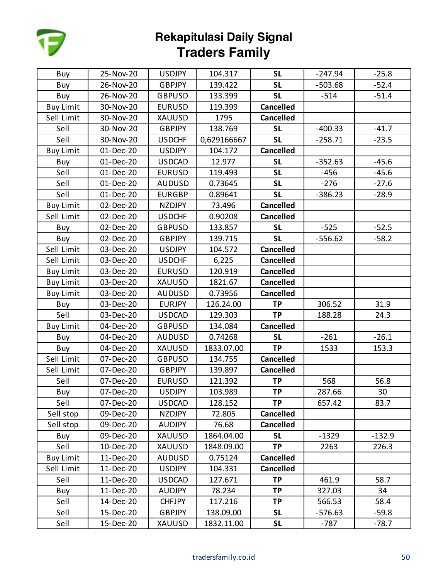

| Buy              | 25-Nov-20 | <b>USDJPY</b> | 104.317     | <b>SL</b>        | $-247.94$ | $-25.8$  |
|------------------|-----------|---------------|-------------|------------------|-----------|----------|
| Buy              | 26-Nov-20 | <b>GBPJPY</b> | 139.422     | <b>SL</b>        | $-503.68$ | $-52.4$  |
| Buy              | 26-Nov-20 | <b>GBPUSD</b> | 133.399     | <b>SL</b>        | $-514$    | $-51.4$  |
| <b>Buy Limit</b> | 30-Nov-20 | <b>EURUSD</b> | 119.399     | <b>Cancelled</b> |           |          |
| Sell Limit       | 30-Nov-20 | <b>XAUUSD</b> | 1795        | <b>Cancelled</b> |           |          |
| Sell             | 30-Nov-20 | GBPJPY        | 138.769     | <b>SL</b>        | $-400.33$ | $-41.7$  |
| Sell             | 30-Nov-20 | <b>USDCHF</b> | 0,629166667 | <b>SL</b>        | $-258.71$ | $-23.5$  |
| <b>Buy Limit</b> | 01-Dec-20 | <b>USDJPY</b> | 104.172     | <b>Cancelled</b> |           |          |
| Buy              | 01-Dec-20 | <b>USDCAD</b> | 12.977      | <b>SL</b>        | $-352.63$ | $-45.6$  |
| Sell             | 01-Dec-20 | <b>EURUSD</b> | 119.493     | <b>SL</b>        | $-456$    | $-45.6$  |
| Sell             | 01-Dec-20 | <b>AUDUSD</b> | 0.73645     | <b>SL</b>        | $-276$    | $-27.6$  |
| Sell             | 01-Dec-20 | <b>EURGBP</b> | 0.89641     | <b>SL</b>        | $-386.23$ | $-28.9$  |
| <b>Buy Limit</b> | 02-Dec-20 | <b>NZDJPY</b> | 73.496      | <b>Cancelled</b> |           |          |
| Sell Limit       | 02-Dec-20 | <b>USDCHF</b> | 0.90208     | <b>Cancelled</b> |           |          |
| Buy              | 02-Dec-20 | <b>GBPUSD</b> | 133.857     | <b>SL</b>        | $-525$    | $-52.5$  |
| Buy              | 02-Dec-20 | <b>GBPJPY</b> | 139.715     | <b>SL</b>        | $-556.62$ | $-58.2$  |
| Sell Limit       | 03-Dec-20 | <b>USDJPY</b> | 104.572     | <b>Cancelled</b> |           |          |
| Sell Limit       | 03-Dec-20 | <b>USDCHF</b> | 6,225       | <b>Cancelled</b> |           |          |
| <b>Buy Limit</b> | 03-Dec-20 | <b>EURUSD</b> | 120.919     | <b>Cancelled</b> |           |          |
| <b>Buy Limit</b> | 03-Dec-20 | <b>XAUUSD</b> | 1821.67     | <b>Cancelled</b> |           |          |
| <b>Buy Limit</b> | 03-Dec-20 | <b>AUDUSD</b> | 0.73956     | <b>Cancelled</b> |           |          |
| Buy              | 03-Dec-20 | <b>EURJPY</b> | 126.24.00   | <b>TP</b>        | 306.52    | 31.9     |
| Sell             | 03-Dec-20 | <b>USDCAD</b> | 129.303     | <b>TP</b>        | 188.28    | 24.3     |
| <b>Buy Limit</b> | 04-Dec-20 | <b>GBPUSD</b> | 134.084     | <b>Cancelled</b> |           |          |
| Buy              | 04-Dec-20 | <b>AUDUSD</b> | 0.74268     | <b>SL</b>        | $-261$    | $-26.1$  |
| Buy              | 04-Dec-20 | XAUUSD        | 1833.07.00  | <b>TP</b>        | 1533      | 153.3    |
| Sell Limit       | 07-Dec-20 | <b>GBPUSD</b> | 134.755     | <b>Cancelled</b> |           |          |
| Sell Limit       | 07-Dec-20 | <b>GBPJPY</b> | 139.897     | <b>Cancelled</b> |           |          |
| Sell             | 07-Dec-20 | <b>EURUSD</b> | 121.392     | <b>TP</b>        | 568       | 56.8     |
| Buy              | 07-Dec-20 | <b>USDJPY</b> | 103.989     | <b>TP</b>        | 287.66    | 30       |
| Sell             | 07-Dec-20 | <b>USDCAD</b> | 128.152     | <b>TP</b>        | 657.42    | 83.7     |
| Sell stop        | 09-Dec-20 | NZDJPY        | 72.805      | <b>Cancelled</b> |           |          |
| Sell stop        | 09-Dec-20 | <b>AUDJPY</b> | 76.68       | <b>Cancelled</b> |           |          |
| Buy              | 09-Dec-20 | XAUUSD        | 1864.04.00  | <b>SL</b>        | $-1329$   | $-132.9$ |
| Sell             | 10-Dec-20 | XAUUSD        | 1848.09.00  | <b>TP</b>        | 2263      | 226.3    |
| <b>Buy Limit</b> | 11-Dec-20 | <b>AUDUSD</b> | 0.75124     | <b>Cancelled</b> |           |          |
| Sell Limit       | 11-Dec-20 | <b>USDJPY</b> | 104.331     | <b>Cancelled</b> |           |          |
| Sell             | 11-Dec-20 | <b>USDCAD</b> | 127.671     | <b>TP</b>        | 461.9     | 58.7     |
| Buy              | 11-Dec-20 | <b>AUDJPY</b> | 78.234      | <b>TP</b>        | 327.03    | 34       |
| Sell             | 14-Dec-20 | <b>CHFJPY</b> | 117.216     | <b>TP</b>        | 566.53    | 58.4     |
| Sell             | 15-Dec-20 | <b>GBPJPY</b> | 138.09.00   | <b>SL</b>        | $-576.63$ | $-59.8$  |
| Sell             | 15-Dec-20 | XAUUSD        | 1832.11.00  | <b>SL</b>        | $-787$    | $-78.7$  |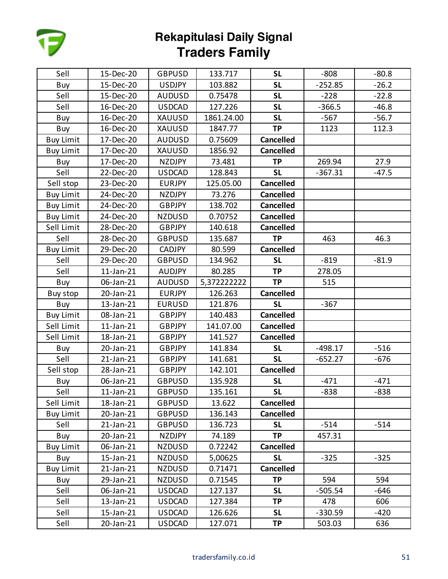

| Sell             | 15-Dec-20       | <b>GBPUSD</b> | 133.717     | <b>SL</b>        | $-808$    | $-80.8$ |
|------------------|-----------------|---------------|-------------|------------------|-----------|---------|
| Buy              | 15-Dec-20       | <b>USDJPY</b> | 103.882     | <b>SL</b>        | $-252.85$ | $-26.2$ |
| Sell             | 15-Dec-20       | <b>AUDUSD</b> | 0.75478     | <b>SL</b>        | $-228$    | $-22.8$ |
| Sell             | 16-Dec-20       | <b>USDCAD</b> | 127.226     | <b>SL</b>        | $-366.5$  | $-46.8$ |
| Buy              | 16-Dec-20       | <b>XAUUSD</b> | 1861.24.00  | <b>SL</b>        | $-567$    | $-56.7$ |
| Buy              | 16-Dec-20       | XAUUSD        | 1847.77     | <b>TP</b>        | 1123      | 112.3   |
| <b>Buy Limit</b> | 17-Dec-20       | <b>AUDUSD</b> | 0.75609     | <b>Cancelled</b> |           |         |
| <b>Buy Limit</b> | 17-Dec-20       | <b>XAUUSD</b> | 1856.92     | <b>Cancelled</b> |           |         |
| Buy              | 17-Dec-20       | <b>NZDJPY</b> | 73.481      | <b>TP</b>        | 269.94    | 27.9    |
| Sell             | 22-Dec-20       | <b>USDCAD</b> | 128.843     | <b>SL</b>        | $-367.31$ | $-47.5$ |
| Sell stop        | 23-Dec-20       | <b>EURJPY</b> | 125.05.00   | <b>Cancelled</b> |           |         |
| <b>Buy Limit</b> | 24-Dec-20       | <b>NZDJPY</b> | 73.276      | <b>Cancelled</b> |           |         |
| <b>Buy Limit</b> | 24-Dec-20       | <b>GBPJPY</b> | 138.702     | <b>Cancelled</b> |           |         |
| <b>Buy Limit</b> | 24-Dec-20       | <b>NZDUSD</b> | 0.70752     | <b>Cancelled</b> |           |         |
| Sell Limit       | 28-Dec-20       | <b>GBPJPY</b> | 140.618     | <b>Cancelled</b> |           |         |
| Sell             | 28-Dec-20       | <b>GBPUSD</b> | 135.687     | <b>TP</b>        | 463       | 46.3    |
| <b>Buy Limit</b> | 29-Dec-20       | <b>CADJPY</b> | 80.599      | <b>Cancelled</b> |           |         |
| Sell             | 29-Dec-20       | <b>GBPUSD</b> | 134.962     | <b>SL</b>        | $-819$    | $-81.9$ |
| Sell             | 11-Jan-21       | <b>AUDJPY</b> | 80.285      | <b>TP</b>        | 278.05    |         |
| Buy              | 06-Jan-21       | <b>AUDUSD</b> | 5,372222222 | <b>TP</b>        | 515       |         |
| Buy stop         | 20-Jan-21       | <b>EURJPY</b> | 126.263     | <b>Cancelled</b> |           |         |
| Buy              | 13-Jan-21       | <b>EURUSD</b> | 121.876     | <b>SL</b>        | $-367$    |         |
| <b>Buy Limit</b> | 08-Jan-21       | <b>GBPJPY</b> | 140.483     | <b>Cancelled</b> |           |         |
| Sell Limit       | $11$ -Jan- $21$ | <b>GBPJPY</b> | 141.07.00   | <b>Cancelled</b> |           |         |
| Sell Limit       | 18-Jan-21       | <b>GBPJPY</b> | 141.527     | <b>Cancelled</b> |           |         |
| Buy              | 20-Jan-21       | <b>GBPJPY</b> | 141.834     | <b>SL</b>        | $-498.17$ | $-516$  |
| Sell             | 21-Jan-21       | <b>GBPJPY</b> | 141.681     | <b>SL</b>        | $-652.27$ | $-676$  |
| Sell stop        | 28-Jan-21       | <b>GBPJPY</b> | 142.101     | <b>Cancelled</b> |           |         |
| Buy              | 06-Jan-21       | <b>GBPUSD</b> | 135.928     | <b>SL</b>        | $-471$    | $-471$  |
| Sell             | $11$ -Jan- $21$ | <b>GBPUSD</b> | 135.161     | <b>SL</b>        | $-838$    | $-838$  |
| Sell Limit       | 18-Jan-21       | <b>GBPUSD</b> | 13.622      | <b>Cancelled</b> |           |         |
| <b>Buy Limit</b> | 20-Jan-21       | <b>GBPUSD</b> | 136.143     | <b>Cancelled</b> |           |         |
| Sell             | 21-Jan-21       | <b>GBPUSD</b> | 136.723     | <b>SL</b>        | $-514$    | $-514$  |
| Buy              | 20-Jan-21       | <b>NZDJPY</b> | 74.189      | <b>TP</b>        | 457.31    |         |
| <b>Buy Limit</b> | 06-Jan-21       | <b>NZDUSD</b> | 0.72242     | <b>Cancelled</b> |           |         |
| Buy              | 15-Jan-21       | <b>NZDUSD</b> | 5,00625     | <b>SL</b>        | $-325$    | $-325$  |
| <b>Buy Limit</b> | 21-Jan-21       | <b>NZDUSD</b> | 0.71471     | <b>Cancelled</b> |           |         |
| Buy              | 29-Jan-21       | <b>NZDUSD</b> | 0.71545     | <b>TP</b>        | 594       | 594     |
| Sell             | 06-Jan-21       | <b>USDCAD</b> | 127.137     | <b>SL</b>        | $-505.54$ | $-646$  |
| Sell             | 13-Jan-21       | <b>USDCAD</b> | 127.384     | <b>TP</b>        | 478       | 606     |
| Sell             | 15-Jan-21       | <b>USDCAD</b> | 126.626     | <b>SL</b>        | $-330.59$ | $-420$  |
| Sell             | 20-Jan-21       | <b>USDCAD</b> | 127.071     | <b>TP</b>        | 503.03    | 636     |